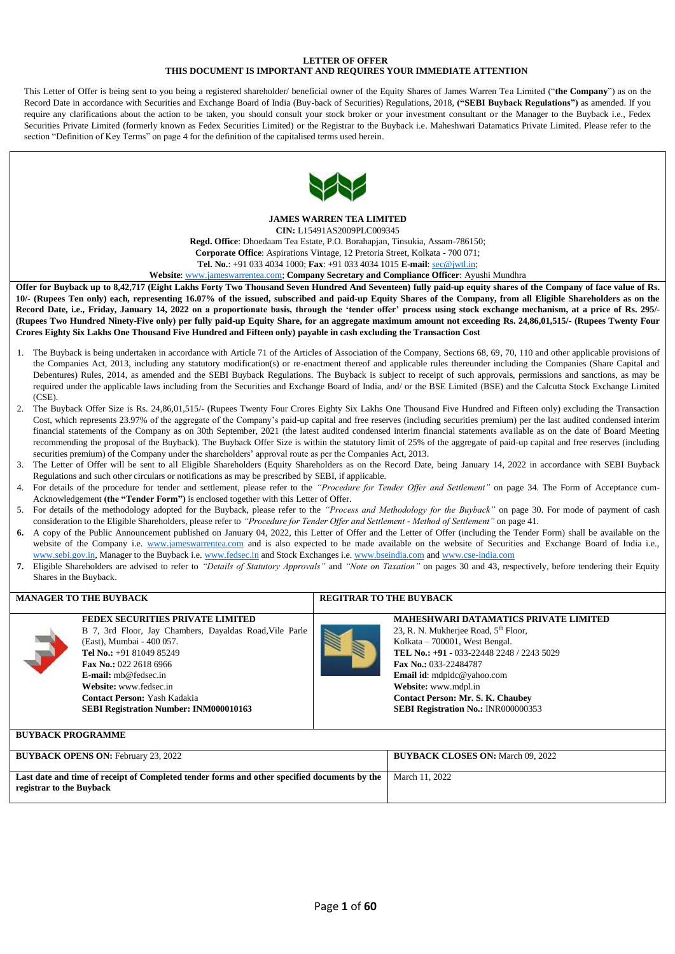#### **LETTER OF OFFER THIS DOCUMENT IS IMPORTANT AND REQUIRES YOUR IMMEDIATE ATTENTION**

This Letter of Offer is being sent to you being a registered shareholder/ beneficial owner of the Equity Shares of James Warren Tea Limited ("**the Company**") as on the Record Date in accordance with Securities and Exchange Board of India (Buy-back of Securities) Regulations, 2018, **("SEBI Buyback Regulations")** as amended. If you require any clarifications about the action to be taken, you should consult your stock broker or your investment consultant or the Manager to the Buyback i.e., Fedex Securities Private Limited (formerly known as Fedex Securities Limited) or the Registrar to the Buyback i.e. Maheshwari Datamatics Private Limited. Please refer to the section "Definition of Key Terms" on page 4 for the definition of the capitalised terms used herein.



**JAMES WARREN TEA LIMITED CIN:** L15491AS2009PLC009345

**Regd. Office**: Dhoedaam Tea Estate, P.O. Borahapjan, Tinsukia, Assam-786150; **Corporate Office**: Aspirations Vintage, 12 Pretoria Street, Kolkata - 700 071; **Tel. No.**: +91 033 4034 1000; **Fax**: +91 033 4034 1015 **E-mail**[: sec@jwtl.in;](mailto:investors@jameswarrentea.com)

**Website**[: www.jameswarrentea.com;](http://www.jameswarrentea.com/) **Company Secretary and Compliance Officer**: Ayushi Mundhra

**Offer for Buyback up to 8,42,717 (Eight Lakhs Forty Two Thousand Seven Hundred And Seventeen) fully paid-up equity shares of the Company of face value of Rs. 10/- (Rupees Ten only) each, representing 16.07% of the issued, subscribed and paid-up Equity Shares of the Company, from all Eligible Shareholders as on the Record Date, i.e., Friday, January 14, 2022 on a proportionate basis, through the 'tender offer' process using stock exchange mechanism, at a price of Rs. 295/- (Rupees Two Hundred Ninety-Five only) per fully paid-up Equity Share, for an aggregate maximum amount not exceeding Rs. 24,86,01,515/- (Rupees Twenty Four Crores Eighty Six Lakhs One Thousand Five Hundred and Fifteen only) payable in cash excluding the Transaction Cost**

- 1. The Buyback is being undertaken in accordance with Article 71 of the Articles of Association of the Company, Sections 68, 69, 70, 110 and other applicable provisions of the Companies Act, 2013, including any statutory modification(s) or re-enactment thereof and applicable rules thereunder including the Companies (Share Capital and Debentures) Rules, 2014, as amended and the SEBI Buyback Regulations. The Buyback is subject to receipt of such approvals, permissions and sanctions, as may be required under the applicable laws including from the Securities and Exchange Board of India, and/ or the BSE Limited (BSE) and the Calcutta Stock Exchange Limited  $(CSE)$ .
- 2. The Buyback Offer Size is Rs. 24,86,01,515/- (Rupees Twenty Four Crores Eighty Six Lakhs One Thousand Five Hundred and Fifteen only) excluding the Transaction Cost, which represents 23.97% of the aggregate of the Company's paid-up capital and free reserves (including securities premium) per the last audited condensed interim financial statements of the Company as on 30th September, 2021 (the latest audited condensed interim financial statements available as on the date of Board Meeting recommending the proposal of the Buyback). The Buyback Offer Size is within the statutory limit of 25% of the aggregate of paid-up capital and free reserves (including securities premium) of the Company under the shareholders' approval route as per the Companies Act, 2013.
- 3. The Letter of Offer will be sent to all Eligible Shareholders (Equity Shareholders as on the Record Date, being January 14, 2022 in accordance with SEBI Buyback Regulations and such other circulars or notifications as may be prescribed by SEBI, if applicable.
- 4. For details of the procedure for tender and settlement, please refer to the *"Procedure for Tender Offer and Settlement"* on page 34. The Form of Acceptance cum-Acknowledgement **(the "Tender Form")** is enclosed together with this Letter of Offer.
- 5. For details of the methodology adopted for the Buyback, please refer to the *"Process and Methodology for the Buyback"* on page 30. For mode of payment of cash consideration to the Eligible Shareholders, please refer to *"Procedure for Tender Offer and Settlement - Method of Settlement"* on page 41.
- **6.** A copy of the Public Announcement published on January 04, 2022, this Letter of Offer and the Letter of Offer (including the Tender Form) shall be available on the website of the Company i.e. [www.jameswarrentea.com](http://www.jameswarrentea.com/) and is also expected to be made available on the website of Securities and Exchange Board of India i.e., [www.sebi.gov.in,](http://www.sebi.gov.in/) Manager to the Buyback i.e[. www.fedsec.in](http://www.fedsec.in/) and Stock Exchanges i.e[. www.bseindia.com](http://www.bseindia.com/) and [www.cse-india.com](http://www.cse-india.com/)
- **7.** Eligible Shareholders are advised to refer to *"Details of Statutory Approvals"* and *"Note on Taxation"* on pages 30 and 43, respectively, before tendering their Equity Shares in the Buyback.

| <b>MANAGER TO THE BUYBACK</b>                                                                                            |                                                                                                                                                                                                                                                                                                                                           | <b>REGITRAR TO THE BUYBACK</b> |                                                                                                                                                                                                                                                                                                                                                          |  |
|--------------------------------------------------------------------------------------------------------------------------|-------------------------------------------------------------------------------------------------------------------------------------------------------------------------------------------------------------------------------------------------------------------------------------------------------------------------------------------|--------------------------------|----------------------------------------------------------------------------------------------------------------------------------------------------------------------------------------------------------------------------------------------------------------------------------------------------------------------------------------------------------|--|
|                                                                                                                          | <b>FEDEX SECURITIES PRIVATE LIMITED</b><br>B 7, 3rd Floor, Jay Chambers, Dayaldas Road, Vile Parle<br>(East), Mumbai - 400 057.<br>Tel No.: +91 81049 85249<br><b>Fax No.: 022 2618 6966</b><br>$E$ -mail: mb@fedsec.in<br>Website: www.fedsec.in<br><b>Contact Person:</b> Yash Kadakia<br><b>SEBI Registration Number: INM000010163</b> |                                | <b>MAHESHWARI DATAMATICS PRIVATE LIMITED</b><br>23, R. N. Mukherjee Road, 5 <sup>th</sup> Floor,<br>Kolkata – 700001, West Bengal.<br>TEL No.: +91 - 033-22448 2248 / 2243 5029<br>Fax No.: 033-22484787<br>Email id: mdpldc@yahoo.com<br>Website: www.mdpl.in<br><b>Contact Person: Mr. S. K. Chaubey</b><br><b>SEBI Registration No.: INR000000353</b> |  |
| <b>BUYBACK PROGRAMME</b>                                                                                                 |                                                                                                                                                                                                                                                                                                                                           |                                |                                                                                                                                                                                                                                                                                                                                                          |  |
| <b>BUYBACK OPENS ON: February 23, 2022</b>                                                                               |                                                                                                                                                                                                                                                                                                                                           |                                | <b>BUYBACK CLOSES ON: March 09, 2022</b>                                                                                                                                                                                                                                                                                                                 |  |
| Last date and time of receipt of Completed tender forms and other specified documents by the<br>registrar to the Buyback |                                                                                                                                                                                                                                                                                                                                           | March 11, 2022                 |                                                                                                                                                                                                                                                                                                                                                          |  |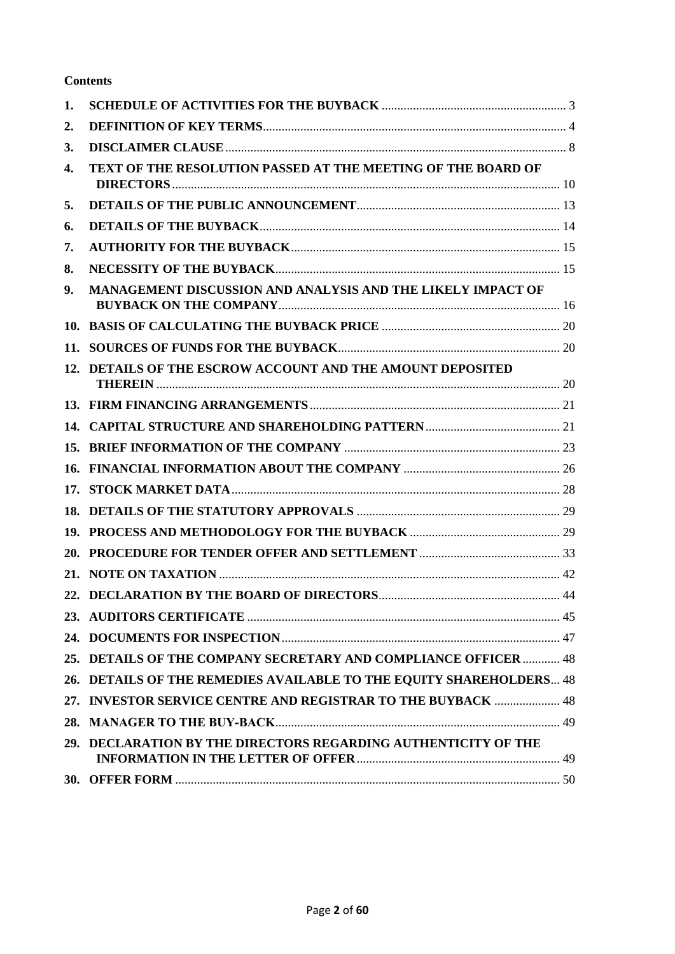# **Contents**

| 1.              |                                                                     |  |
|-----------------|---------------------------------------------------------------------|--|
| 2.              |                                                                     |  |
| 3.              |                                                                     |  |
| 4.              | TEXT OF THE RESOLUTION PASSED AT THE MEETING OF THE BOARD OF        |  |
| 5.              |                                                                     |  |
| 6.              |                                                                     |  |
| 7.              |                                                                     |  |
| 8.              |                                                                     |  |
| 9.              | MANAGEMENT DISCUSSION AND ANALYSIS AND THE LIKELY IMPACT OF         |  |
|                 |                                                                     |  |
|                 |                                                                     |  |
|                 | 12. DETAILS OF THE ESCROW ACCOUNT AND THE AMOUNT DEPOSITED          |  |
|                 |                                                                     |  |
|                 |                                                                     |  |
|                 |                                                                     |  |
| 16.             |                                                                     |  |
| 17.             |                                                                     |  |
| 18.             |                                                                     |  |
| 19 <sub>1</sub> |                                                                     |  |
|                 |                                                                     |  |
|                 |                                                                     |  |
|                 |                                                                     |  |
|                 |                                                                     |  |
|                 |                                                                     |  |
|                 | 25. DETAILS OF THE COMPANY SECRETARY AND COMPLIANCE OFFICER  48     |  |
|                 | 26. DETAILS OF THE REMEDIES AVAILABLE TO THE EQUITY SHAREHOLDERS 48 |  |
|                 | 27. INVESTOR SERVICE CENTRE AND REGISTRAR TO THE BUYBACK  48        |  |
|                 |                                                                     |  |
|                 | 29. DECLARATION BY THE DIRECTORS REGARDING AUTHENTICITY OF THE      |  |
|                 |                                                                     |  |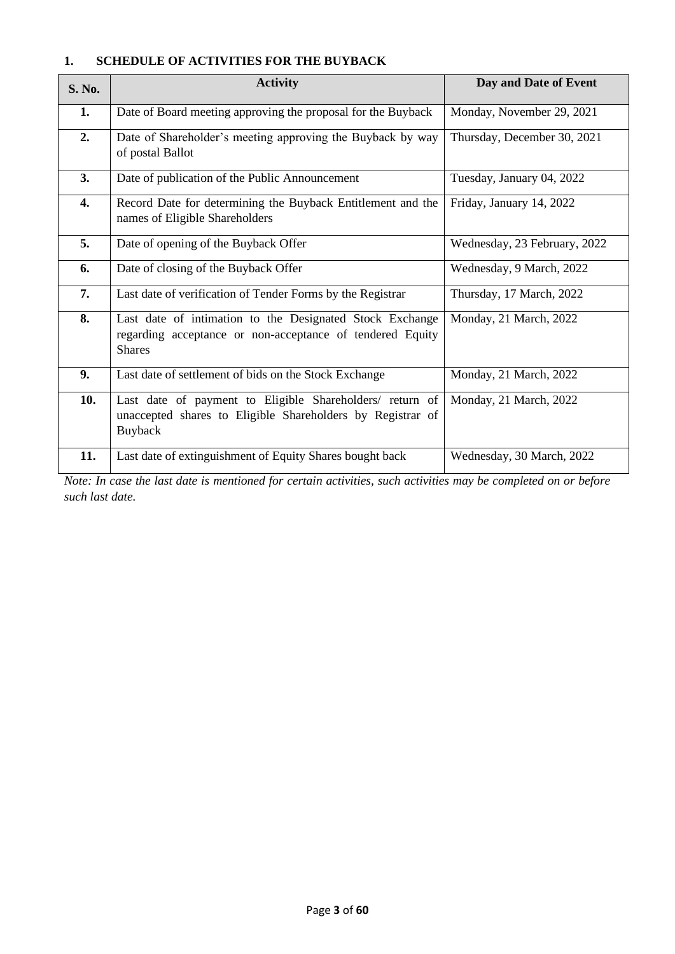# <span id="page-2-0"></span>**1. SCHEDULE OF ACTIVITIES FOR THE BUYBACK**

| S. No. | <b>Activity</b>                                                                                                                                                  | Day and Date of Event        |  |  |
|--------|------------------------------------------------------------------------------------------------------------------------------------------------------------------|------------------------------|--|--|
| 1.     | Date of Board meeting approving the proposal for the Buyback                                                                                                     | Monday, November 29, 2021    |  |  |
| 2.     | Date of Shareholder's meeting approving the Buyback by way<br>of postal Ballot                                                                                   | Thursday, December 30, 2021  |  |  |
| 3.     | Date of publication of the Public Announcement<br>Tuesday, January 04, 2022                                                                                      |                              |  |  |
| 4.     | Record Date for determining the Buyback Entitlement and the<br>names of Eligible Shareholders                                                                    | Friday, January 14, 2022     |  |  |
| 5.     | Date of opening of the Buyback Offer                                                                                                                             | Wednesday, 23 February, 2022 |  |  |
| 6.     | Date of closing of the Buyback Offer                                                                                                                             | Wednesday, 9 March, 2022     |  |  |
| 7.     | Last date of verification of Tender Forms by the Registrar<br>Thursday, 17 March, 2022                                                                           |                              |  |  |
| 8.     | Last date of intimation to the Designated Stock Exchange<br>Monday, 21 March, 2022<br>regarding acceptance or non-acceptance of tendered Equity<br><b>Shares</b> |                              |  |  |
| 9.     | Last date of settlement of bids on the Stock Exchange                                                                                                            | Monday, 21 March, 2022       |  |  |
| 10.    | Last date of payment to Eligible Shareholders/ return of<br>unaccepted shares to Eligible Shareholders by Registrar of<br>Buyback                                | Monday, 21 March, 2022       |  |  |
| 11.    | Last date of extinguishment of Equity Shares bought back<br>Wednesday, 30 March, 2022                                                                            |                              |  |  |

*Note: In case the last date is mentioned for certain activities, such activities may be completed on or before such last date.*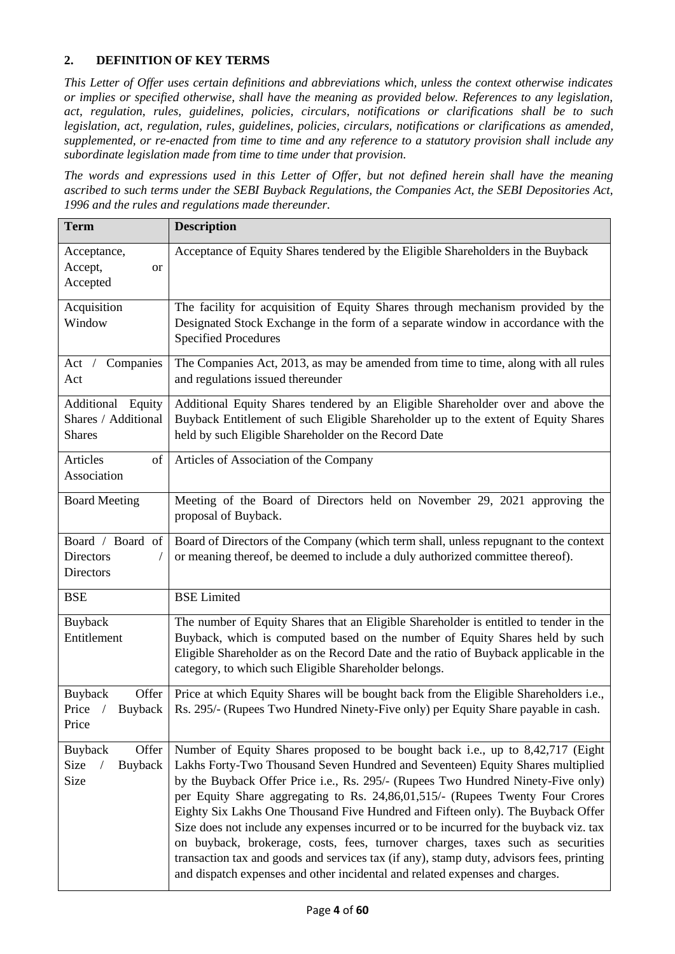# <span id="page-3-0"></span>**2. DEFINITION OF KEY TERMS**

*This Letter of Offer uses certain definitions and abbreviations which, unless the context otherwise indicates or implies or specified otherwise, shall have the meaning as provided below. References to any legislation, act, regulation, rules, guidelines, policies, circulars, notifications or clarifications shall be to such legislation, act, regulation, rules, guidelines, policies, circulars, notifications or clarifications as amended, supplemented, or re-enacted from time to time and any reference to a statutory provision shall include any subordinate legislation made from time to time under that provision.* 

*The words and expressions used in this Letter of Offer, but not defined herein shall have the meaning ascribed to such terms under the SEBI Buyback Regulations, the Companies Act, the SEBI Depositories Act, 1996 and the rules and regulations made thereunder.*

| <b>Term</b>                                               | <b>Description</b>                                                                                                                                                                                                                                                                                                                                                                                                                                                                                                                                                                                                                                                                                                                                                               |  |  |  |
|-----------------------------------------------------------|----------------------------------------------------------------------------------------------------------------------------------------------------------------------------------------------------------------------------------------------------------------------------------------------------------------------------------------------------------------------------------------------------------------------------------------------------------------------------------------------------------------------------------------------------------------------------------------------------------------------------------------------------------------------------------------------------------------------------------------------------------------------------------|--|--|--|
| Acceptance,<br>Accept,<br><b>or</b><br>Accepted           | Acceptance of Equity Shares tendered by the Eligible Shareholders in the Buyback                                                                                                                                                                                                                                                                                                                                                                                                                                                                                                                                                                                                                                                                                                 |  |  |  |
| Acquisition<br>Window                                     | The facility for acquisition of Equity Shares through mechanism provided by the<br>Designated Stock Exchange in the form of a separate window in accordance with the<br><b>Specified Procedures</b>                                                                                                                                                                                                                                                                                                                                                                                                                                                                                                                                                                              |  |  |  |
| Companies<br>Act<br>Act                                   | The Companies Act, 2013, as may be amended from time to time, along with all rules<br>and regulations issued thereunder                                                                                                                                                                                                                                                                                                                                                                                                                                                                                                                                                                                                                                                          |  |  |  |
| Additional Equity<br>Shares / Additional<br><b>Shares</b> | Additional Equity Shares tendered by an Eligible Shareholder over and above the<br>Buyback Entitlement of such Eligible Shareholder up to the extent of Equity Shares<br>held by such Eligible Shareholder on the Record Date                                                                                                                                                                                                                                                                                                                                                                                                                                                                                                                                                    |  |  |  |
| Articles<br>of<br>Association                             | Articles of Association of the Company                                                                                                                                                                                                                                                                                                                                                                                                                                                                                                                                                                                                                                                                                                                                           |  |  |  |
| <b>Board Meeting</b>                                      | Meeting of the Board of Directors held on November 29, 2021 approving the<br>proposal of Buyback.                                                                                                                                                                                                                                                                                                                                                                                                                                                                                                                                                                                                                                                                                |  |  |  |
| Board / Board of<br>Directors<br>Directors                | Board of Directors of the Company (which term shall, unless repugnant to the context<br>or meaning thereof, be deemed to include a duly authorized committee thereof).                                                                                                                                                                                                                                                                                                                                                                                                                                                                                                                                                                                                           |  |  |  |
| <b>BSE</b>                                                | <b>BSE</b> Limited                                                                                                                                                                                                                                                                                                                                                                                                                                                                                                                                                                                                                                                                                                                                                               |  |  |  |
| Buyback<br>Entitlement                                    | The number of Equity Shares that an Eligible Shareholder is entitled to tender in the<br>Buyback, which is computed based on the number of Equity Shares held by such<br>Eligible Shareholder as on the Record Date and the ratio of Buyback applicable in the<br>category, to which such Eligible Shareholder belongs.                                                                                                                                                                                                                                                                                                                                                                                                                                                          |  |  |  |
| Offer<br>Buyback<br>Price<br>Buyback<br>Price             | Price at which Equity Shares will be bought back from the Eligible Shareholders i.e.,<br>Rs. 295/- (Rupees Two Hundred Ninety-Five only) per Equity Share payable in cash.                                                                                                                                                                                                                                                                                                                                                                                                                                                                                                                                                                                                       |  |  |  |
| Offer<br><b>Buyback</b><br>Buyback<br>Size<br>Size        | Number of Equity Shares proposed to be bought back i.e., up to 8,42,717 (Eight<br>Lakhs Forty-Two Thousand Seven Hundred and Seventeen) Equity Shares multiplied<br>by the Buyback Offer Price i.e., Rs. 295/- (Rupees Two Hundred Ninety-Five only)<br>per Equity Share aggregating to Rs. 24,86,01,515/- (Rupees Twenty Four Crores<br>Eighty Six Lakhs One Thousand Five Hundred and Fifteen only). The Buyback Offer<br>Size does not include any expenses incurred or to be incurred for the buyback viz. tax<br>on buyback, brokerage, costs, fees, turnover charges, taxes such as securities<br>transaction tax and goods and services tax (if any), stamp duty, advisors fees, printing<br>and dispatch expenses and other incidental and related expenses and charges. |  |  |  |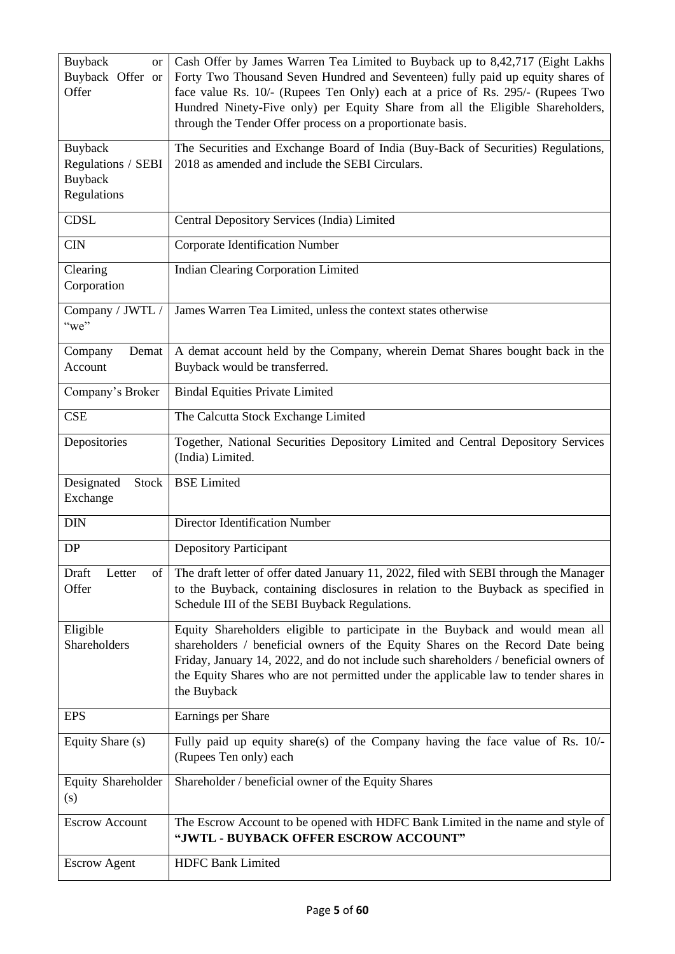| Buyback<br><sub>or</sub><br>Buyback Offer or<br>Offer          | Cash Offer by James Warren Tea Limited to Buyback up to 8,42,717 (Eight Lakhs<br>Forty Two Thousand Seven Hundred and Seventeen) fully paid up equity shares of<br>face value Rs. 10/- (Rupees Ten Only) each at a price of Rs. 295/- (Rupees Two<br>Hundred Ninety-Five only) per Equity Share from all the Eligible Shareholders,<br>through the Tender Offer process on a proportionate basis. |
|----------------------------------------------------------------|---------------------------------------------------------------------------------------------------------------------------------------------------------------------------------------------------------------------------------------------------------------------------------------------------------------------------------------------------------------------------------------------------|
| Buyback<br>Regulations / SEBI<br><b>Buyback</b><br>Regulations | The Securities and Exchange Board of India (Buy-Back of Securities) Regulations,<br>2018 as amended and include the SEBI Circulars.                                                                                                                                                                                                                                                               |
| <b>CDSL</b>                                                    | Central Depository Services (India) Limited                                                                                                                                                                                                                                                                                                                                                       |
| <b>CIN</b>                                                     | Corporate Identification Number                                                                                                                                                                                                                                                                                                                                                                   |
| Clearing<br>Corporation                                        | <b>Indian Clearing Corporation Limited</b>                                                                                                                                                                                                                                                                                                                                                        |
| Company / JWTL /<br>"we"                                       | James Warren Tea Limited, unless the context states otherwise                                                                                                                                                                                                                                                                                                                                     |
| Company<br>Demat<br>Account                                    | A demat account held by the Company, wherein Demat Shares bought back in the<br>Buyback would be transferred.                                                                                                                                                                                                                                                                                     |
| Company's Broker                                               | <b>Bindal Equities Private Limited</b>                                                                                                                                                                                                                                                                                                                                                            |
| <b>CSE</b>                                                     | The Calcutta Stock Exchange Limited                                                                                                                                                                                                                                                                                                                                                               |
| Depositories                                                   | Together, National Securities Depository Limited and Central Depository Services<br>(India) Limited.                                                                                                                                                                                                                                                                                              |
| Designated<br>Stock<br>Exchange                                | <b>BSE</b> Limited                                                                                                                                                                                                                                                                                                                                                                                |
| <b>DIN</b>                                                     | Director Identification Number                                                                                                                                                                                                                                                                                                                                                                    |
| DP                                                             | <b>Depository Participant</b>                                                                                                                                                                                                                                                                                                                                                                     |
| Draft<br>Letter<br>of<br>Offer                                 | The draft letter of offer dated January 11, 2022, filed with SEBI through the Manager<br>to the Buyback, containing disclosures in relation to the Buyback as specified in<br>Schedule III of the SEBI Buyback Regulations.                                                                                                                                                                       |
| Eligible<br>Shareholders                                       | Equity Shareholders eligible to participate in the Buyback and would mean all<br>shareholders / beneficial owners of the Equity Shares on the Record Date being<br>Friday, January 14, 2022, and do not include such shareholders / beneficial owners of<br>the Equity Shares who are not permitted under the applicable law to tender shares in<br>the Buyback                                   |
| <b>EPS</b>                                                     | Earnings per Share                                                                                                                                                                                                                                                                                                                                                                                |
| Equity Share (s)                                               | Fully paid up equity share(s) of the Company having the face value of Rs. 10/-<br>(Rupees Ten only) each                                                                                                                                                                                                                                                                                          |
| Equity Shareholder<br>(s)                                      | Shareholder / beneficial owner of the Equity Shares                                                                                                                                                                                                                                                                                                                                               |
| <b>Escrow Account</b>                                          | The Escrow Account to be opened with HDFC Bank Limited in the name and style of<br>"JWTL - BUYBACK OFFER ESCROW ACCOUNT"                                                                                                                                                                                                                                                                          |
| <b>Escrow Agent</b>                                            | <b>HDFC Bank Limited</b>                                                                                                                                                                                                                                                                                                                                                                          |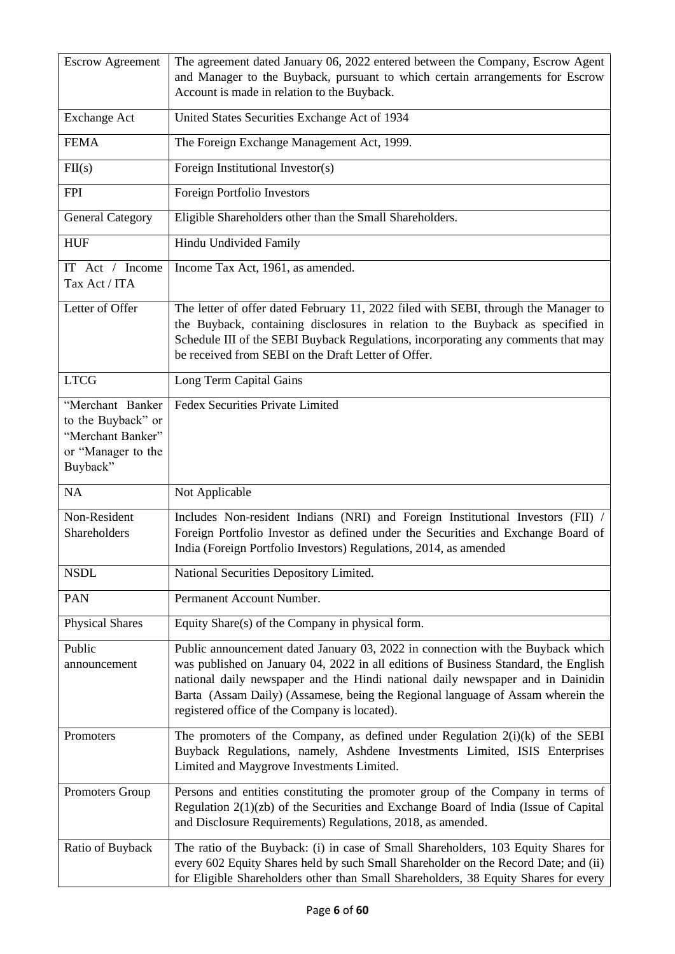| <b>Escrow Agreement</b>                                                                       | The agreement dated January 06, 2022 entered between the Company, Escrow Agent<br>and Manager to the Buyback, pursuant to which certain arrangements for Escrow<br>Account is made in relation to the Buyback.                                                                                                                                                                                |  |  |
|-----------------------------------------------------------------------------------------------|-----------------------------------------------------------------------------------------------------------------------------------------------------------------------------------------------------------------------------------------------------------------------------------------------------------------------------------------------------------------------------------------------|--|--|
| <b>Exchange Act</b>                                                                           | United States Securities Exchange Act of 1934                                                                                                                                                                                                                                                                                                                                                 |  |  |
| <b>FEMA</b>                                                                                   | The Foreign Exchange Management Act, 1999.                                                                                                                                                                                                                                                                                                                                                    |  |  |
| $\overline{FI}(s)$                                                                            | Foreign Institutional Investor(s)                                                                                                                                                                                                                                                                                                                                                             |  |  |
| <b>FPI</b>                                                                                    | Foreign Portfolio Investors                                                                                                                                                                                                                                                                                                                                                                   |  |  |
| <b>General Category</b>                                                                       | Eligible Shareholders other than the Small Shareholders.                                                                                                                                                                                                                                                                                                                                      |  |  |
| <b>HUF</b>                                                                                    | Hindu Undivided Family                                                                                                                                                                                                                                                                                                                                                                        |  |  |
| IT Act / Income<br>Tax Act / ITA                                                              | Income Tax Act, 1961, as amended.                                                                                                                                                                                                                                                                                                                                                             |  |  |
| Letter of Offer                                                                               | The letter of offer dated February 11, 2022 filed with SEBI, through the Manager to<br>the Buyback, containing disclosures in relation to the Buyback as specified in<br>Schedule III of the SEBI Buyback Regulations, incorporating any comments that may<br>be received from SEBI on the Draft Letter of Offer.                                                                             |  |  |
| <b>LTCG</b>                                                                                   | Long Term Capital Gains                                                                                                                                                                                                                                                                                                                                                                       |  |  |
| "Merchant Banker<br>to the Buyback" or<br>"Merchant Banker"<br>or "Manager to the<br>Buyback" | <b>Fedex Securities Private Limited</b>                                                                                                                                                                                                                                                                                                                                                       |  |  |
| <b>NA</b>                                                                                     | Not Applicable                                                                                                                                                                                                                                                                                                                                                                                |  |  |
| Non-Resident<br>Shareholders                                                                  | Includes Non-resident Indians (NRI) and Foreign Institutional Investors (FII) /<br>Foreign Portfolio Investor as defined under the Securities and Exchange Board of<br>India (Foreign Portfolio Investors) Regulations, 2014, as amended                                                                                                                                                      |  |  |
| <b>NSDL</b>                                                                                   | National Securities Depository Limited.                                                                                                                                                                                                                                                                                                                                                       |  |  |
| <b>PAN</b>                                                                                    | Permanent Account Number.                                                                                                                                                                                                                                                                                                                                                                     |  |  |
| <b>Physical Shares</b>                                                                        | Equity Share(s) of the Company in physical form.                                                                                                                                                                                                                                                                                                                                              |  |  |
| Public<br>announcement                                                                        | Public announcement dated January 03, 2022 in connection with the Buyback which<br>was published on January 04, 2022 in all editions of Business Standard, the English<br>national daily newspaper and the Hindi national daily newspaper and in Dainidin<br>Barta (Assam Daily) (Assamese, being the Regional language of Assam wherein the<br>registered office of the Company is located). |  |  |
| Promoters                                                                                     | The promoters of the Company, as defined under Regulation $2(i)(k)$ of the SEBI<br>Buyback Regulations, namely, Ashdene Investments Limited, ISIS Enterprises<br>Limited and Maygrove Investments Limited.                                                                                                                                                                                    |  |  |
| Promoters Group                                                                               | Persons and entities constituting the promoter group of the Company in terms of<br>Regulation $2(1)(zb)$ of the Securities and Exchange Board of India (Issue of Capital<br>and Disclosure Requirements) Regulations, 2018, as amended.                                                                                                                                                       |  |  |
| Ratio of Buyback                                                                              | The ratio of the Buyback: (i) in case of Small Shareholders, 103 Equity Shares for<br>every 602 Equity Shares held by such Small Shareholder on the Record Date; and (ii)<br>for Eligible Shareholders other than Small Shareholders, 38 Equity Shares for every                                                                                                                              |  |  |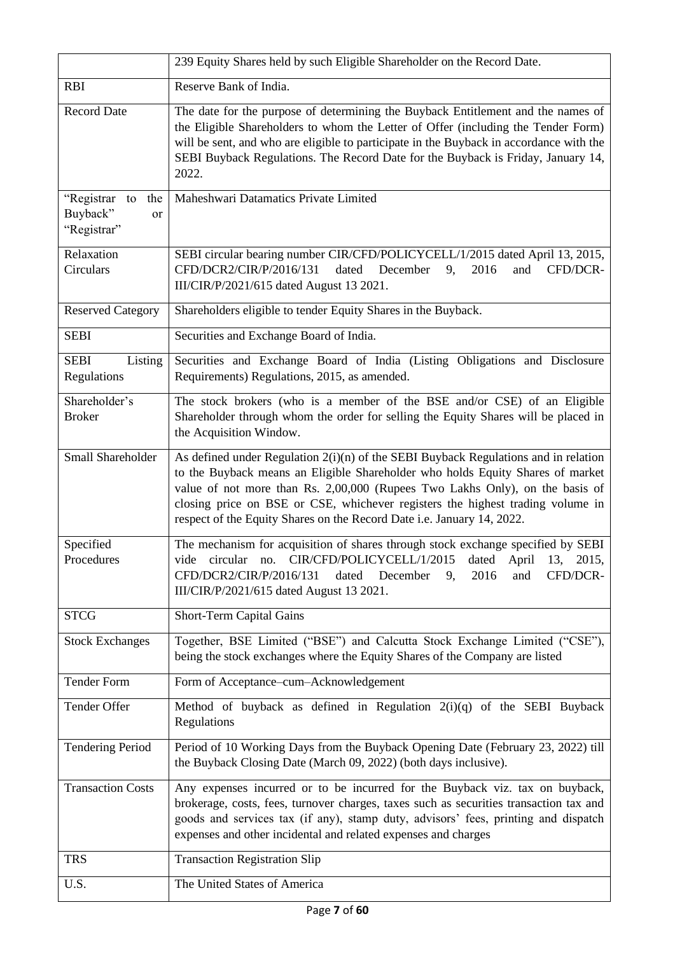|                                                                                                                                                                                                                                                                                                                                                                                                                                          | 239 Equity Shares held by such Eligible Shareholder on the Record Date.                                                                                                                                                                                                                                                                                       |  |  |  |
|------------------------------------------------------------------------------------------------------------------------------------------------------------------------------------------------------------------------------------------------------------------------------------------------------------------------------------------------------------------------------------------------------------------------------------------|---------------------------------------------------------------------------------------------------------------------------------------------------------------------------------------------------------------------------------------------------------------------------------------------------------------------------------------------------------------|--|--|--|
| <b>RBI</b>                                                                                                                                                                                                                                                                                                                                                                                                                               | Reserve Bank of India.                                                                                                                                                                                                                                                                                                                                        |  |  |  |
| <b>Record Date</b>                                                                                                                                                                                                                                                                                                                                                                                                                       | The date for the purpose of determining the Buyback Entitlement and the names of<br>the Eligible Shareholders to whom the Letter of Offer (including the Tender Form)<br>will be sent, and who are eligible to participate in the Buyback in accordance with the<br>SEBI Buyback Regulations. The Record Date for the Buyback is Friday, January 14,<br>2022. |  |  |  |
| "Registrar<br>to<br>the<br>Buyback"<br>or<br>"Registrar"                                                                                                                                                                                                                                                                                                                                                                                 | Maheshwari Datamatics Private Limited                                                                                                                                                                                                                                                                                                                         |  |  |  |
| Relaxation<br>Circulars                                                                                                                                                                                                                                                                                                                                                                                                                  | SEBI circular bearing number CIR/CFD/POLICYCELL/1/2015 dated April 13, 2015,<br>CFD/DCR2/CIR/P/2016/131<br>dated<br>December<br>2016<br>CFD/DCR-<br>9,<br>and<br>III/CIR/P/2021/615 dated August 13 2021.                                                                                                                                                     |  |  |  |
| <b>Reserved Category</b>                                                                                                                                                                                                                                                                                                                                                                                                                 | Shareholders eligible to tender Equity Shares in the Buyback.                                                                                                                                                                                                                                                                                                 |  |  |  |
| <b>SEBI</b>                                                                                                                                                                                                                                                                                                                                                                                                                              | Securities and Exchange Board of India.                                                                                                                                                                                                                                                                                                                       |  |  |  |
| Listing<br><b>SEBI</b><br>Regulations                                                                                                                                                                                                                                                                                                                                                                                                    | Securities and Exchange Board of India (Listing Obligations and Disclosure<br>Requirements) Regulations, 2015, as amended.                                                                                                                                                                                                                                    |  |  |  |
| Shareholder's<br><b>Broker</b>                                                                                                                                                                                                                                                                                                                                                                                                           | The stock brokers (who is a member of the BSE and/or CSE) of an Eligible<br>Shareholder through whom the order for selling the Equity Shares will be placed in<br>the Acquisition Window.                                                                                                                                                                     |  |  |  |
| Small Shareholder<br>As defined under Regulation $2(i)(n)$ of the SEBI Buyback Regulations and in relation<br>to the Buyback means an Eligible Shareholder who holds Equity Shares of market<br>value of not more than Rs. 2,00,000 (Rupees Two Lakhs Only), on the basis of<br>closing price on BSE or CSE, whichever registers the highest trading volume in<br>respect of the Equity Shares on the Record Date i.e. January 14, 2022. |                                                                                                                                                                                                                                                                                                                                                               |  |  |  |
| Specified<br>Procedures                                                                                                                                                                                                                                                                                                                                                                                                                  | The mechanism for acquisition of shares through stock exchange specified by SEBI<br>vide circular no. CIR/CFD/POLICYCELL/1/2015 dated April 13, 2015,<br>CFD/DCR2/CIR/P/2016/131<br>dated December<br>2016<br>CFD/DCR-<br>9,<br>and<br>III/CIR/P/2021/615 dated August 13 2021.                                                                               |  |  |  |
| <b>STCG</b>                                                                                                                                                                                                                                                                                                                                                                                                                              | Short-Term Capital Gains                                                                                                                                                                                                                                                                                                                                      |  |  |  |
| <b>Stock Exchanges</b>                                                                                                                                                                                                                                                                                                                                                                                                                   | Together, BSE Limited ("BSE") and Calcutta Stock Exchange Limited ("CSE"),<br>being the stock exchanges where the Equity Shares of the Company are listed                                                                                                                                                                                                     |  |  |  |
| <b>Tender Form</b>                                                                                                                                                                                                                                                                                                                                                                                                                       | Form of Acceptance-cum-Acknowledgement                                                                                                                                                                                                                                                                                                                        |  |  |  |
| Tender Offer                                                                                                                                                                                                                                                                                                                                                                                                                             | Method of buyback as defined in Regulation $2(i)(q)$ of the SEBI Buyback<br>Regulations                                                                                                                                                                                                                                                                       |  |  |  |
| <b>Tendering Period</b>                                                                                                                                                                                                                                                                                                                                                                                                                  | Period of 10 Working Days from the Buyback Opening Date (February 23, 2022) till<br>the Buyback Closing Date (March 09, 2022) (both days inclusive).                                                                                                                                                                                                          |  |  |  |
| <b>Transaction Costs</b>                                                                                                                                                                                                                                                                                                                                                                                                                 | Any expenses incurred or to be incurred for the Buyback viz. tax on buyback,<br>brokerage, costs, fees, turnover charges, taxes such as securities transaction tax and<br>goods and services tax (if any), stamp duty, advisors' fees, printing and dispatch<br>expenses and other incidental and related expenses and charges                                |  |  |  |
| <b>TRS</b>                                                                                                                                                                                                                                                                                                                                                                                                                               | <b>Transaction Registration Slip</b>                                                                                                                                                                                                                                                                                                                          |  |  |  |
| U.S.                                                                                                                                                                                                                                                                                                                                                                                                                                     | The United States of America                                                                                                                                                                                                                                                                                                                                  |  |  |  |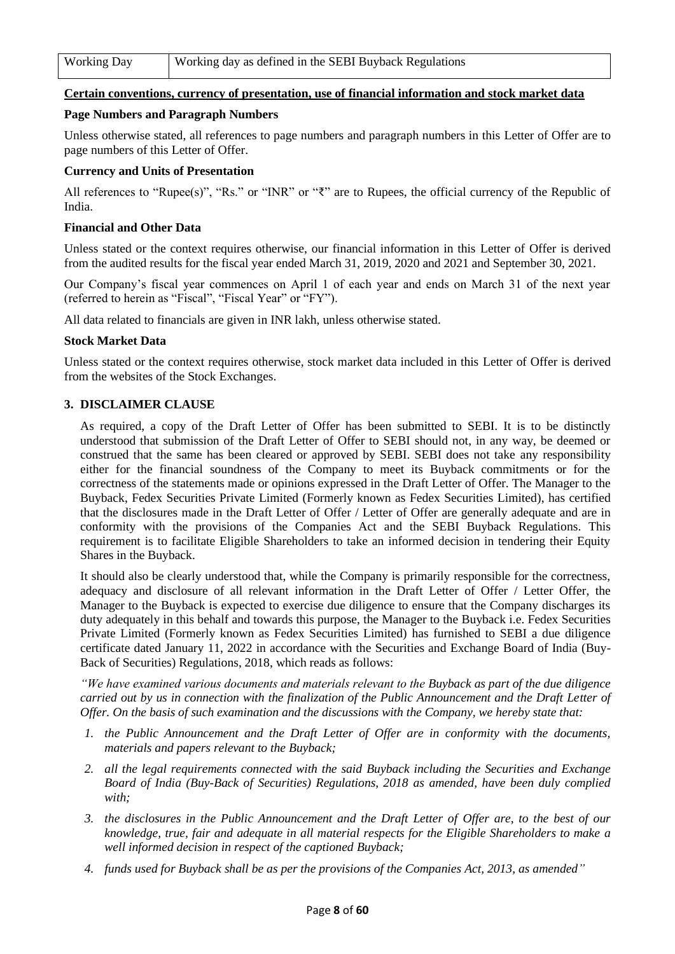| <b>Working Day</b> | Working day as defined in the SEBI Buyback Regulations |
|--------------------|--------------------------------------------------------|
|                    |                                                        |

### **Certain conventions, currency of presentation, use of financial information and stock market data**

#### **Page Numbers and Paragraph Numbers**

Unless otherwise stated, all references to page numbers and paragraph numbers in this Letter of Offer are to page numbers of this Letter of Offer.

#### **Currency and Units of Presentation**

All references to "Rupee(s)", "Rs." or "INR" or "₹" are to Rupees, the official currency of the Republic of India.

#### **Financial and Other Data**

Unless stated or the context requires otherwise, our financial information in this Letter of Offer is derived from the audited results for the fiscal year ended March 31, 2019, 2020 and 2021 and September 30, 2021.

Our Company's fiscal year commences on April 1 of each year and ends on March 31 of the next year (referred to herein as "Fiscal", "Fiscal Year" or "FY").

All data related to financials are given in INR lakh, unless otherwise stated.

#### **Stock Market Data**

Unless stated or the context requires otherwise, stock market data included in this Letter of Offer is derived from the websites of the Stock Exchanges.

#### <span id="page-7-0"></span>**3. DISCLAIMER CLAUSE**

As required, a copy of the Draft Letter of Offer has been submitted to SEBI. It is to be distinctly understood that submission of the Draft Letter of Offer to SEBI should not, in any way, be deemed or construed that the same has been cleared or approved by SEBI. SEBI does not take any responsibility either for the financial soundness of the Company to meet its Buyback commitments or for the correctness of the statements made or opinions expressed in the Draft Letter of Offer. The Manager to the Buyback, Fedex Securities Private Limited (Formerly known as Fedex Securities Limited), has certified that the disclosures made in the Draft Letter of Offer / Letter of Offer are generally adequate and are in conformity with the provisions of the Companies Act and the SEBI Buyback Regulations. This requirement is to facilitate Eligible Shareholders to take an informed decision in tendering their Equity Shares in the Buyback.

It should also be clearly understood that, while the Company is primarily responsible for the correctness, adequacy and disclosure of all relevant information in the Draft Letter of Offer / Letter Offer, the Manager to the Buyback is expected to exercise due diligence to ensure that the Company discharges its duty adequately in this behalf and towards this purpose, the Manager to the Buyback i.e. Fedex Securities Private Limited (Formerly known as Fedex Securities Limited) has furnished to SEBI a due diligence certificate dated January 11, 2022 in accordance with the Securities and Exchange Board of India (Buy-Back of Securities) Regulations, 2018, which reads as follows:

*"We have examined various documents and materials relevant to the Buyback as part of the due diligence carried out by us in connection with the finalization of the Public Announcement and the Draft Letter of Offer. On the basis of such examination and the discussions with the Company, we hereby state that:* 

- *1. the Public Announcement and the Draft Letter of Offer are in conformity with the documents, materials and papers relevant to the Buyback;*
- *2. all the legal requirements connected with the said Buyback including the Securities and Exchange Board of India (Buy-Back of Securities) Regulations, 2018 as amended, have been duly complied with;*
- *3. the disclosures in the Public Announcement and the Draft Letter of Offer are, to the best of our knowledge, true, fair and adequate in all material respects for the Eligible Shareholders to make a well informed decision in respect of the captioned Buyback;*
- *4. funds used for Buyback shall be as per the provisions of the Companies Act, 2013, as amended"*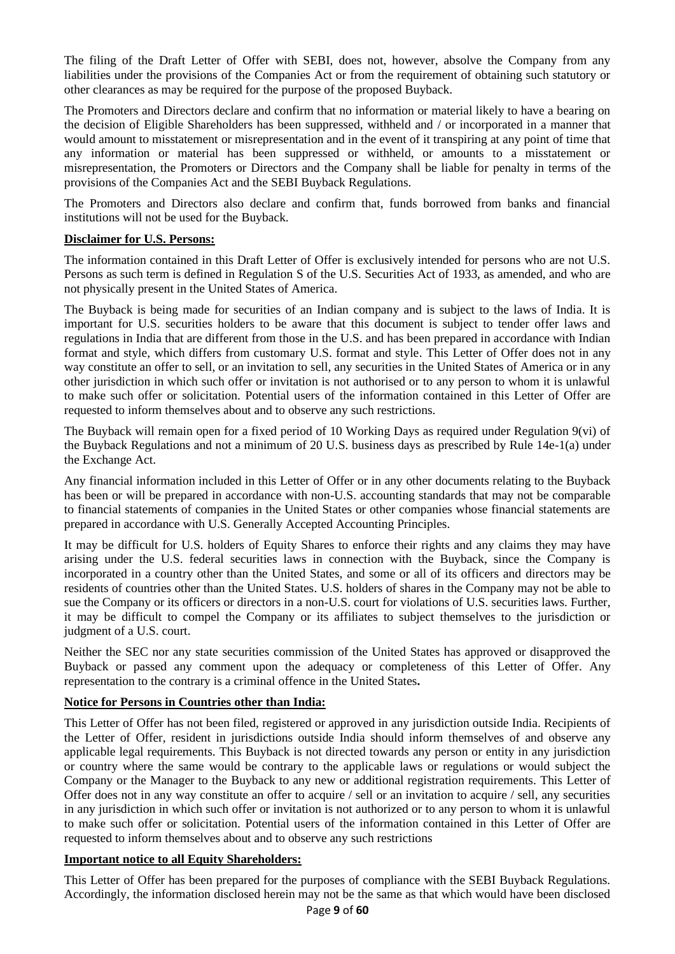The filing of the Draft Letter of Offer with SEBI, does not, however, absolve the Company from any liabilities under the provisions of the Companies Act or from the requirement of obtaining such statutory or other clearances as may be required for the purpose of the proposed Buyback.

The Promoters and Directors declare and confirm that no information or material likely to have a bearing on the decision of Eligible Shareholders has been suppressed, withheld and / or incorporated in a manner that would amount to misstatement or misrepresentation and in the event of it transpiring at any point of time that any information or material has been suppressed or withheld, or amounts to a misstatement or misrepresentation, the Promoters or Directors and the Company shall be liable for penalty in terms of the provisions of the Companies Act and the SEBI Buyback Regulations.

The Promoters and Directors also declare and confirm that, funds borrowed from banks and financial institutions will not be used for the Buyback.

#### **Disclaimer for U.S. Persons:**

The information contained in this Draft Letter of Offer is exclusively intended for persons who are not U.S. Persons as such term is defined in Regulation S of the U.S. Securities Act of 1933, as amended, and who are not physically present in the United States of America.

The Buyback is being made for securities of an Indian company and is subject to the laws of India. It is important for U.S. securities holders to be aware that this document is subject to tender offer laws and regulations in India that are different from those in the U.S. and has been prepared in accordance with Indian format and style, which differs from customary U.S. format and style. This Letter of Offer does not in any way constitute an offer to sell, or an invitation to sell, any securities in the United States of America or in any other jurisdiction in which such offer or invitation is not authorised or to any person to whom it is unlawful to make such offer or solicitation. Potential users of the information contained in this Letter of Offer are requested to inform themselves about and to observe any such restrictions.

The Buyback will remain open for a fixed period of 10 Working Days as required under Regulation 9(vi) of the Buyback Regulations and not a minimum of 20 U.S. business days as prescribed by Rule 14e-1(a) under the Exchange Act.

Any financial information included in this Letter of Offer or in any other documents relating to the Buyback has been or will be prepared in accordance with non-U.S. accounting standards that may not be comparable to financial statements of companies in the United States or other companies whose financial statements are prepared in accordance with U.S. Generally Accepted Accounting Principles.

It may be difficult for U.S. holders of Equity Shares to enforce their rights and any claims they may have arising under the U.S. federal securities laws in connection with the Buyback, since the Company is incorporated in a country other than the United States, and some or all of its officers and directors may be residents of countries other than the United States. U.S. holders of shares in the Company may not be able to sue the Company or its officers or directors in a non-U.S. court for violations of U.S. securities laws. Further, it may be difficult to compel the Company or its affiliates to subject themselves to the jurisdiction or judgment of a U.S. court.

Neither the SEC nor any state securities commission of the United States has approved or disapproved the Buyback or passed any comment upon the adequacy or completeness of this Letter of Offer. Any representation to the contrary is a criminal offence in the United States**.**

# **Notice for Persons in Countries other than India:**

This Letter of Offer has not been filed, registered or approved in any jurisdiction outside India. Recipients of the Letter of Offer, resident in jurisdictions outside India should inform themselves of and observe any applicable legal requirements. This Buyback is not directed towards any person or entity in any jurisdiction or country where the same would be contrary to the applicable laws or regulations or would subject the Company or the Manager to the Buyback to any new or additional registration requirements. This Letter of Offer does not in any way constitute an offer to acquire / sell or an invitation to acquire / sell, any securities in any jurisdiction in which such offer or invitation is not authorized or to any person to whom it is unlawful to make such offer or solicitation. Potential users of the information contained in this Letter of Offer are requested to inform themselves about and to observe any such restrictions

# **Important notice to all Equity Shareholders:**

This Letter of Offer has been prepared for the purposes of compliance with the SEBI Buyback Regulations. Accordingly, the information disclosed herein may not be the same as that which would have been disclosed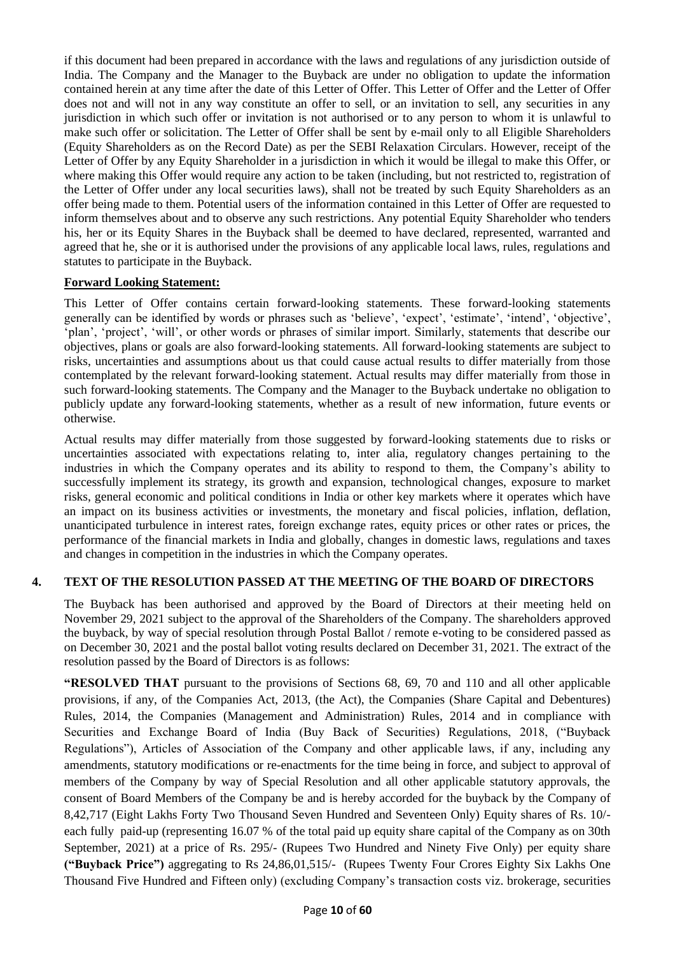if this document had been prepared in accordance with the laws and regulations of any jurisdiction outside of India. The Company and the Manager to the Buyback are under no obligation to update the information contained herein at any time after the date of this Letter of Offer. This Letter of Offer and the Letter of Offer does not and will not in any way constitute an offer to sell, or an invitation to sell, any securities in any jurisdiction in which such offer or invitation is not authorised or to any person to whom it is unlawful to make such offer or solicitation. The Letter of Offer shall be sent by e-mail only to all Eligible Shareholders (Equity Shareholders as on the Record Date) as per the SEBI Relaxation Circulars. However, receipt of the Letter of Offer by any Equity Shareholder in a jurisdiction in which it would be illegal to make this Offer, or where making this Offer would require any action to be taken (including, but not restricted to, registration of the Letter of Offer under any local securities laws), shall not be treated by such Equity Shareholders as an offer being made to them. Potential users of the information contained in this Letter of Offer are requested to inform themselves about and to observe any such restrictions. Any potential Equity Shareholder who tenders his, her or its Equity Shares in the Buyback shall be deemed to have declared, represented, warranted and agreed that he, she or it is authorised under the provisions of any applicable local laws, rules, regulations and statutes to participate in the Buyback.

### **Forward Looking Statement:**

This Letter of Offer contains certain forward-looking statements. These forward-looking statements generally can be identified by words or phrases such as 'believe', 'expect', 'estimate', 'intend', 'objective', 'plan', 'project', 'will', or other words or phrases of similar import. Similarly, statements that describe our objectives, plans or goals are also forward-looking statements. All forward-looking statements are subject to risks, uncertainties and assumptions about us that could cause actual results to differ materially from those contemplated by the relevant forward-looking statement. Actual results may differ materially from those in such forward-looking statements. The Company and the Manager to the Buyback undertake no obligation to publicly update any forward-looking statements, whether as a result of new information, future events or otherwise.

Actual results may differ materially from those suggested by forward-looking statements due to risks or uncertainties associated with expectations relating to, inter alia, regulatory changes pertaining to the industries in which the Company operates and its ability to respond to them, the Company's ability to successfully implement its strategy, its growth and expansion, technological changes, exposure to market risks, general economic and political conditions in India or other key markets where it operates which have an impact on its business activities or investments, the monetary and fiscal policies, inflation, deflation, unanticipated turbulence in interest rates, foreign exchange rates, equity prices or other rates or prices, the performance of the financial markets in India and globally, changes in domestic laws, regulations and taxes and changes in competition in the industries in which the Company operates.

# **4. TEXT OF THE RESOLUTION PASSED AT THE MEETING OF THE BOARD OF DIRECTORS**

<span id="page-9-0"></span>The Buyback has been authorised and approved by the Board of Directors at their meeting held on November 29, 2021 subject to the approval of the Shareholders of the Company. The shareholders approved the buyback, by way of special resolution through Postal Ballot / remote e-voting to be considered passed as on December 30, 2021 and the postal ballot voting results declared on December 31, 2021. The extract of the resolution passed by the Board of Directors is as follows:

**"RESOLVED THAT** pursuant to the provisions of Sections 68, 69, 70 and 110 and all other applicable provisions, if any, of the Companies Act, 2013, (the Act), the Companies (Share Capital and Debentures) Rules, 2014, the Companies (Management and Administration) Rules, 2014 and in compliance with Securities and Exchange Board of India (Buy Back of Securities) Regulations, 2018, ("Buyback Regulations"), Articles of Association of the Company and other applicable laws, if any, including any amendments, statutory modifications or re-enactments for the time being in force, and subject to approval of members of the Company by way of Special Resolution and all other applicable statutory approvals, the consent of Board Members of the Company be and is hereby accorded for the buyback by the Company of 8,42,717 (Eight Lakhs Forty Two Thousand Seven Hundred and Seventeen Only) Equity shares of Rs. 10/ each fully paid-up (representing 16.07 % of the total paid up equity share capital of the Company as on 30th September, 2021) at a price of Rs. 295/- (Rupees Two Hundred and Ninety Five Only) per equity share **("Buyback Price")** aggregating to Rs 24,86,01,515/- (Rupees Twenty Four Crores Eighty Six Lakhs One Thousand Five Hundred and Fifteen only) (excluding Company's transaction costs viz. brokerage, securities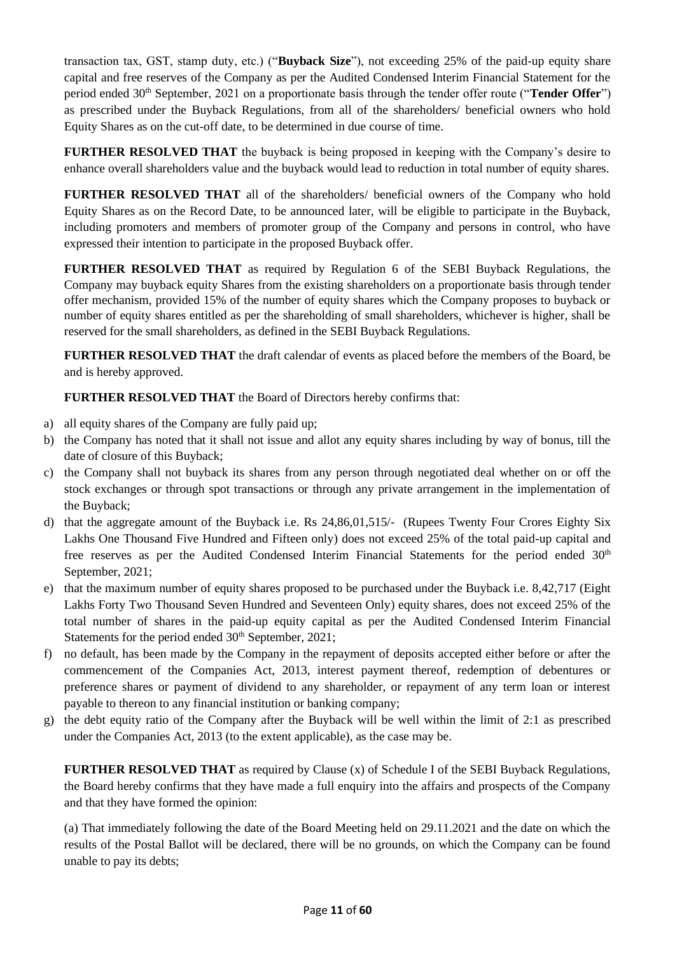transaction tax, GST, stamp duty, etc.) ("**Buyback Size**"), not exceeding 25% of the paid-up equity share capital and free reserves of the Company as per the Audited Condensed Interim Financial Statement for the period ended 30th September, 2021 on a proportionate basis through the tender offer route ("**Tender Offer**") as prescribed under the Buyback Regulations, from all of the shareholders/ beneficial owners who hold Equity Shares as on the cut-off date, to be determined in due course of time.

**FURTHER RESOLVED THAT** the buyback is being proposed in keeping with the Company's desire to enhance overall shareholders value and the buyback would lead to reduction in total number of equity shares.

**FURTHER RESOLVED THAT** all of the shareholders/ beneficial owners of the Company who hold Equity Shares as on the Record Date, to be announced later, will be eligible to participate in the Buyback, including promoters and members of promoter group of the Company and persons in control, who have expressed their intention to participate in the proposed Buyback offer.

**FURTHER RESOLVED THAT** as required by Regulation 6 of the SEBI Buyback Regulations, the Company may buyback equity Shares from the existing shareholders on a proportionate basis through tender offer mechanism, provided 15% of the number of equity shares which the Company proposes to buyback or number of equity shares entitled as per the shareholding of small shareholders, whichever is higher, shall be reserved for the small shareholders, as defined in the SEBI Buyback Regulations.

**FURTHER RESOLVED THAT** the draft calendar of events as placed before the members of the Board, be and is hereby approved.

**FURTHER RESOLVED THAT** the Board of Directors hereby confirms that:

- a) all equity shares of the Company are fully paid up;
- b) the Company has noted that it shall not issue and allot any equity shares including by way of bonus, till the date of closure of this Buyback;
- c) the Company shall not buyback its shares from any person through negotiated deal whether on or off the stock exchanges or through spot transactions or through any private arrangement in the implementation of the Buyback;
- d) that the aggregate amount of the Buyback i.e. Rs 24,86,01,515/- (Rupees Twenty Four Crores Eighty Six Lakhs One Thousand Five Hundred and Fifteen only) does not exceed 25% of the total paid-up capital and free reserves as per the Audited Condensed Interim Financial Statements for the period ended 30<sup>th</sup> September, 2021;
- e) that the maximum number of equity shares proposed to be purchased under the Buyback i.e. 8,42,717 (Eight Lakhs Forty Two Thousand Seven Hundred and Seventeen Only) equity shares, does not exceed 25% of the total number of shares in the paid-up equity capital as per the Audited Condensed Interim Financial Statements for the period ended 30<sup>th</sup> September, 2021;
- f) no default, has been made by the Company in the repayment of deposits accepted either before or after the commencement of the Companies Act, 2013, interest payment thereof, redemption of debentures or preference shares or payment of dividend to any shareholder, or repayment of any term loan or interest payable to thereon to any financial institution or banking company;
- g) the debt equity ratio of the Company after the Buyback will be well within the limit of 2:1 as prescribed under the Companies Act, 2013 (to the extent applicable), as the case may be.

**FURTHER RESOLVED THAT** as required by Clause (x) of Schedule I of the SEBI Buyback Regulations, the Board hereby confirms that they have made a full enquiry into the affairs and prospects of the Company and that they have formed the opinion:

(a) That immediately following the date of the Board Meeting held on 29.11.2021 and the date on which the results of the Postal Ballot will be declared, there will be no grounds, on which the Company can be found unable to pay its debts;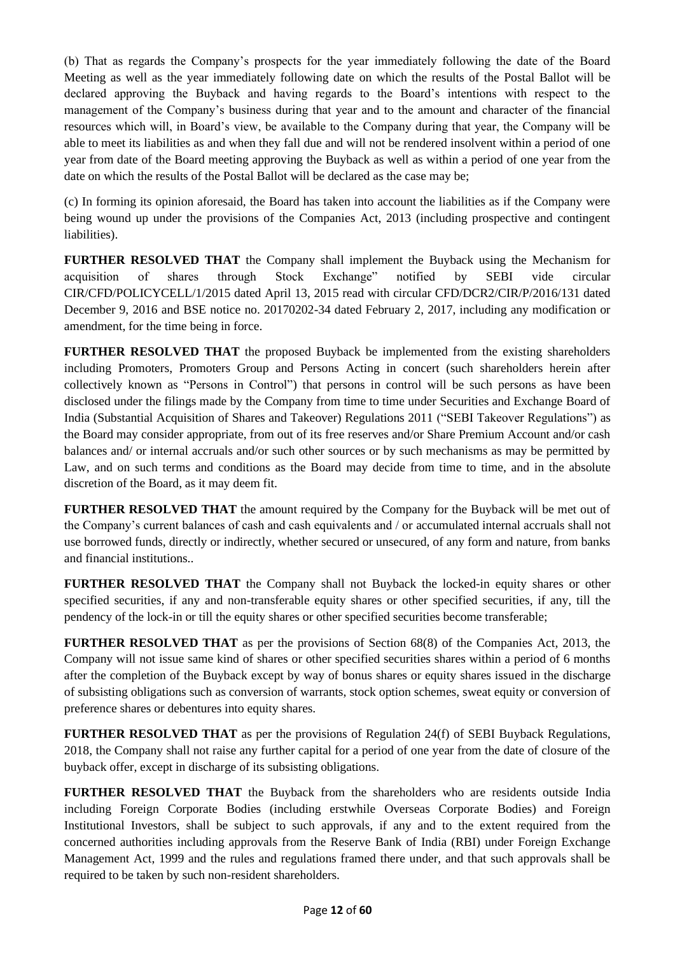(b) That as regards the Company's prospects for the year immediately following the date of the Board Meeting as well as the year immediately following date on which the results of the Postal Ballot will be declared approving the Buyback and having regards to the Board's intentions with respect to the management of the Company's business during that year and to the amount and character of the financial resources which will, in Board's view, be available to the Company during that year, the Company will be able to meet its liabilities as and when they fall due and will not be rendered insolvent within a period of one year from date of the Board meeting approving the Buyback as well as within a period of one year from the date on which the results of the Postal Ballot will be declared as the case may be;

(c) In forming its opinion aforesaid, the Board has taken into account the liabilities as if the Company were being wound up under the provisions of the Companies Act, 2013 (including prospective and contingent liabilities).

**FURTHER RESOLVED THAT** the Company shall implement the Buyback using the Mechanism for acquisition of shares through Stock Exchange" notified by SEBI vide circular CIR/CFD/POLICYCELL/1/2015 dated April 13, 2015 read with circular CFD/DCR2/CIR/P/2016/131 dated December 9, 2016 and BSE notice no. 20170202-34 dated February 2, 2017, including any modification or amendment, for the time being in force.

**FURTHER RESOLVED THAT** the proposed Buyback be implemented from the existing shareholders including Promoters, Promoters Group and Persons Acting in concert (such shareholders herein after collectively known as "Persons in Control") that persons in control will be such persons as have been disclosed under the filings made by the Company from time to time under Securities and Exchange Board of India (Substantial Acquisition of Shares and Takeover) Regulations 2011 ("SEBI Takeover Regulations") as the Board may consider appropriate, from out of its free reserves and/or Share Premium Account and/or cash balances and/ or internal accruals and/or such other sources or by such mechanisms as may be permitted by Law, and on such terms and conditions as the Board may decide from time to time, and in the absolute discretion of the Board, as it may deem fit.

**FURTHER RESOLVED THAT** the amount required by the Company for the Buyback will be met out of the Company's current balances of cash and cash equivalents and / or accumulated internal accruals shall not use borrowed funds, directly or indirectly, whether secured or unsecured, of any form and nature, from banks and financial institutions..

**FURTHER RESOLVED THAT** the Company shall not Buyback the locked-in equity shares or other specified securities, if any and non-transferable equity shares or other specified securities, if any, till the pendency of the lock-in or till the equity shares or other specified securities become transferable;

**FURTHER RESOLVED THAT** as per the provisions of Section 68(8) of the Companies Act, 2013, the Company will not issue same kind of shares or other specified securities shares within a period of 6 months after the completion of the Buyback except by way of bonus shares or equity shares issued in the discharge of subsisting obligations such as conversion of warrants, stock option schemes, sweat equity or conversion of preference shares or debentures into equity shares.

**FURTHER RESOLVED THAT** as per the provisions of Regulation 24(f) of SEBI Buyback Regulations, 2018, the Company shall not raise any further capital for a period of one year from the date of closure of the buyback offer, except in discharge of its subsisting obligations.

**FURTHER RESOLVED THAT** the Buyback from the shareholders who are residents outside India including Foreign Corporate Bodies (including erstwhile Overseas Corporate Bodies) and Foreign Institutional Investors, shall be subject to such approvals, if any and to the extent required from the concerned authorities including approvals from the Reserve Bank of India (RBI) under Foreign Exchange Management Act, 1999 and the rules and regulations framed there under, and that such approvals shall be required to be taken by such non-resident shareholders.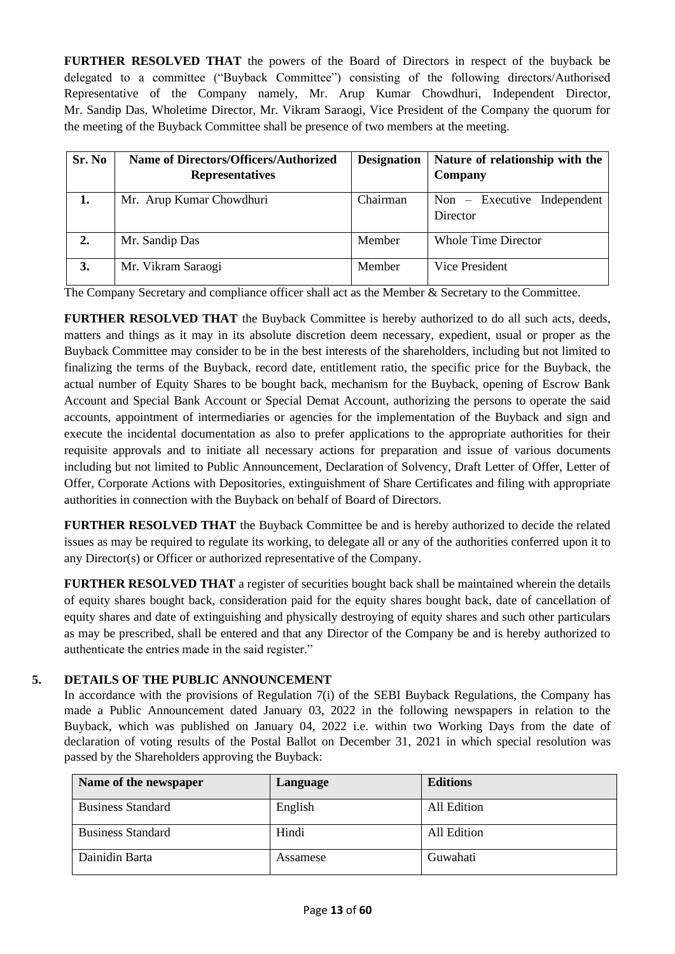**FURTHER RESOLVED THAT** the powers of the Board of Directors in respect of the buyback be delegated to a committee ("Buyback Committee") consisting of the following directors/Authorised Representative of the Company namely, Mr. Arup Kumar Chowdhuri, Independent Director, Mr. Sandip Das, Wholetime Director, Mr. Vikram Saraogi, Vice President of the Company the quorum for the meeting of the Buyback Committee shall be presence of two members at the meeting.

| Sr. No | <b>Name of Directors/Officers/Authorized</b><br><b>Representatives</b> | <b>Designation</b> | Nature of relationship with the<br>Company       |
|--------|------------------------------------------------------------------------|--------------------|--------------------------------------------------|
| 1.     | Mr. Arup Kumar Chowdhuri                                               | Chairman           | $\text{Non}$ – Executive Independent<br>Director |
| 2.     | Mr. Sandip Das                                                         | Member             | <b>Whole Time Director</b>                       |
| 3.     | Mr. Vikram Saraogi                                                     | Member             | Vice President                                   |

The Company Secretary and compliance officer shall act as the Member & Secretary to the Committee.

**FURTHER RESOLVED THAT** the Buyback Committee is hereby authorized to do all such acts, deeds, matters and things as it may in its absolute discretion deem necessary, expedient, usual or proper as the Buyback Committee may consider to be in the best interests of the shareholders, including but not limited to finalizing the terms of the Buyback, record date, entitlement ratio, the specific price for the Buyback, the actual number of Equity Shares to be bought back, mechanism for the Buyback, opening of Escrow Bank Account and Special Bank Account or Special Demat Account, authorizing the persons to operate the said accounts, appointment of intermediaries or agencies for the implementation of the Buyback and sign and execute the incidental documentation as also to prefer applications to the appropriate authorities for their requisite approvals and to initiate all necessary actions for preparation and issue of various documents including but not limited to Public Announcement, Declaration of Solvency, Draft Letter of Offer, Letter of Offer, Corporate Actions with Depositories, extinguishment of Share Certificates and filing with appropriate authorities in connection with the Buyback on behalf of Board of Directors.

**FURTHER RESOLVED THAT** the Buyback Committee be and is hereby authorized to decide the related issues as may be required to regulate its working, to delegate all or any of the authorities conferred upon it to any Director(s) or Officer or authorized representative of the Company.

**FURTHER RESOLVED THAT** a register of securities bought back shall be maintained wherein the details of equity shares bought back, consideration paid for the equity shares bought back, date of cancellation of equity shares and date of extinguishing and physically destroying of equity shares and such other particulars as may be prescribed, shall be entered and that any Director of the Company be and is hereby authorized to authenticate the entries made in the said register."

# **5. DETAILS OF THE PUBLIC ANNOUNCEMENT**

<span id="page-12-0"></span>In accordance with the provisions of Regulation 7(i) of the SEBI Buyback Regulations, the Company has made a Public Announcement dated January 03, 2022 in the following newspapers in relation to the Buyback, which was published on January 04, 2022 i.e. within two Working Days from the date of declaration of voting results of the Postal Ballot on December 31, 2021 in which special resolution was passed by the Shareholders approving the Buyback:

| Name of the newspaper    | Language | <b>Editions</b> |
|--------------------------|----------|-----------------|
| <b>Business Standard</b> | English  | All Edition     |
| <b>Business Standard</b> | Hindi    | All Edition     |
| Dainidin Barta           | Assamese | Guwahati        |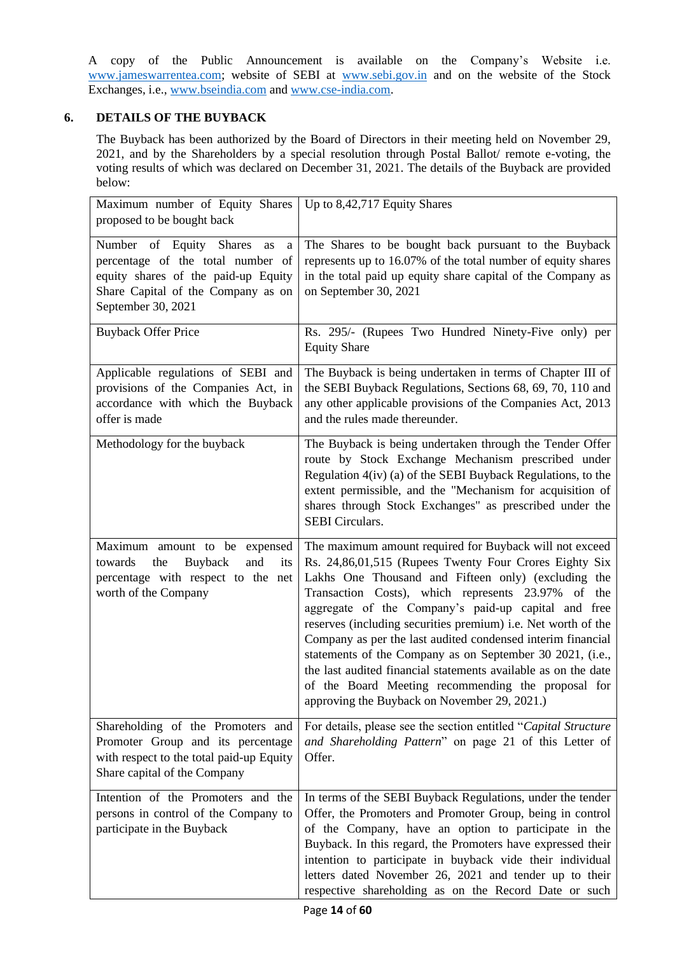A copy of the Public Announcement is available on the Company's Website i.e. [www.jameswarrentea.com;](http://www.jameswarrentea.com/) website of SEBI at [www.sebi.gov.in](http://www.sebi.gov.in/) and on the website of the Stock Exchanges, i.e., [www.bseindia.com](http://www.bseindia.com/) and [www.cse-india.com.](http://www.cse-india.com/)

# <span id="page-13-0"></span>**6. DETAILS OF THE BUYBACK**

The Buyback has been authorized by the Board of Directors in their meeting held on November 29, 2021, and by the Shareholders by a special resolution through Postal Ballot/ remote e-voting, the voting results of which was declared on December 31, 2021. The details of the Buyback are provided below:

| Maximum number of Equity Shares<br>proposed to be bought back                                                                                                              | Up to 8,42,717 Equity Shares                                                                                                                                                                                                                                                                                                                                                                                                                                                                                                                                                                                                                               |
|----------------------------------------------------------------------------------------------------------------------------------------------------------------------------|------------------------------------------------------------------------------------------------------------------------------------------------------------------------------------------------------------------------------------------------------------------------------------------------------------------------------------------------------------------------------------------------------------------------------------------------------------------------------------------------------------------------------------------------------------------------------------------------------------------------------------------------------------|
| Number of Equity Shares<br>as<br>a<br>percentage of the total number of<br>equity shares of the paid-up Equity<br>Share Capital of the Company as on<br>September 30, 2021 | The Shares to be bought back pursuant to the Buyback<br>represents up to 16.07% of the total number of equity shares<br>in the total paid up equity share capital of the Company as<br>on September 30, 2021                                                                                                                                                                                                                                                                                                                                                                                                                                               |
| <b>Buyback Offer Price</b>                                                                                                                                                 | Rs. 295/- (Rupees Two Hundred Ninety-Five only) per<br><b>Equity Share</b>                                                                                                                                                                                                                                                                                                                                                                                                                                                                                                                                                                                 |
| Applicable regulations of SEBI and<br>provisions of the Companies Act, in<br>accordance with which the Buyback<br>offer is made                                            | The Buyback is being undertaken in terms of Chapter III of<br>the SEBI Buyback Regulations, Sections 68, 69, 70, 110 and<br>any other applicable provisions of the Companies Act, 2013<br>and the rules made thereunder.                                                                                                                                                                                                                                                                                                                                                                                                                                   |
| Methodology for the buyback                                                                                                                                                | The Buyback is being undertaken through the Tender Offer<br>route by Stock Exchange Mechanism prescribed under<br>Regulation 4(iv) (a) of the SEBI Buyback Regulations, to the<br>extent permissible, and the "Mechanism for acquisition of<br>shares through Stock Exchanges" as prescribed under the<br><b>SEBI</b> Circulars.                                                                                                                                                                                                                                                                                                                           |
| Maximum amount to be expensed<br>towards<br>Buyback<br>and<br>the<br>its<br>percentage with respect to the net<br>worth of the Company                                     | The maximum amount required for Buyback will not exceed<br>Rs. 24,86,01,515 (Rupees Twenty Four Crores Eighty Six<br>Lakhs One Thousand and Fifteen only) (excluding the<br>Transaction Costs), which represents 23.97% of the<br>aggregate of the Company's paid-up capital and free<br>reserves (including securities premium) i.e. Net worth of the<br>Company as per the last audited condensed interim financial<br>statements of the Company as on September 30 2021, (i.e.,<br>the last audited financial statements available as on the date<br>of the Board Meeting recommending the proposal for<br>approving the Buyback on November 29, 2021.) |
| Shareholding of the Promoters and<br>Promoter Group and its percentage<br>with respect to the total paid-up Equity<br>Share capital of the Company                         | For details, please see the section entitled "Capital Structure<br>and Shareholding Pattern" on page 21 of this Letter of<br>Offer.                                                                                                                                                                                                                                                                                                                                                                                                                                                                                                                        |
| Intention of the Promoters and the<br>persons in control of the Company to<br>participate in the Buyback                                                                   | In terms of the SEBI Buyback Regulations, under the tender<br>Offer, the Promoters and Promoter Group, being in control<br>of the Company, have an option to participate in the<br>Buyback. In this regard, the Promoters have expressed their<br>intention to participate in buyback vide their individual<br>letters dated November 26, 2021 and tender up to their<br>respective shareholding as on the Record Date or such                                                                                                                                                                                                                             |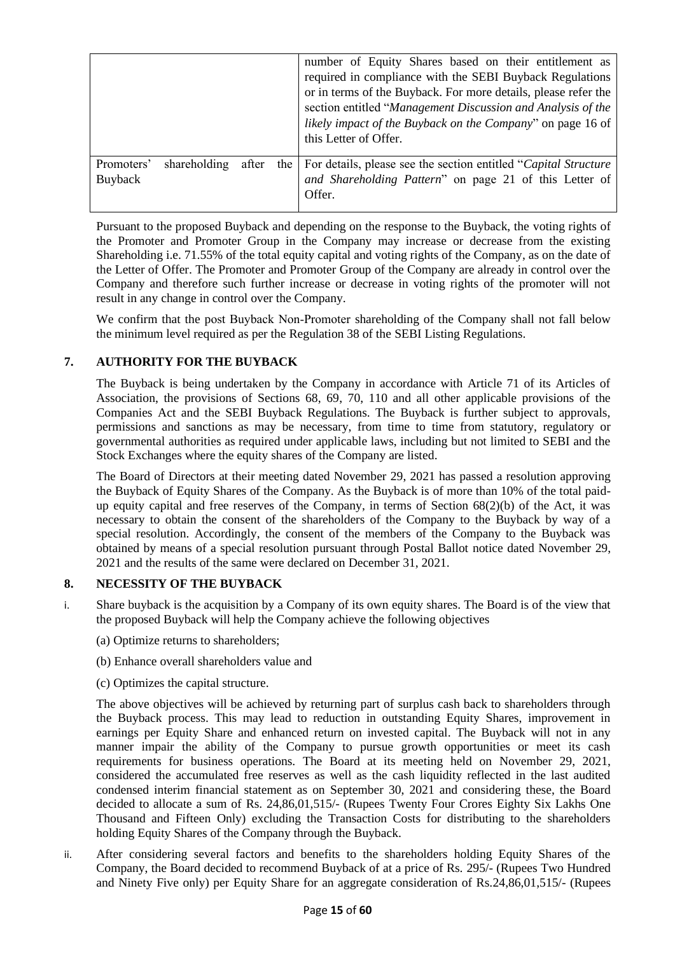|                       |              |       |     | number of Equity Shares based on their entitlement as<br>required in compliance with the SEBI Buyback Regulations<br>or in terms of the Buyback. For more details, please refer the<br>section entitled "Management Discussion and Analysis of the<br>likely impact of the Buyback on the Company" on page 16 of<br>this Letter of Offer. |
|-----------------------|--------------|-------|-----|-------------------------------------------------------------------------------------------------------------------------------------------------------------------------------------------------------------------------------------------------------------------------------------------------------------------------------------------|
| Promoters'<br>Buyback | shareholding | after | the | For details, please see the section entitled "Capital Structure"<br>and Shareholding Pattern" on page 21 of this Letter of<br>Offer.                                                                                                                                                                                                      |

Pursuant to the proposed Buyback and depending on the response to the Buyback, the voting rights of the Promoter and Promoter Group in the Company may increase or decrease from the existing Shareholding i.e. 71.55% of the total equity capital and voting rights of the Company, as on the date of the Letter of Offer. The Promoter and Promoter Group of the Company are already in control over the Company and therefore such further increase or decrease in voting rights of the promoter will not result in any change in control over the Company.

We confirm that the post Buyback Non-Promoter shareholding of the Company shall not fall below the minimum level required as per the Regulation 38 of the SEBI Listing Regulations.

# <span id="page-14-0"></span>**7. AUTHORITY FOR THE BUYBACK**

The Buyback is being undertaken by the Company in accordance with Article 71 of its Articles of Association, the provisions of Sections 68, 69, 70, 110 and all other applicable provisions of the Companies Act and the SEBI Buyback Regulations. The Buyback is further subject to approvals, permissions and sanctions as may be necessary, from time to time from statutory, regulatory or governmental authorities as required under applicable laws, including but not limited to SEBI and the Stock Exchanges where the equity shares of the Company are listed.

The Board of Directors at their meeting dated November 29, 2021 has passed a resolution approving the Buyback of Equity Shares of the Company. As the Buyback is of more than 10% of the total paidup equity capital and free reserves of the Company, in terms of Section  $68(2)(b)$  of the Act, it was necessary to obtain the consent of the shareholders of the Company to the Buyback by way of a special resolution. Accordingly, the consent of the members of the Company to the Buyback was obtained by means of a special resolution pursuant through Postal Ballot notice dated November 29, 2021 and the results of the same were declared on December 31, 2021.

# <span id="page-14-1"></span>**8. NECESSITY OF THE BUYBACK**

- i. Share buyback is the acquisition by a Company of its own equity shares. The Board is of the view that the proposed Buyback will help the Company achieve the following objectives
	- (a) Optimize returns to shareholders;
	- (b) Enhance overall shareholders value and
	- (c) Optimizes the capital structure.

The above objectives will be achieved by returning part of surplus cash back to shareholders through the Buyback process. This may lead to reduction in outstanding Equity Shares, improvement in earnings per Equity Share and enhanced return on invested capital. The Buyback will not in any manner impair the ability of the Company to pursue growth opportunities or meet its cash requirements for business operations. The Board at its meeting held on November 29, 2021, considered the accumulated free reserves as well as the cash liquidity reflected in the last audited condensed interim financial statement as on September 30, 2021 and considering these, the Board decided to allocate a sum of Rs. 24,86,01,515/- (Rupees Twenty Four Crores Eighty Six Lakhs One Thousand and Fifteen Only) excluding the Transaction Costs for distributing to the shareholders holding Equity Shares of the Company through the Buyback.

ii. After considering several factors and benefits to the shareholders holding Equity Shares of the Company, the Board decided to recommend Buyback of at a price of Rs. 295/- (Rupees Two Hundred and Ninety Five only) per Equity Share for an aggregate consideration of Rs.24,86,01,515/- (Rupees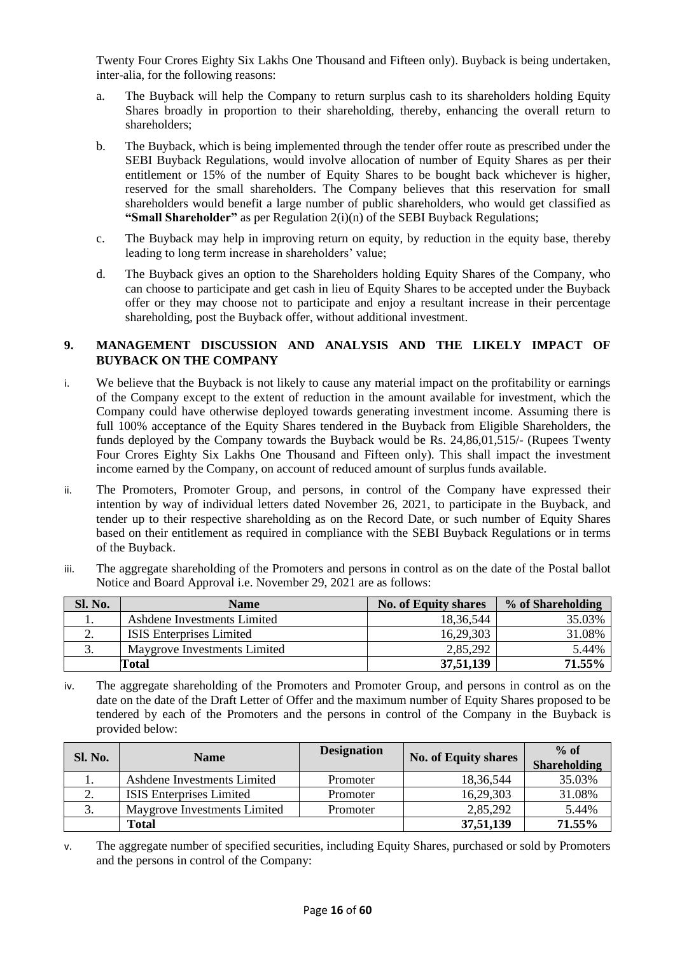Twenty Four Crores Eighty Six Lakhs One Thousand and Fifteen only). Buyback is being undertaken, inter-alia, for the following reasons:

- a. The Buyback will help the Company to return surplus cash to its shareholders holding Equity Shares broadly in proportion to their shareholding, thereby, enhancing the overall return to shareholders;
- b. The Buyback, which is being implemented through the tender offer route as prescribed under the SEBI Buyback Regulations, would involve allocation of number of Equity Shares as per their entitlement or 15% of the number of Equity Shares to be bought back whichever is higher, reserved for the small shareholders. The Company believes that this reservation for small shareholders would benefit a large number of public shareholders, who would get classified as **"Small Shareholder"** as per Regulation 2(i)(n) of the SEBI Buyback Regulations;
- c. The Buyback may help in improving return on equity, by reduction in the equity base, thereby leading to long term increase in shareholders' value;
- d. The Buyback gives an option to the Shareholders holding Equity Shares of the Company, who can choose to participate and get cash in lieu of Equity Shares to be accepted under the Buyback offer or they may choose not to participate and enjoy a resultant increase in their percentage shareholding, post the Buyback offer, without additional investment.

# <span id="page-15-0"></span>**9. MANAGEMENT DISCUSSION AND ANALYSIS AND THE LIKELY IMPACT OF BUYBACK ON THE COMPANY**

- i. We believe that the Buyback is not likely to cause any material impact on the profitability or earnings of the Company except to the extent of reduction in the amount available for investment, which the Company could have otherwise deployed towards generating investment income. Assuming there is full 100% acceptance of the Equity Shares tendered in the Buyback from Eligible Shareholders, the funds deployed by the Company towards the Buyback would be Rs. 24,86,01,515/- (Rupees Twenty Four Crores Eighty Six Lakhs One Thousand and Fifteen only). This shall impact the investment income earned by the Company, on account of reduced amount of surplus funds available.
- ii. The Promoters, Promoter Group, and persons, in control of the Company have expressed their intention by way of individual letters dated November 26, 2021, to participate in the Buyback, and tender up to their respective shareholding as on the Record Date, or such number of Equity Shares based on their entitlement as required in compliance with the SEBI Buyback Regulations or in terms of the Buyback.
- iii. The aggregate shareholding of the Promoters and persons in control as on the date of the Postal ballot Notice and Board Approval i.e. November 29, 2021 are as follows:

| <b>Sl. No.</b>   | <b>Name</b>                     | <b>No. of Equity shares</b> | % of Shareholding |
|------------------|---------------------------------|-----------------------------|-------------------|
|                  | Ashdene Investments Limited     | 18,36,544                   | 35.03%            |
| <u>.</u>         | <b>ISIS</b> Enterprises Limited | 16,29,303                   | 31.08%            |
| $\mathfrak{I}$ . | Maygrove Investments Limited    | 2,85,292                    | 5.44%             |
|                  | Total                           | 37,51,139                   | 71.55%            |

iv. The aggregate shareholding of the Promoters and Promoter Group, and persons in control as on the date on the date of the Draft Letter of Offer and the maximum number of Equity Shares proposed to be tendered by each of the Promoters and the persons in control of the Company in the Buyback is provided below:

| Sl. No.  | <b>Name</b>                     | <b>Designation</b> | <b>No. of Equity shares</b> | $%$ of<br><b>Shareholding</b> |
|----------|---------------------------------|--------------------|-----------------------------|-------------------------------|
|          | Ashdene Investments Limited     | Promoter           | 18,36,544                   | 35.03%                        |
| <u>.</u> | <b>ISIS</b> Enterprises Limited | Promoter           | 16,29,303                   | 31.08%                        |
| 3.       | Maygrove Investments Limited    | Promoter           | 2,85,292                    | 5.44%                         |
|          | <b>Total</b>                    |                    | 37,51,139                   | 71.55%                        |

v. The aggregate number of specified securities, including Equity Shares, purchased or sold by Promoters and the persons in control of the Company: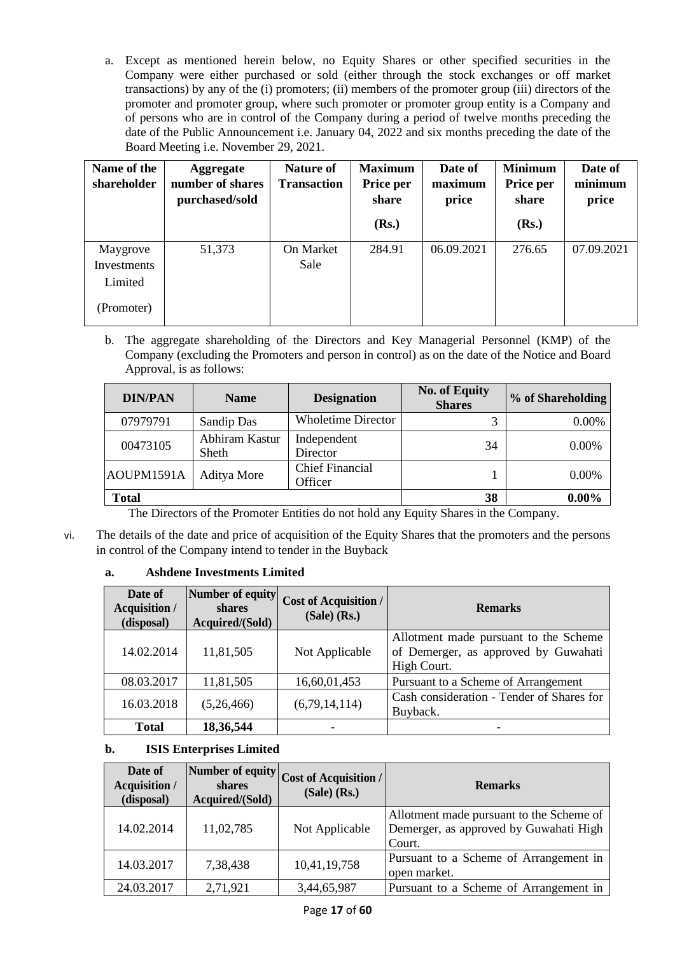a. Except as mentioned herein below, no Equity Shares or other specified securities in the Company were either purchased or sold (either through the stock exchanges or off market transactions) by any of the (i) promoters; (ii) members of the promoter group (iii) directors of the promoter and promoter group, where such promoter or promoter group entity is a Company and of persons who are in control of the Company during a period of twelve months preceding the date of the Public Announcement i.e. January 04, 2022 and six months preceding the date of the Board Meeting i.e. November 29, 2021.

| Name of the<br>shareholder                       | <b>Aggregate</b><br>number of shares<br>purchased/sold | <b>Nature of</b><br><b>Transaction</b> | <b>Maximum</b><br>Price per<br>share<br>(Rs.) | Date of<br>maximum<br>price | <b>Minimum</b><br>Price per<br>share<br>(Rs.) | Date of<br>minimum<br>price |
|--------------------------------------------------|--------------------------------------------------------|----------------------------------------|-----------------------------------------------|-----------------------------|-----------------------------------------------|-----------------------------|
| Maygrove<br>Investments<br>Limited<br>(Promoter) | 51,373                                                 | On Market<br>Sale                      | 284.91                                        | 06.09.2021                  | 276.65                                        | 07.09.2021                  |

b. The aggregate shareholding of the Directors and Key Managerial Personnel (KMP) of the Company (excluding the Promoters and person in control) as on the date of the Notice and Board Approval, is as follows:

| <b>DIN/PAN</b> | <b>Name</b>             | <b>Designation</b>                | <b>No. of Equity</b><br><b>Shares</b> | % of Shareholding |
|----------------|-------------------------|-----------------------------------|---------------------------------------|-------------------|
| 07979791       | Sandip Das              | <b>Wholetime Director</b>         |                                       | 0.00%             |
| 00473105       | Abhiram Kastur<br>Sheth | Independent<br>Director           | 34                                    | $0.00\%$          |
| AOUPM1591A     | Aditya More             | <b>Chief Financial</b><br>Officer |                                       | $0.00\%$          |
| <b>Total</b>   |                         |                                   | 38                                    | $0.00\%$          |

The Directors of the Promoter Entities do not hold any Equity Shares in the Company.

- vi. The details of the date and price of acquisition of the Equity Shares that the promoters and the persons in control of the Company intend to tender in the Buyback
	- **a. Ashdene Investments Limited**

| Date of<br><b>Acquisition /</b><br>(disposal) | Number of equity<br><b>shares</b><br>Acquired/(Sold) | <b>Cost of Acquisition /</b><br>$(Sale)$ (Rs.) | <b>Remarks</b>                                                                               |
|-----------------------------------------------|------------------------------------------------------|------------------------------------------------|----------------------------------------------------------------------------------------------|
| 14.02.2014                                    | 11,81,505                                            | Not Applicable                                 | Allotment made pursuant to the Scheme<br>of Demerger, as approved by Guwahati<br>High Court. |
| 08.03.2017                                    | 11,81,505                                            | 16,60,01,453                                   | Pursuant to a Scheme of Arrangement                                                          |
| 16.03.2018                                    | (5,26,466)                                           | (6,79,14,114)                                  | Cash consideration - Tender of Shares for<br>Buyback.                                        |
| <b>Total</b>                                  | 18,36,544                                            |                                                |                                                                                              |

# **b. ISIS Enterprises Limited**

| Date of<br><b>Acquisition /</b><br>(disposal) | <b>shares</b><br>Acquired/(Sold) | Number of equity $\vert$ Cost of Acquisition $\vert$<br>$(Sale)$ (Rs.) | <b>Remarks</b>                                                                               |
|-----------------------------------------------|----------------------------------|------------------------------------------------------------------------|----------------------------------------------------------------------------------------------|
| 14.02.2014                                    | 11,02,785                        | Not Applicable                                                         | Allotment made pursuant to the Scheme of<br>Demerger, as approved by Guwahati High<br>Court. |
| 14.03.2017                                    | 7,38,438                         | 10,41,19,758                                                           | Pursuant to a Scheme of Arrangement in<br>open market.                                       |
| 24.03.2017                                    | 2,71,921                         | 3,44,65,987                                                            | Pursuant to a Scheme of Arrangement in                                                       |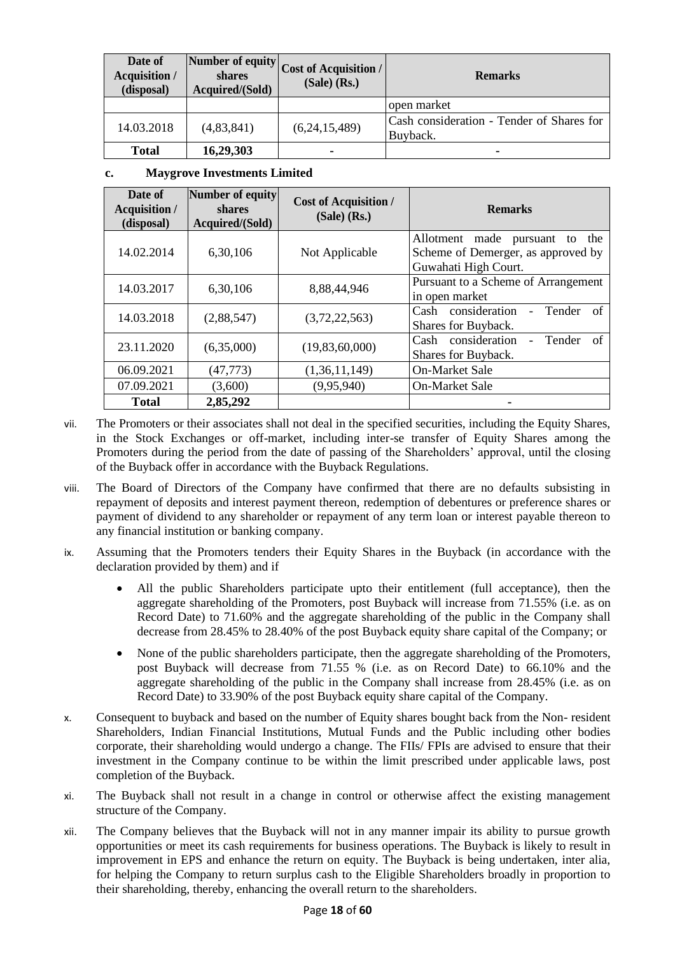| Date of<br><b>Acquisition /</b><br>(disposal) | shares<br>Acquired/(Sold) | <b>Number of equity</b> $\Big \text{Cost of Acquisition /}$<br>$(Sale)$ (Rs.) | <b>Remarks</b>                                        |
|-----------------------------------------------|---------------------------|-------------------------------------------------------------------------------|-------------------------------------------------------|
|                                               |                           |                                                                               | open market                                           |
| 14.03.2018                                    | (4,83,841)                | (6,24,15,489)                                                                 | Cash consideration - Tender of Shares for<br>Buyback. |
| <b>Total</b>                                  | 16,29,303                 | -                                                                             |                                                       |

# **c. Maygrove Investments Limited**

| Date of<br><b>Acquisition</b> /<br>(disposal) | Number of equity<br>shares<br>Acquired/(Sold) | <b>Cost of Acquisition /</b><br>$(Sale)$ (Rs.) | <b>Remarks</b>                                                                                  |  |
|-----------------------------------------------|-----------------------------------------------|------------------------------------------------|-------------------------------------------------------------------------------------------------|--|
| 14.02.2014                                    | 6,30,106                                      | Not Applicable                                 | Allotment made pursuant to<br>the<br>Scheme of Demerger, as approved by<br>Guwahati High Court. |  |
| 14.03.2017                                    | 6,30,106                                      | 8,88,44,946                                    | Pursuant to a Scheme of Arrangement<br>in open market                                           |  |
| 14.03.2018                                    | (2,88,547)                                    | (3,72,22,563)                                  | Cash consideration<br>Tender<br>of<br>$\overline{a}$<br>Shares for Buyback.                     |  |
| 23.11.2020                                    | (6,35,000)                                    | (19,83,60,000)                                 | Cash consideration<br>Tender<br>of<br>Shares for Buyback.                                       |  |
| 06.09.2021                                    | (47, 773)                                     | (1,36,11,149)                                  | <b>On-Market Sale</b>                                                                           |  |
| 07.09.2021                                    | (3,600)                                       | (9,95,940)                                     | <b>On-Market Sale</b>                                                                           |  |
| <b>Total</b>                                  | 2,85,292                                      |                                                |                                                                                                 |  |

- vii. The Promoters or their associates shall not deal in the specified securities, including the Equity Shares, in the Stock Exchanges or off-market, including inter-se transfer of Equity Shares among the Promoters during the period from the date of passing of the Shareholders' approval, until the closing of the Buyback offer in accordance with the Buyback Regulations.
- viii. The Board of Directors of the Company have confirmed that there are no defaults subsisting in repayment of deposits and interest payment thereon, redemption of debentures or preference shares or payment of dividend to any shareholder or repayment of any term loan or interest payable thereon to any financial institution or banking company.
- ix. Assuming that the Promoters tenders their Equity Shares in the Buyback (in accordance with the declaration provided by them) and if
	- All the public Shareholders participate upto their entitlement (full acceptance), then the aggregate shareholding of the Promoters, post Buyback will increase from 71.55% (i.e. as on Record Date) to 71.60% and the aggregate shareholding of the public in the Company shall decrease from 28.45% to 28.40% of the post Buyback equity share capital of the Company; or
	- None of the public shareholders participate, then the aggregate shareholding of the Promoters, post Buyback will decrease from 71.55 % (i.e. as on Record Date) to 66.10% and the aggregate shareholding of the public in the Company shall increase from 28.45% (i.e. as on Record Date) to 33.90% of the post Buyback equity share capital of the Company.
- x. Consequent to buyback and based on the number of Equity shares bought back from the Non- resident Shareholders, Indian Financial Institutions, Mutual Funds and the Public including other bodies corporate, their shareholding would undergo a change. The FIIs/ FPIs are advised to ensure that their investment in the Company continue to be within the limit prescribed under applicable laws, post completion of the Buyback.
- xi. The Buyback shall not result in a change in control or otherwise affect the existing management structure of the Company.
- xii. The Company believes that the Buyback will not in any manner impair its ability to pursue growth opportunities or meet its cash requirements for business operations. The Buyback is likely to result in improvement in EPS and enhance the return on equity. The Buyback is being undertaken, inter alia, for helping the Company to return surplus cash to the Eligible Shareholders broadly in proportion to their shareholding, thereby, enhancing the overall return to the shareholders.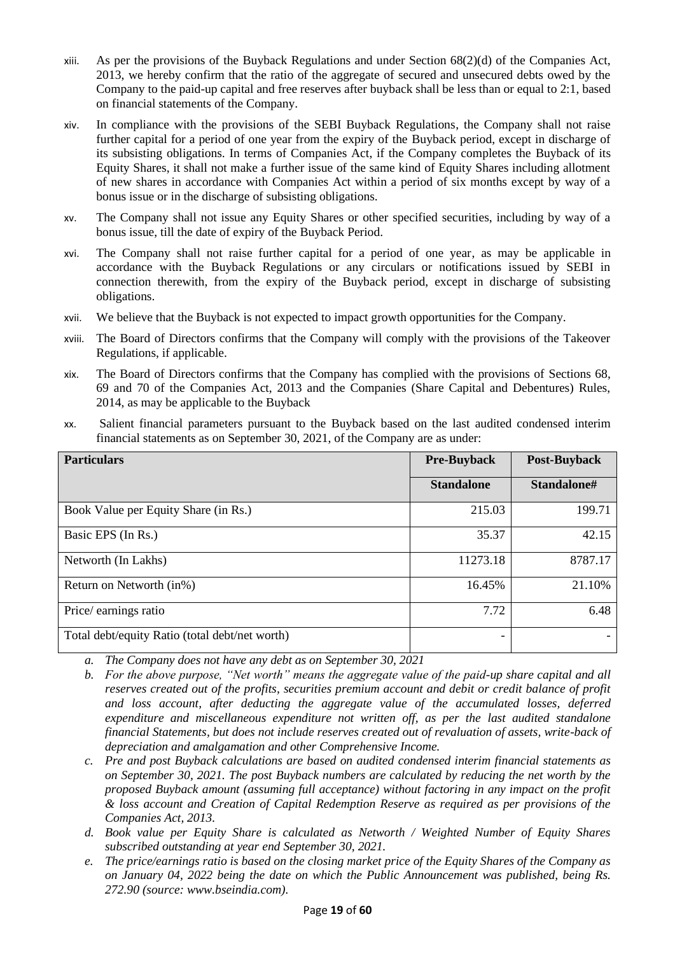- xiii. As per the provisions of the Buyback Regulations and under Section 68(2)(d) of the Companies Act, 2013, we hereby confirm that the ratio of the aggregate of secured and unsecured debts owed by the Company to the paid-up capital and free reserves after buyback shall be less than or equal to 2:1, based on financial statements of the Company.
- xiv. In compliance with the provisions of the SEBI Buyback Regulations, the Company shall not raise further capital for a period of one year from the expiry of the Buyback period, except in discharge of its subsisting obligations. In terms of Companies Act, if the Company completes the Buyback of its Equity Shares, it shall not make a further issue of the same kind of Equity Shares including allotment of new shares in accordance with Companies Act within a period of six months except by way of a bonus issue or in the discharge of subsisting obligations.
- xv. The Company shall not issue any Equity Shares or other specified securities, including by way of a bonus issue, till the date of expiry of the Buyback Period.
- xvi. The Company shall not raise further capital for a period of one year, as may be applicable in accordance with the Buyback Regulations or any circulars or notifications issued by SEBI in connection therewith, from the expiry of the Buyback period, except in discharge of subsisting obligations.
- xvii. We believe that the Buyback is not expected to impact growth opportunities for the Company.
- xviii. The Board of Directors confirms that the Company will comply with the provisions of the Takeover Regulations, if applicable.
- xix. The Board of Directors confirms that the Company has complied with the provisions of Sections 68, 69 and 70 of the Companies Act, 2013 and the Companies (Share Capital and Debentures) Rules, 2014, as may be applicable to the Buyback
- xx. Salient financial parameters pursuant to the Buyback based on the last audited condensed interim financial statements as on September 30, 2021, of the Company are as under:

| <b>Particulars</b>                             | <b>Pre-Buyback</b> | Post-Buyback |
|------------------------------------------------|--------------------|--------------|
|                                                | <b>Standalone</b>  | Standalone#  |
| Book Value per Equity Share (in Rs.)           | 215.03             | 199.71       |
| Basic EPS (In Rs.)                             | 35.37              | 42.15        |
| Networth (In Lakhs)                            | 11273.18           | 8787.17      |
| Return on Networth (in%)                       | 16.45%             | 21.10%       |
| Price/earnings ratio                           | 7.72               | 6.48         |
| Total debt/equity Ratio (total debt/net worth) | -                  |              |

*a. The Company does not have any debt as on September 30, 2021*

- *b. For the above purpose, "Net worth" means the aggregate value of the paid-up share capital and all reserves created out of the profits, securities premium account and debit or credit balance of profit and loss account, after deducting the aggregate value of the accumulated losses, deferred expenditure and miscellaneous expenditure not written off, as per the last audited standalone financial Statements, but does not include reserves created out of revaluation of assets, write-back of depreciation and amalgamation and other Comprehensive Income.*
- *c. Pre and post Buyback calculations are based on audited condensed interim financial statements as on September 30, 2021. The post Buyback numbers are calculated by reducing the net worth by the proposed Buyback amount (assuming full acceptance) without factoring in any impact on the profit & loss account and Creation of Capital Redemption Reserve as required as per provisions of the Companies Act, 2013.*
- *d. Book value per Equity Share is calculated as Networth / Weighted Number of Equity Shares subscribed outstanding at year end September 30, 2021.*
- *e. The price/earnings ratio is based on the closing market price of the Equity Shares of the Company as on January 04, 2022 being the date on which the Public Announcement was published, being Rs. 272.90 (source: www.bseindia.com).*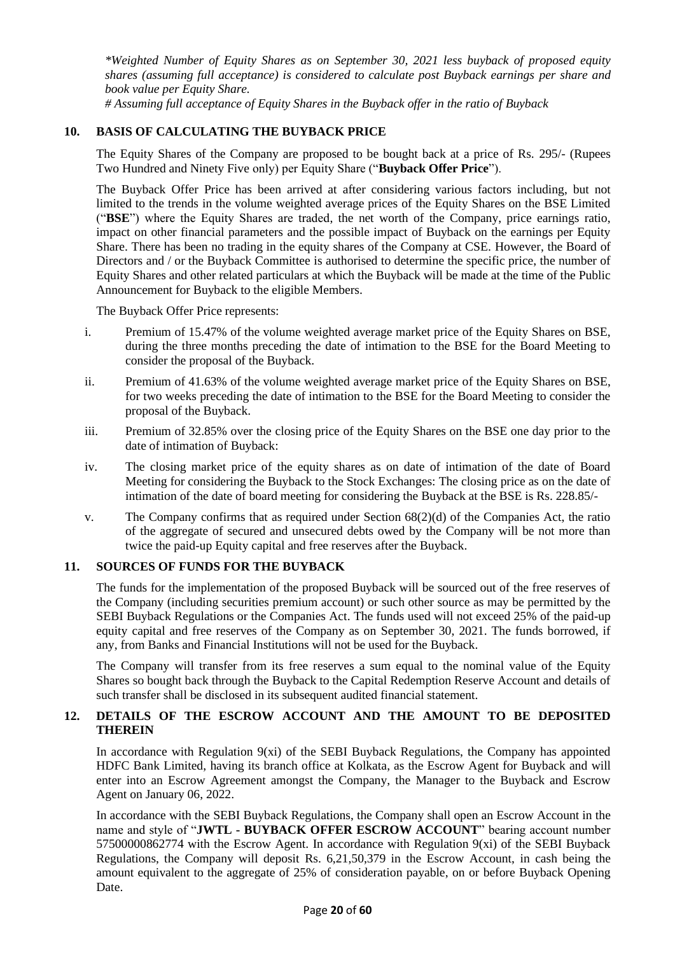*\*Weighted Number of Equity Shares as on September 30, 2021 less buyback of proposed equity shares (assuming full acceptance) is considered to calculate post Buyback earnings per share and book value per Equity Share.* 

*# Assuming full acceptance of Equity Shares in the Buyback offer in the ratio of Buyback*

# <span id="page-19-0"></span>**10. BASIS OF CALCULATING THE BUYBACK PRICE**

The Equity Shares of the Company are proposed to be bought back at a price of Rs. 295/- (Rupees Two Hundred and Ninety Five only) per Equity Share ("**Buyback Offer Price**").

The Buyback Offer Price has been arrived at after considering various factors including, but not limited to the trends in the volume weighted average prices of the Equity Shares on the BSE Limited ("**BSE**") where the Equity Shares are traded, the net worth of the Company, price earnings ratio, impact on other financial parameters and the possible impact of Buyback on the earnings per Equity Share. There has been no trading in the equity shares of the Company at CSE. However, the Board of Directors and / or the Buyback Committee is authorised to determine the specific price, the number of Equity Shares and other related particulars at which the Buyback will be made at the time of the Public Announcement for Buyback to the eligible Members.

The Buyback Offer Price represents:

- i. Premium of 15.47% of the volume weighted average market price of the Equity Shares on BSE, during the three months preceding the date of intimation to the BSE for the Board Meeting to consider the proposal of the Buyback.
- ii. Premium of 41.63% of the volume weighted average market price of the Equity Shares on BSE, for two weeks preceding the date of intimation to the BSE for the Board Meeting to consider the proposal of the Buyback.
- iii. Premium of 32.85% over the closing price of the Equity Shares on the BSE one day prior to the date of intimation of Buyback:
- iv. The closing market price of the equity shares as on date of intimation of the date of Board Meeting for considering the Buyback to the Stock Exchanges: The closing price as on the date of intimation of the date of board meeting for considering the Buyback at the BSE is Rs. 228.85/-
- v. The Company confirms that as required under Section  $68(2)(d)$  of the Companies Act, the ratio of the aggregate of secured and unsecured debts owed by the Company will be not more than twice the paid-up Equity capital and free reserves after the Buyback.

## <span id="page-19-1"></span>**11. SOURCES OF FUNDS FOR THE BUYBACK**

The funds for the implementation of the proposed Buyback will be sourced out of the free reserves of the Company (including securities premium account) or such other source as may be permitted by the SEBI Buyback Regulations or the Companies Act. The funds used will not exceed 25% of the paid-up equity capital and free reserves of the Company as on September 30, 2021. The funds borrowed, if any, from Banks and Financial Institutions will not be used for the Buyback.

The Company will transfer from its free reserves a sum equal to the nominal value of the Equity Shares so bought back through the Buyback to the Capital Redemption Reserve Account and details of such transfer shall be disclosed in its subsequent audited financial statement.

#### <span id="page-19-2"></span>**12. DETAILS OF THE ESCROW ACCOUNT AND THE AMOUNT TO BE DEPOSITED THEREIN**

In accordance with Regulation  $9(xi)$  of the SEBI Buyback Regulations, the Company has appointed HDFC Bank Limited, having its branch office at Kolkata, as the Escrow Agent for Buyback and will enter into an Escrow Agreement amongst the Company, the Manager to the Buyback and Escrow Agent on January 06, 2022.

In accordance with the SEBI Buyback Regulations, the Company shall open an Escrow Account in the name and style of "**JWTL - BUYBACK OFFER ESCROW ACCOUNT**" bearing account number 57500000862774 with the Escrow Agent. In accordance with Regulation 9(xi) of the SEBI Buyback Regulations, the Company will deposit Rs. 6,21,50,379 in the Escrow Account, in cash being the amount equivalent to the aggregate of 25% of consideration payable, on or before Buyback Opening Date.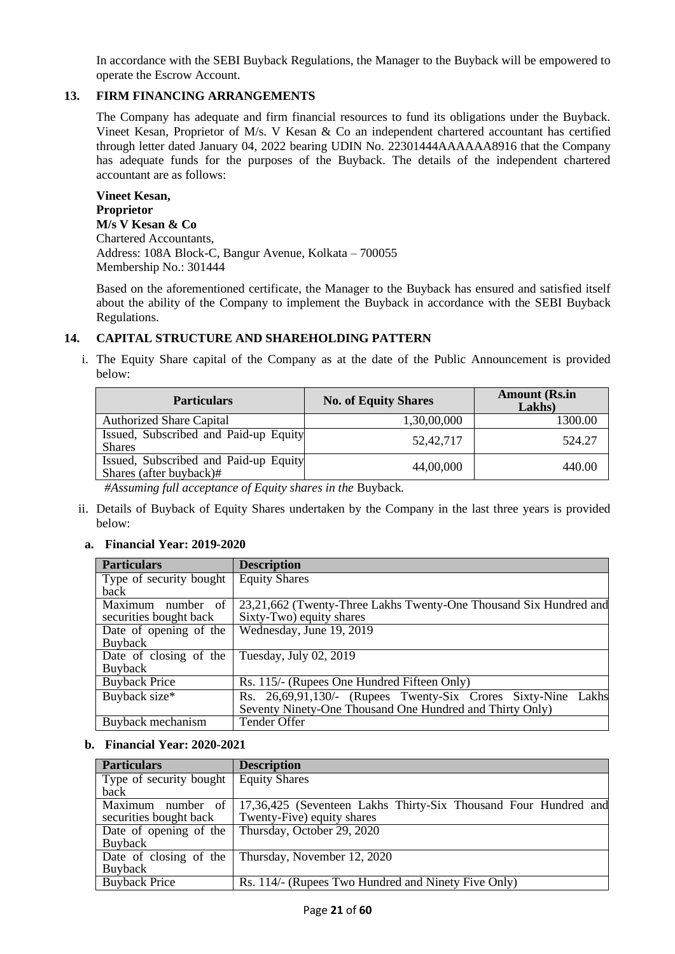In accordance with the SEBI Buyback Regulations, the Manager to the Buyback will be empowered to operate the Escrow Account.

# <span id="page-20-0"></span>**13. FIRM FINANCING ARRANGEMENTS**

The Company has adequate and firm financial resources to fund its obligations under the Buyback. Vineet Kesan, Proprietor of M/s. V Kesan & Co an independent chartered accountant has certified through letter dated January 04, 2022 bearing UDIN No. 22301444AAAAAA8916 that the Company has adequate funds for the purposes of the Buyback. The details of the independent chartered accountant are as follows:

**Vineet Kesan, Proprietor M/s V Kesan & Co** Chartered Accountants, Address: 108A Block-C, Bangur Avenue, Kolkata – 700055 Membership No.: 301444

Based on the aforementioned certificate, the Manager to the Buyback has ensured and satisfied itself about the ability of the Company to implement the Buyback in accordance with the SEBI Buyback Regulations.

### <span id="page-20-1"></span>**14. CAPITAL STRUCTURE AND SHAREHOLDING PATTERN**

i. The Equity Share capital of the Company as at the date of the Public Announcement is provided below:

| <b>Particulars</b>                                               | <b>No. of Equity Shares</b> | <b>Amount (Rs.in</b><br>Lakhs) |
|------------------------------------------------------------------|-----------------------------|--------------------------------|
| <b>Authorized Share Capital</b>                                  | 1,30,00,000                 | 1300.00                        |
| Issued, Subscribed and Paid-up Equity<br><b>Shares</b>           | 52,42,717                   | 524.27                         |
| Issued, Subscribed and Paid-up Equity<br>Shares (after buyback)# | 44,00,000                   | 440.00                         |

*#Assuming full acceptance of Equity shares in the* Buyback*.*

ii. Details of Buyback of Equity Shares undertaken by the Company in the last three years is provided below:

#### **a. Financial Year: 2019-2020**

| <b>Particulars</b>      | <b>Description</b>                                                |
|-------------------------|-------------------------------------------------------------------|
| Type of security bought | <b>Equity Shares</b>                                              |
| back                    |                                                                   |
| Maximum number of       | 23,21,662 (Twenty-Three Lakhs Twenty-One Thousand Six Hundred and |
| securities bought back  | Sixty-Two) equity shares                                          |
| Date of opening of the  | Wednesday, June 19, 2019                                          |
| Buyback                 |                                                                   |
| Date of closing of the  | Tuesday, July $02, \overline{2019}$                               |
| Buyback                 |                                                                   |
| <b>Buyback Price</b>    | Rs. 115/- (Rupees One Hundred Fifteen Only)                       |
| Buyback size*           | Lakhs<br>Rs. 26,69,91,130/- (Rupees Twenty-Six Crores Sixty-Nine  |
|                         | Seventy Ninety-One Thousand One Hundred and Thirty Only)          |
| Buyback mechanism       | Tender Offer                                                      |

#### **b. Financial Year: 2020-2021**

| <b>Particulars</b>      | <b>Description</b>                                              |
|-------------------------|-----------------------------------------------------------------|
| Type of security bought | <b>Equity Shares</b>                                            |
| back                    |                                                                 |
| Maximum number of       | 17,36,425 (Seventeen Lakhs Thirty-Six Thousand Four Hundred and |
| securities bought back  | Twenty-Five) equity shares                                      |
| Date of opening of the  | Thursday, October 29, 2020                                      |
| Buyback                 |                                                                 |
|                         | Date of closing of the Thursday, November 12, 2020              |
| Buyback                 |                                                                 |
| <b>Buyback Price</b>    | Rs. 114/- (Rupees Two Hundred and Ninety Five Only)             |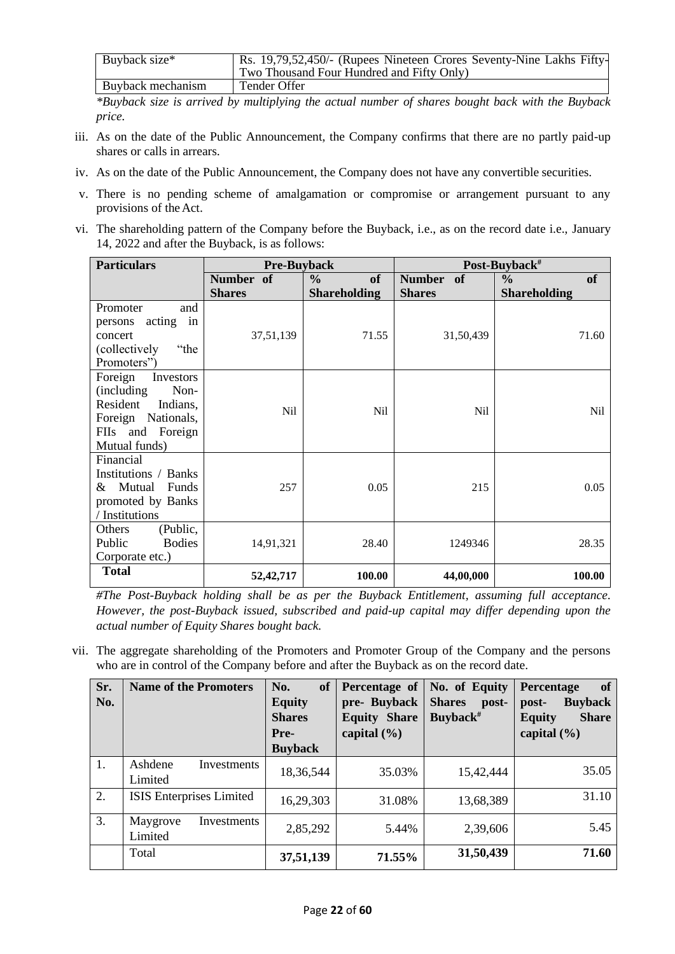| Buyback size*     | Rs. 19,79,52,450/- (Rupees Nineteen Crores Seventy-Nine Lakhs Fifty-<br>Two Thousand Four Hundred and Fifty Only) |
|-------------------|-------------------------------------------------------------------------------------------------------------------|
| Buyback mechanism | Tender Offer                                                                                                      |

*\*Buyback size is arrived by multiplying the actual number of shares bought back with the Buyback price.*

- iii. As on the date of the Public Announcement, the Company confirms that there are no partly paid-up shares or calls in arrears.
- iv. As on the date of the Public Announcement, the Company does not have any convertible securities.
- v. There is no pending scheme of amalgamation or compromise or arrangement pursuant to any provisions of theAct.
- vi. The shareholding pattern of the Company before the Buyback, i.e., as on the record date i.e., January 14, 2022 and after the Buyback, is as follows:

| <b>Particulars</b>      | <b>Pre-Buyback</b> |                     | Post-Buyback <sup>#</sup> |                     |  |
|-------------------------|--------------------|---------------------|---------------------------|---------------------|--|
|                         | Number of          | of<br>$\frac{0}{0}$ | Number of                 | $\frac{6}{6}$<br>of |  |
|                         | <b>Shares</b>      | <b>Shareholding</b> | <b>Shares</b>             | <b>Shareholding</b> |  |
| Promoter<br>and         |                    |                     |                           |                     |  |
| acting in<br>persons    |                    |                     |                           |                     |  |
| concert                 | 37,51,139          | 71.55               | 31,50,439                 | 71.60               |  |
| (collectively)<br>"the  |                    |                     |                           |                     |  |
| Promoters")             |                    |                     |                           |                     |  |
| Foreign<br>Investors    |                    |                     |                           |                     |  |
| (including)<br>Non-     |                    |                     |                           |                     |  |
| Resident<br>Indians,    | <b>Nil</b>         | <b>Nil</b>          | N <sub>il</sub>           | Nil                 |  |
| Foreign Nationals,      |                    |                     |                           |                     |  |
| FIIs and<br>Foreign     |                    |                     |                           |                     |  |
| Mutual funds)           |                    |                     |                           |                     |  |
| Financial               |                    |                     |                           |                     |  |
| Institutions / Banks    |                    |                     |                           |                     |  |
| Funds<br>Mutual<br>&    | 257                | 0.05                | 215                       | 0.05                |  |
| promoted by Banks       |                    |                     |                           |                     |  |
| / Institutions          |                    |                     |                           |                     |  |
| (Public,<br>Others      |                    |                     |                           |                     |  |
| <b>Bodies</b><br>Public | 14,91,321          | 28.40               | 1249346                   | 28.35               |  |
| Corporate etc.)         |                    |                     |                           |                     |  |
| <b>Total</b>            | 52, 42, 717        | 100.00              | 44,00,000                 | 100.00              |  |

*#The Post-Buyback holding shall be as per the Buyback Entitlement, assuming full acceptance. However, the post-Buyback issued, subscribed and paid-up capital may differ depending upon the actual number of Equity Shares bought back.*

vii. The aggregate shareholding of the Promoters and Promoter Group of the Company and the persons who are in control of the Company before and after the Buyback as on the record date.

| Sr. | <b>Name of the Promoters</b>       | No.<br>of             | Percentage of                          | No. of Equity          | of<br>Percentage                                 |
|-----|------------------------------------|-----------------------|----------------------------------------|------------------------|--------------------------------------------------|
| No. |                                    | <b>Equity</b>         | pre-Buyback                            | <b>Shares</b><br>post- | <b>Buyback</b><br>post-                          |
|     |                                    | <b>Shares</b><br>Pre- | <b>Equity Share</b><br>capital $(\% )$ | Buyback <sup>#</sup>   | <b>Share</b><br><b>Equity</b><br>capital $(\% )$ |
|     |                                    | <b>Buyback</b>        |                                        |                        |                                                  |
| 1.  | Ashdene<br>Investments<br>Limited  | 18,36,544             | 35.03%                                 | 15,42,444              | 35.05                                            |
| 2.  | <b>ISIS</b> Enterprises Limited    | 16,29,303             | 31.08%                                 | 13,68,389              | 31.10                                            |
| 3.  | Maygrove<br>Investments<br>Limited | 2,85,292              | 5.44%                                  | 2,39,606               | 5.45                                             |
|     | Total                              | 37,51,139             | 71.55%                                 | 31,50,439              | 71.60                                            |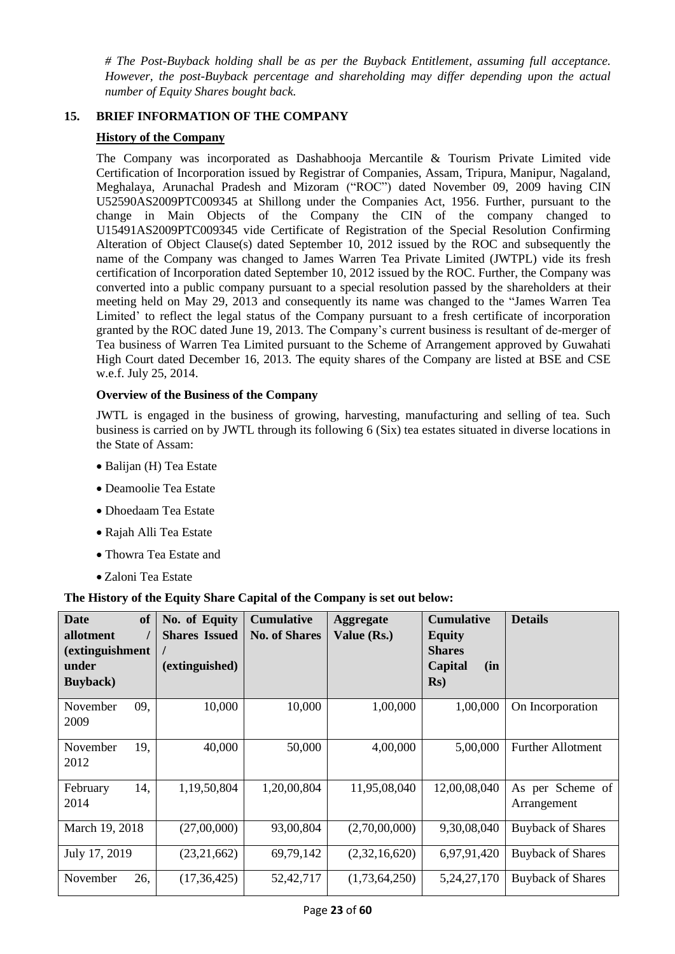*# The Post-Buyback holding shall be as per the Buyback Entitlement, assuming full acceptance. However, the post-Buyback percentage and shareholding may differ depending upon the actual number of Equity Shares bought back.*

# <span id="page-22-0"></span>**15. BRIEF INFORMATION OF THE COMPANY**

# **History of the Company**

The Company was incorporated as Dashabhooja Mercantile & Tourism Private Limited vide Certification of Incorporation issued by Registrar of Companies, Assam, Tripura, Manipur, Nagaland, Meghalaya, Arunachal Pradesh and Mizoram ("ROC") dated November 09, 2009 having CIN U52590AS2009PTC009345 at Shillong under the Companies Act, 1956. Further, pursuant to the change in Main Objects of the Company the CIN of the company changed to U15491AS2009PTC009345 vide Certificate of Registration of the Special Resolution Confirming Alteration of Object Clause(s) dated September 10, 2012 issued by the ROC and subsequently the name of the Company was changed to James Warren Tea Private Limited (JWTPL) vide its fresh certification of Incorporation dated September 10, 2012 issued by the ROC. Further, the Company was converted into a public company pursuant to a special resolution passed by the shareholders at their meeting held on May 29, 2013 and consequently its name was changed to the "James Warren Tea Limited' to reflect the legal status of the Company pursuant to a fresh certificate of incorporation granted by the ROC dated June 19, 2013. The Company's current business is resultant of de-merger of Tea business of Warren Tea Limited pursuant to the Scheme of Arrangement approved by Guwahati High Court dated December 16, 2013. The equity shares of the Company are listed at BSE and CSE w.e.f. July 25, 2014.

# **Overview of the Business of the Company**

JWTL is engaged in the business of growing, harvesting, manufacturing and selling of tea. Such business is carried on by JWTL through its following 6 (Six) tea estates situated in diverse locations in the State of Assam:

- Balijan (H) Tea Estate
- Deamoolie Tea Estate
- Dhoedaam Tea Estate
- Rajah Alli Tea Estate
- Thowra Tea Estate and
- Zaloni Tea Estate

# **The History of the Equity Share Capital of the Company is set out below:**

| of<br>Date<br>allotment<br><i>(extinguishment)</i><br>under<br><b>Buyback</b> ) | No. of Equity<br><b>Shares Issued</b><br>(extinguished) | <b>Cumulative</b><br><b>No. of Shares</b> | <b>Aggregate</b><br>Value (Rs.) | <b>Cumulative</b><br><b>Equity</b><br><b>Shares</b><br>Capital<br>(in<br>$\mathbf{Rs})$ | <b>Details</b>                  |
|---------------------------------------------------------------------------------|---------------------------------------------------------|-------------------------------------------|---------------------------------|-----------------------------------------------------------------------------------------|---------------------------------|
| 09,<br>November<br>2009                                                         | 10,000                                                  | 10,000                                    | 1,00,000                        | 1,00,000                                                                                | On Incorporation                |
| 19,<br>November<br>2012                                                         | 40,000                                                  | 50,000                                    | 4,00,000                        | 5,00,000                                                                                | <b>Further Allotment</b>        |
| 14,<br>February<br>2014                                                         | 1,19,50,804                                             | 1,20,00,804                               | 11,95,08,040                    | 12,00,08,040                                                                            | As per Scheme of<br>Arrangement |
| March 19, 2018                                                                  | (27,00,000)                                             | 93,00,804                                 | (2,70,00,000)                   | 9,30,08,040                                                                             | <b>Buyback of Shares</b>        |
| July 17, 2019                                                                   | (23, 21, 662)                                           | 69,79,142                                 | (2,32,16,620)                   | 6,97,91,420                                                                             | <b>Buyback of Shares</b>        |
| 26,<br>November                                                                 | (17, 36, 425)                                           | 52, 42, 717                               | (1,73,64,250)                   | 5, 24, 27, 170                                                                          | <b>Buyback of Shares</b>        |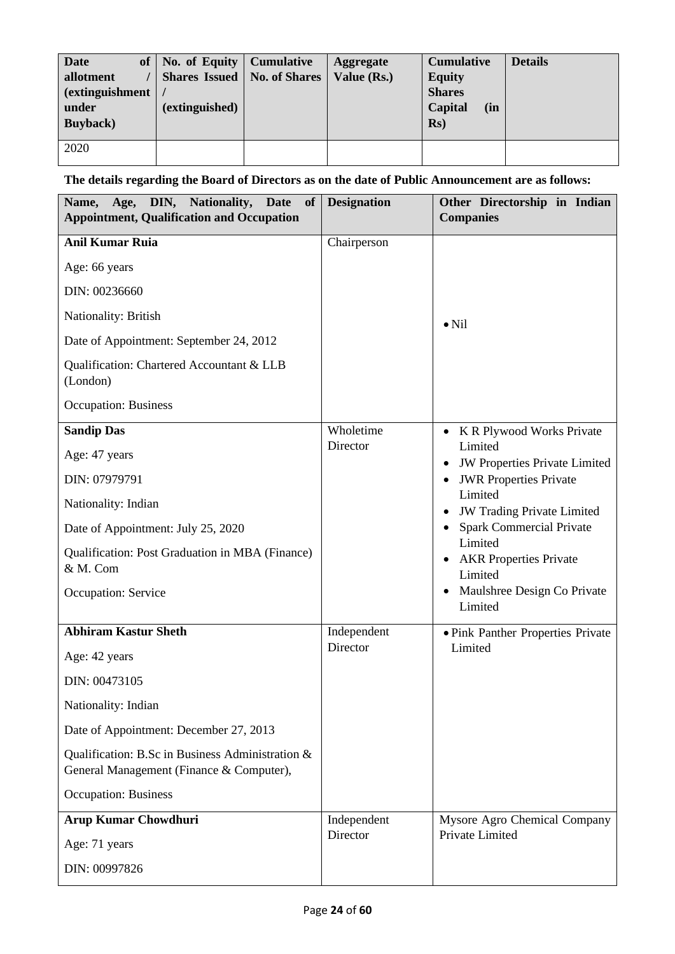| <b>Date</b><br>allotment<br><i>(extinguishment)</i><br>under<br><b>Buyback</b> ) | of   No. of Equity   Cumulative<br>Shares Issued   No. of Shares<br>(extinguished) | <b>Aggregate</b><br>Value $(Rs.)$ | <b>Cumulative</b><br><b>Equity</b><br><b>Shares</b><br>Capital<br>(in<br>$\mathbf{Rs}$ | <b>Details</b> |
|----------------------------------------------------------------------------------|------------------------------------------------------------------------------------|-----------------------------------|----------------------------------------------------------------------------------------|----------------|
| 2020                                                                             |                                                                                    |                                   |                                                                                        |                |

**The details regarding the Board of Directors as on the date of Public Announcement are as follows:**

| Name, Age, DIN, Nationality, Date<br>of<br><b>Appointment, Qualification and Occupation</b>  | <b>Designation</b> | Other Directorship in Indian<br><b>Companies</b>    |
|----------------------------------------------------------------------------------------------|--------------------|-----------------------------------------------------|
| <b>Anil Kumar Ruia</b>                                                                       | Chairperson        |                                                     |
| Age: 66 years                                                                                |                    |                                                     |
| DIN: 00236660                                                                                |                    |                                                     |
| Nationality: British                                                                         |                    | $\bullet$ Nil                                       |
| Date of Appointment: September 24, 2012                                                      |                    |                                                     |
| Qualification: Chartered Accountant & LLB<br>(London)                                        |                    |                                                     |
| <b>Occupation: Business</b>                                                                  |                    |                                                     |
| <b>Sandip Das</b>                                                                            | Wholetime          | K R Plywood Works Private<br>$\bullet$              |
| Age: 47 years                                                                                | Director           | Limited<br>JW Properties Private Limited<br>٠       |
| DIN: 07979791                                                                                |                    | <b>JWR</b> Properties Private                       |
| Nationality: Indian                                                                          |                    | Limited<br><b>JW Trading Private Limited</b>        |
| Date of Appointment: July 25, 2020                                                           |                    | <b>Spark Commercial Private</b>                     |
| Qualification: Post Graduation in MBA (Finance)<br>& M. Com                                  |                    | Limited<br><b>AKR</b> Properties Private<br>Limited |
| Occupation: Service                                                                          |                    | Maulshree Design Co Private<br>$\bullet$<br>Limited |
| <b>Abhiram Kastur Sheth</b>                                                                  | Independent        | • Pink Panther Properties Private                   |
| Age: 42 years                                                                                | Director           | Limited                                             |
| DIN: 00473105                                                                                |                    |                                                     |
| Nationality: Indian                                                                          |                    |                                                     |
| Date of Appointment: December 27, 2013                                                       |                    |                                                     |
| Qualification: B.Sc in Business Administration &<br>General Management (Finance & Computer), |                    |                                                     |
| <b>Occupation: Business</b>                                                                  |                    |                                                     |
| <b>Arup Kumar Chowdhuri</b>                                                                  | Independent        | Mysore Agro Chemical Company                        |
| Age: 71 years                                                                                | Director           | Private Limited                                     |
| DIN: 00997826                                                                                |                    |                                                     |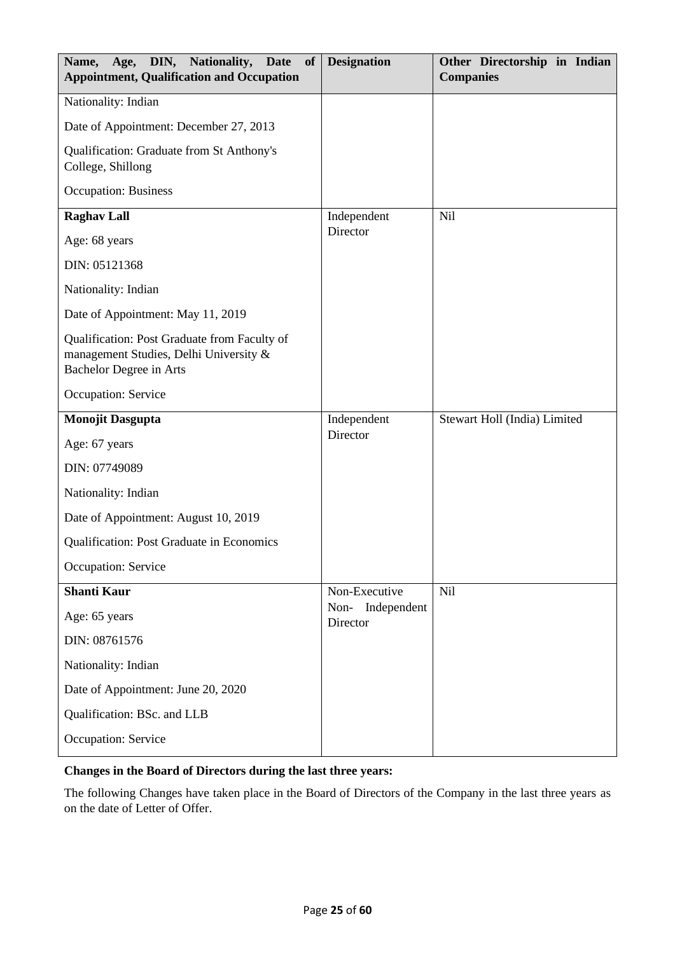| Age, DIN, Nationality,<br><b>Date</b><br><b>of</b><br>Name,<br><b>Appointment, Qualification and Occupation</b>          | <b>Designation</b>              | Other Directorship in Indian<br><b>Companies</b> |
|--------------------------------------------------------------------------------------------------------------------------|---------------------------------|--------------------------------------------------|
| Nationality: Indian                                                                                                      |                                 |                                                  |
| Date of Appointment: December 27, 2013                                                                                   |                                 |                                                  |
| Qualification: Graduate from St Anthony's<br>College, Shillong                                                           |                                 |                                                  |
| <b>Occupation: Business</b>                                                                                              |                                 |                                                  |
| <b>Raghav Lall</b>                                                                                                       | Independent                     | Nil                                              |
| Age: 68 years                                                                                                            | Director                        |                                                  |
| DIN: 05121368                                                                                                            |                                 |                                                  |
| Nationality: Indian                                                                                                      |                                 |                                                  |
| Date of Appointment: May 11, 2019                                                                                        |                                 |                                                  |
| Qualification: Post Graduate from Faculty of<br>management Studies, Delhi University &<br><b>Bachelor Degree in Arts</b> |                                 |                                                  |
| Occupation: Service                                                                                                      |                                 |                                                  |
| <b>Monojit Dasgupta</b>                                                                                                  | Independent                     | Stewart Holl (India) Limited                     |
| Age: 67 years                                                                                                            | Director                        |                                                  |
| DIN: 07749089                                                                                                            |                                 |                                                  |
| Nationality: Indian                                                                                                      |                                 |                                                  |
| Date of Appointment: August 10, 2019                                                                                     |                                 |                                                  |
| Qualification: Post Graduate in Economics                                                                                |                                 |                                                  |
| Occupation: Service                                                                                                      |                                 |                                                  |
| <b>Shanti Kaur</b>                                                                                                       | Non-Executive                   | Nil                                              |
| Age: 65 years                                                                                                            | Independent<br>Non-<br>Director |                                                  |
| DIN: 08761576                                                                                                            |                                 |                                                  |
| Nationality: Indian                                                                                                      |                                 |                                                  |
| Date of Appointment: June 20, 2020                                                                                       |                                 |                                                  |
| Qualification: BSc. and LLB                                                                                              |                                 |                                                  |
| <b>Occupation: Service</b>                                                                                               |                                 |                                                  |

# **Changes in the Board of Directors during the last three years:**

The following Changes have taken place in the Board of Directors of the Company in the last three years as on the date of Letter of Offer.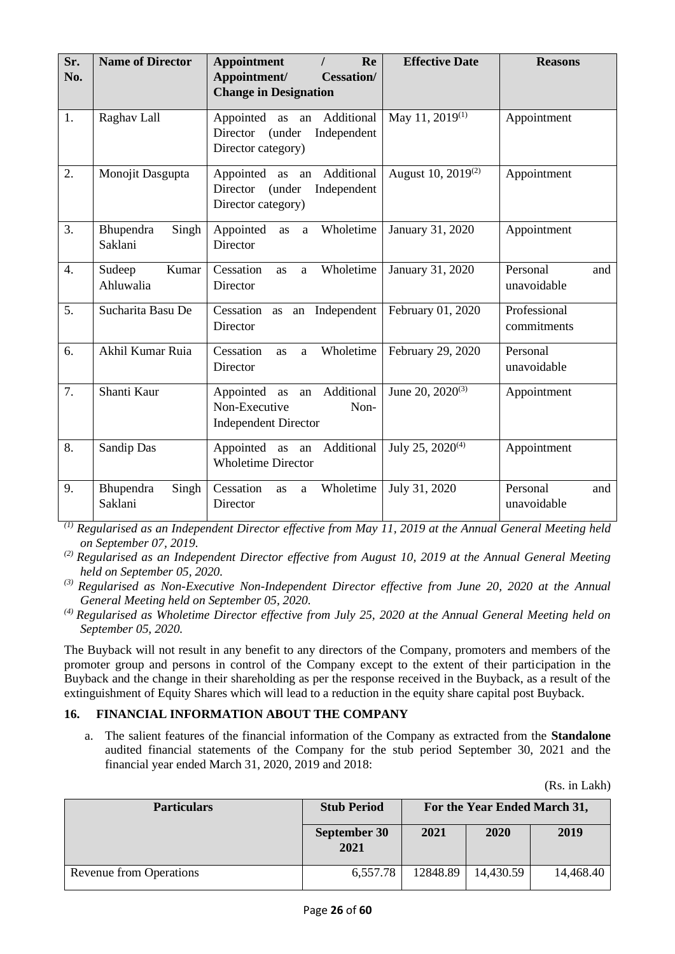| Sr.<br>No.       | <b>Name of Director</b>       | <b>Appointment</b><br>Re<br>$\prime$<br>Appointment/<br><b>Cessation/</b><br><b>Change in Designation</b> | <b>Effective Date</b>          | <b>Reasons</b>                 |
|------------------|-------------------------------|-----------------------------------------------------------------------------------------------------------|--------------------------------|--------------------------------|
| 1.               | Raghav Lall                   | Appointed as an Additional<br>Independent<br>Director<br>(under<br>Director category)                     | May 11, 2019 <sup>(1)</sup>    | Appointment                    |
| 2.               | Monojit Dasgupta              | Appointed as an Additional<br>Director<br>Independent<br>(under<br>Director category)                     | August 10, 2019 <sup>(2)</sup> | Appointment                    |
| 3.               | Bhupendra<br>Singh<br>Saklani | Appointed<br>Wholetime<br><b>as</b><br>a<br>Director                                                      | January 31, 2020               | Appointment                    |
| $\overline{4}$ . | Kumar<br>Sudeep<br>Ahluwalia  | Cessation<br>Wholetime<br>as<br>a<br>Director                                                             | January 31, 2020               | Personal<br>and<br>unavoidable |
| 5.               | Sucharita Basu De             | Cessation<br>an Independent<br>as<br>Director                                                             | February 01, 2020              | Professional<br>commitments    |
| 6.               | Akhil Kumar Ruia              | Cessation<br>Wholetime<br>as<br>a<br>Director                                                             | February 29, 2020              | Personal<br>unavoidable        |
| 7.               | Shanti Kaur                   | Additional<br>Appointed as<br>an<br>Non-Executive<br>Non-<br><b>Independent Director</b>                  | June 20, $2020^{(3)}$          | Appointment                    |
| 8.               | Sandip Das                    | Appointed as an<br>Additional<br><b>Wholetime Director</b>                                                | July 25, 2020 <sup>(4)</sup>   | Appointment                    |
| 9.               | Bhupendra<br>Singh<br>Saklani | Cessation<br>Wholetime<br>as<br>a<br>Director                                                             | July 31, 2020                  | Personal<br>and<br>unavoidable |

*(1) Regularised as an Independent Director effective from May 11, 2019 at the Annual General Meeting held on September 07, 2019.*

*(2) Regularised as an Independent Director effective from August 10, 2019 at the Annual General Meeting held on September 05, 2020.*

*(3) Regularised as Non-Executive Non-Independent Director effective from June 20, 2020 at the Annual General Meeting held on September 05, 2020.*

*(4) Regularised as Wholetime Director effective from July 25, 2020 at the Annual General Meeting held on September 05, 2020.*

The Buyback will not result in any benefit to any directors of the Company, promoters and members of the promoter group and persons in control of the Company except to the extent of their participation in the Buyback and the change in their shareholding as per the response received in the Buyback, as a result of the extinguishment of Equity Shares which will lead to a reduction in the equity share capital post Buyback.

# <span id="page-25-0"></span>**16. FINANCIAL INFORMATION ABOUT THE COMPANY**

a. The salient features of the financial information of the Company as extracted from the **Standalone** audited financial statements of the Company for the stub period September 30, 2021 and the financial year ended March 31, 2020, 2019 and 2018:

(Rs. in Lakh)

| <b>Particulars</b>             | <b>Stub Period</b>          | For the Year Ended March 31, |           |           |
|--------------------------------|-----------------------------|------------------------------|-----------|-----------|
|                                | <b>September 30</b><br>2021 | 2021                         | 2020      | 2019      |
| <b>Revenue from Operations</b> | 6,557.78                    | 12848.89                     | 14,430.59 | 14,468.40 |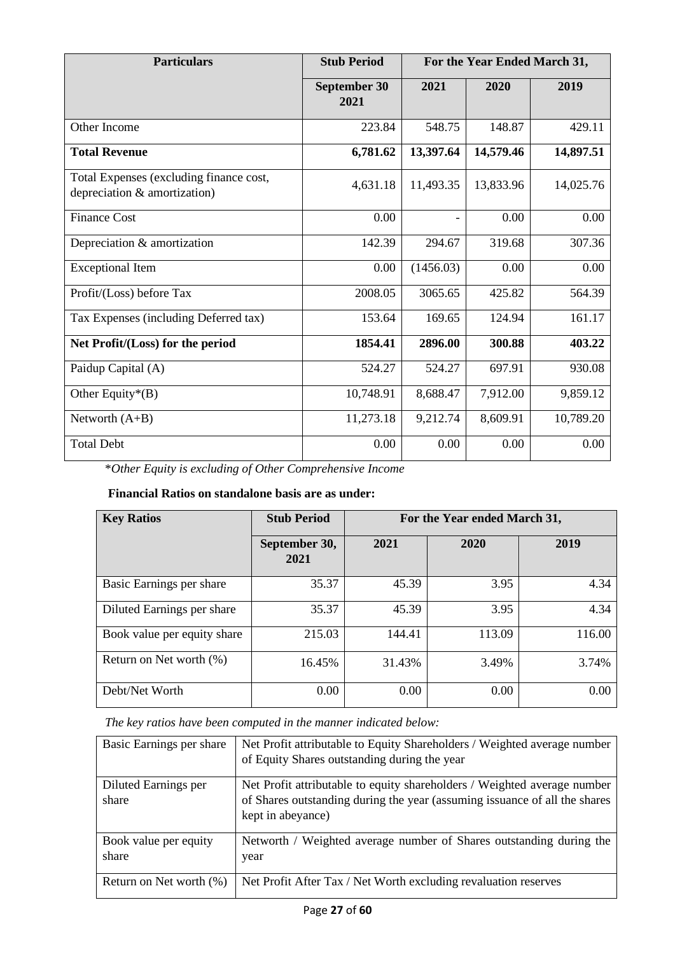| <b>Particulars</b>                                                      | <b>Stub Period</b>          | For the Year Ended March 31, |           |           |
|-------------------------------------------------------------------------|-----------------------------|------------------------------|-----------|-----------|
|                                                                         | <b>September 30</b><br>2021 | 2021                         | 2020      | 2019      |
| Other Income                                                            | 223.84                      | 548.75                       | 148.87    | 429.11    |
| <b>Total Revenue</b>                                                    | 6,781.62                    | 13,397.64                    | 14,579.46 | 14,897.51 |
| Total Expenses (excluding finance cost,<br>depreciation & amortization) | 4,631.18                    | 11,493.35                    | 13,833.96 | 14,025.76 |
| <b>Finance Cost</b>                                                     | 0.00                        |                              | 0.00      | 0.00      |
| Depreciation & amortization                                             | 142.39                      | 294.67                       | 319.68    | 307.36    |
| <b>Exceptional Item</b>                                                 | 0.00                        | (1456.03)                    | 0.00      | 0.00      |
| Profit/(Loss) before Tax                                                | 2008.05                     | 3065.65                      | 425.82    | 564.39    |
| Tax Expenses (including Deferred tax)                                   | 153.64                      | 169.65                       | 124.94    | 161.17    |
| Net Profit/(Loss) for the period                                        | 1854.41                     | 2896.00                      | 300.88    | 403.22    |
| Paidup Capital (A)                                                      | 524.27                      | 524.27                       | 697.91    | 930.08    |
| Other Equity* $(B)$                                                     | 10,748.91                   | 8,688.47                     | 7,912.00  | 9,859.12  |
| Networth $(A+B)$                                                        | 11,273.18                   | 9,212.74                     | 8,609.91  | 10,789.20 |
| <b>Total Debt</b>                                                       | 0.00                        | 0.00                         | 0.00      | 0.00      |

\**Other Equity is excluding of Other Comprehensive Income* 

# **Financial Ratios on standalone basis are as under:**

| <b>Key Ratios</b>           | <b>Stub Period</b>    | For the Year ended March 31, |        |        |  |
|-----------------------------|-----------------------|------------------------------|--------|--------|--|
|                             | September 30,<br>2021 | 2021                         | 2020   | 2019   |  |
| Basic Earnings per share    | 35.37                 | 45.39                        | 3.95   | 4.34   |  |
| Diluted Earnings per share  | 35.37                 | 45.39                        | 3.95   | 4.34   |  |
| Book value per equity share | 215.03                | 144.41                       | 113.09 | 116.00 |  |
| Return on Net worth (%)     | 16.45%                | 31.43%                       | 3.49%  | 3.74%  |  |
| Debt/Net Worth              | 0.00                  | 0.00                         | 0.00   | 0.00   |  |

*The key ratios have been computed in the manner indicated below:*

| Basic Earnings per share | Net Profit attributable to Equity Shareholders / Weighted average number<br>of Equity Shares outstanding during the year |
|--------------------------|--------------------------------------------------------------------------------------------------------------------------|
| Diluted Earnings per     | Net Profit attributable to equity shareholders / Weighted average number                                                 |
| share                    | of Shares outstanding during the year (assuming issuance of all the shares                                               |
|                          | kept in abeyance)                                                                                                        |
| Book value per equity    | Networth / Weighted average number of Shares outstanding during the                                                      |
| share                    | year                                                                                                                     |
| Return on Net worth (%)  | Net Profit After Tax / Net Worth excluding revaluation reserves                                                          |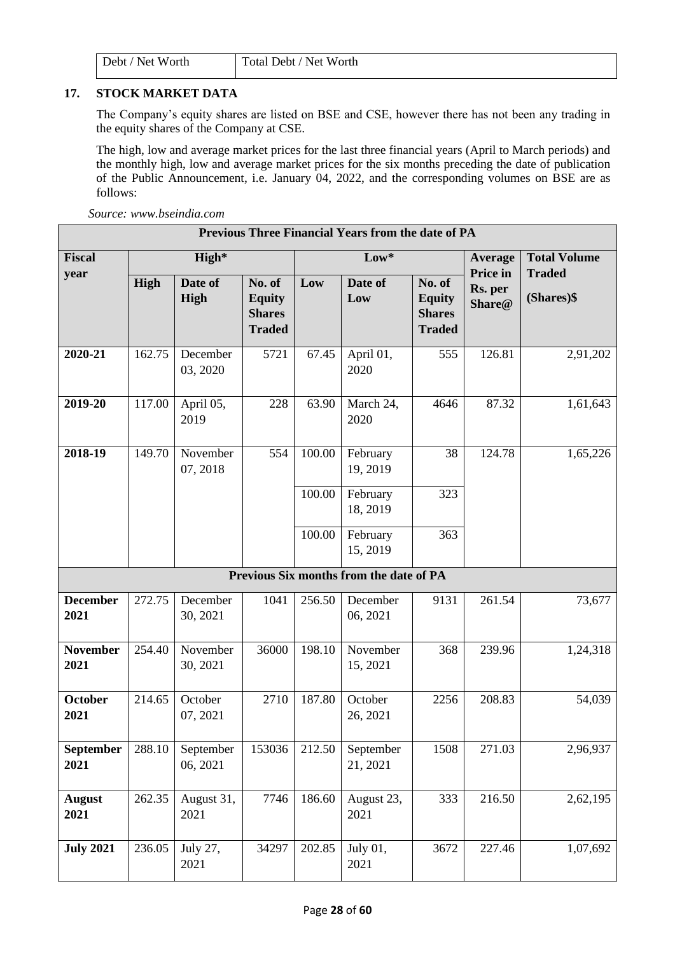| Debt / Net Worth | Total Debt / Net Worth |
|------------------|------------------------|
|                  |                        |

# <span id="page-27-0"></span>**17. STOCK MARKET DATA**

The Company's equity shares are listed on BSE and CSE, however there has not been any trading in the equity shares of the Company at CSE.

The high, low and average market prices for the last three financial years (April to March periods) and the monthly high, low and average market prices for the six months preceding the date of publication of the Public Announcement, i.e. January 04, 2022, and the corresponding volumes on BSE are as follows:

*Source: www.bseindia.com* 

| Previous Three Financial Years from the date of PA |             |                        |                                                           |        |                                         |                                                           |                               |                             |
|----------------------------------------------------|-------------|------------------------|-----------------------------------------------------------|--------|-----------------------------------------|-----------------------------------------------------------|-------------------------------|-----------------------------|
| <b>Fiscal</b>                                      |             | High*                  |                                                           |        | $Low*$                                  |                                                           | <b>Average</b>                | <b>Total Volume</b>         |
| year                                               | <b>High</b> | Date of<br><b>High</b> | No. of<br><b>Equity</b><br><b>Shares</b><br><b>Traded</b> | Low    | Date of<br>Low                          | No. of<br><b>Equity</b><br><b>Shares</b><br><b>Traded</b> | Price in<br>Rs. per<br>Share@ | <b>Traded</b><br>(Shares)\$ |
| 2020-21                                            | 162.75      | December<br>03, 2020   | 5721                                                      | 67.45  | April 01,<br>2020                       | 555                                                       | 126.81                        | 2,91,202                    |
| 2019-20                                            | 117.00      | April 05,<br>2019      | 228                                                       | 63.90  | March 24,<br>2020                       | 4646                                                      | 87.32                         | 1,61,643                    |
| 2018-19                                            | 149.70      | November<br>07, 2018   | 554                                                       | 100.00 | February<br>19, 2019                    | 38                                                        | 124.78                        | 1,65,226                    |
|                                                    |             |                        |                                                           | 100.00 | February<br>18, 2019                    | 323                                                       |                               |                             |
|                                                    |             |                        |                                                           | 100.00 | February<br>15, 2019                    | 363                                                       |                               |                             |
|                                                    |             |                        |                                                           |        | Previous Six months from the date of PA |                                                           |                               |                             |
| <b>December</b><br>2021                            | 272.75      | December<br>30, 2021   | 1041                                                      | 256.50 | December<br>06, 2021                    | 9131                                                      | 261.54                        | 73,677                      |
| <b>November</b><br>2021                            | 254.40      | November<br>30, 2021   | 36000                                                     | 198.10 | November<br>15, 2021                    | 368                                                       | 239.96                        | 1,24,318                    |
| <b>October</b><br>2021                             | 214.65      | October<br>07, 2021    | 2710                                                      | 187.80 | October<br>26, 2021                     | 2256                                                      | 208.83                        | 54,039                      |
| <b>September</b><br>2021                           | 288.10      | September<br>06, 2021  | 153036                                                    | 212.50 | September<br>21, 2021                   | 1508                                                      | 271.03                        | 2,96,937                    |
| <b>August</b><br>2021                              | 262.35      | August 31,<br>2021     | 7746                                                      | 186.60 | August 23,<br>2021                      | 333                                                       | 216.50                        | 2,62,195                    |
| <b>July 2021</b>                                   | 236.05      | July 27,<br>2021       | 34297                                                     | 202.85 | July 01,<br>2021                        | 3672                                                      | 227.46                        | 1,07,692                    |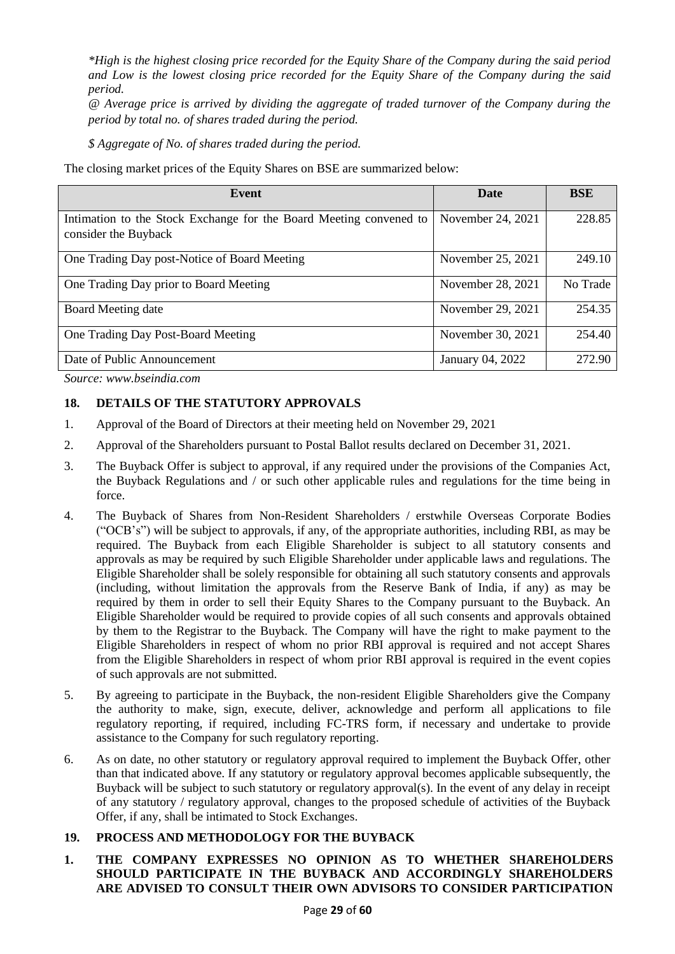*\*High is the highest closing price recorded for the Equity Share of the Company during the said period and Low is the lowest closing price recorded for the Equity Share of the Company during the said period.*

*@ Average price is arrived by dividing the aggregate of traded turnover of the Company during the period by total no. of shares traded during the period.*

*\$ Aggregate of No. of shares traded during the period.* 

The closing market prices of the Equity Shares on BSE are summarized below:

| Event                                                                                      | Date              | <b>BSE</b> |
|--------------------------------------------------------------------------------------------|-------------------|------------|
| Intimation to the Stock Exchange for the Board Meeting convened to<br>consider the Buyback | November 24, 2021 | 228.85     |
| One Trading Day post-Notice of Board Meeting                                               | November 25, 2021 | 249.10     |
| One Trading Day prior to Board Meeting                                                     | November 28, 2021 | No Trade   |
| Board Meeting date                                                                         | November 29, 2021 | 254.35     |
| One Trading Day Post-Board Meeting                                                         | November 30, 2021 | 254.40     |
| Date of Public Announcement                                                                | January 04, 2022  | 272.90     |

*Source: www.bseindia.com*

# <span id="page-28-0"></span>**18. DETAILS OF THE STATUTORY APPROVALS**

- 1. Approval of the Board of Directors at their meeting held on November 29, 2021
- 2. Approval of the Shareholders pursuant to Postal Ballot results declared on December 31, 2021.
- 3. The Buyback Offer is subject to approval, if any required under the provisions of the Companies Act, the Buyback Regulations and / or such other applicable rules and regulations for the time being in force.
- 4. The Buyback of Shares from Non-Resident Shareholders / erstwhile Overseas Corporate Bodies ("OCB's") will be subject to approvals, if any, of the appropriate authorities, including RBI, as may be required. The Buyback from each Eligible Shareholder is subject to all statutory consents and approvals as may be required by such Eligible Shareholder under applicable laws and regulations. The Eligible Shareholder shall be solely responsible for obtaining all such statutory consents and approvals (including, without limitation the approvals from the Reserve Bank of India, if any) as may be required by them in order to sell their Equity Shares to the Company pursuant to the Buyback. An Eligible Shareholder would be required to provide copies of all such consents and approvals obtained by them to the Registrar to the Buyback. The Company will have the right to make payment to the Eligible Shareholders in respect of whom no prior RBI approval is required and not accept Shares from the Eligible Shareholders in respect of whom prior RBI approval is required in the event copies of such approvals are not submitted.
- 5. By agreeing to participate in the Buyback, the non-resident Eligible Shareholders give the Company the authority to make, sign, execute, deliver, acknowledge and perform all applications to file regulatory reporting, if required, including FC-TRS form, if necessary and undertake to provide assistance to the Company for such regulatory reporting.
- 6. As on date, no other statutory or regulatory approval required to implement the Buyback Offer, other than that indicated above. If any statutory or regulatory approval becomes applicable subsequently, the Buyback will be subject to such statutory or regulatory approval(s). In the event of any delay in receipt of any statutory / regulatory approval, changes to the proposed schedule of activities of the Buyback Offer, if any, shall be intimated to Stock Exchanges.

# <span id="page-28-1"></span>**19. PROCESS AND METHODOLOGY FOR THE BUYBACK**

**1. THE COMPANY EXPRESSES NO OPINION AS TO WHETHER SHAREHOLDERS SHOULD PARTICIPATE IN THE BUYBACK AND ACCORDINGLY SHAREHOLDERS ARE ADVISED TO CONSULT THEIR OWN ADVISORS TO CONSIDER PARTICIPATION**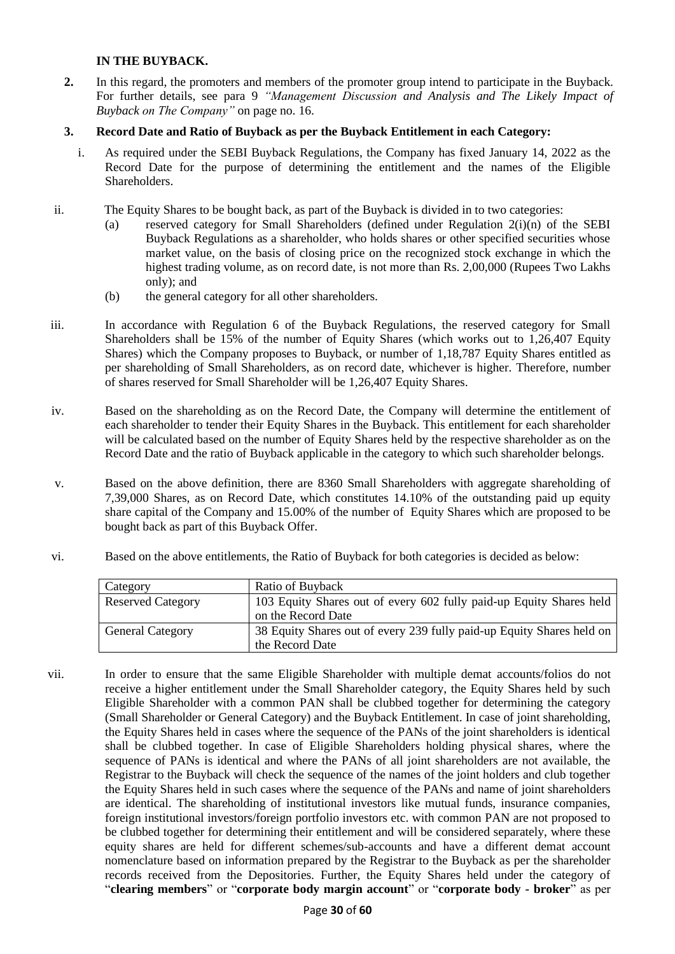#### **IN THE BUYBACK.**

**2.** In this regard, the promoters and members of the promoter group intend to participate in the Buyback. For further details, see para 9 *"Management Discussion and Analysis and The Likely Impact of Buyback on The Company"* on page no. 16.

# **3. Record Date and Ratio of Buyback as per the Buyback Entitlement in each Category:**

- i. As required under the SEBI Buyback Regulations, the Company has fixed January 14, 2022 as the Record Date for the purpose of determining the entitlement and the names of the Eligible Shareholders.
- ii. The Equity Shares to be bought back, as part of the Buyback is divided in to two categories:
	- (a) reserved category for Small Shareholders (defined under Regulation 2(i)(n) of the SEBI Buyback Regulations as a shareholder, who holds shares or other specified securities whose market value, on the basis of closing price on the recognized stock exchange in which the highest trading volume, as on record date, is not more than Rs. 2,00,000 (Rupees Two Lakhs only); and
	- (b) the general category for all other shareholders.
- iii. In accordance with Regulation 6 of the Buyback Regulations, the reserved category for Small Shareholders shall be 15% of the number of Equity Shares (which works out to 1,26,407 Equity Shares) which the Company proposes to Buyback, or number of 1,18,787 Equity Shares entitled as per shareholding of Small Shareholders, as on record date, whichever is higher. Therefore, number of shares reserved for Small Shareholder will be 1,26,407 Equity Shares.
- iv. Based on the shareholding as on the Record Date, the Company will determine the entitlement of each shareholder to tender their Equity Shares in the Buyback. This entitlement for each shareholder will be calculated based on the number of Equity Shares held by the respective shareholder as on the Record Date and the ratio of Buyback applicable in the category to which such shareholder belongs.
- v. Based on the above definition, there are 8360 Small Shareholders with aggregate shareholding of 7,39,000 Shares, as on Record Date, which constitutes 14.10% of the outstanding paid up equity share capital of the Company and 15.00% of the number of Equity Shares which are proposed to be bought back as part of this Buyback Offer.
- vi. Based on the above entitlements, the Ratio of Buyback for both categories is decided as below:

| Category                 | Ratio of Buyback                                                      |
|--------------------------|-----------------------------------------------------------------------|
| <b>Reserved Category</b> | 103 Equity Shares out of every 602 fully paid-up Equity Shares held   |
|                          | on the Record Date                                                    |
| <b>General Category</b>  | 38 Equity Shares out of every 239 fully paid-up Equity Shares held on |
|                          | the Record Date                                                       |

vii. In order to ensure that the same Eligible Shareholder with multiple demat accounts/folios do not receive a higher entitlement under the Small Shareholder category, the Equity Shares held by such Eligible Shareholder with a common PAN shall be clubbed together for determining the category (Small Shareholder or General Category) and the Buyback Entitlement. In case of joint shareholding, the Equity Shares held in cases where the sequence of the PANs of the joint shareholders is identical shall be clubbed together. In case of Eligible Shareholders holding physical shares, where the sequence of PANs is identical and where the PANs of all joint shareholders are not available, the Registrar to the Buyback will check the sequence of the names of the joint holders and club together the Equity Shares held in such cases where the sequence of the PANs and name of joint shareholders are identical. The shareholding of institutional investors like mutual funds, insurance companies, foreign institutional investors/foreign portfolio investors etc. with common PAN are not proposed to be clubbed together for determining their entitlement and will be considered separately, where these equity shares are held for different schemes/sub-accounts and have a different demat account nomenclature based on information prepared by the Registrar to the Buyback as per the shareholder records received from the Depositories. Further, the Equity Shares held under the category of "**clearing members**" or "**corporate body margin account**" or "**corporate body - broker**" as per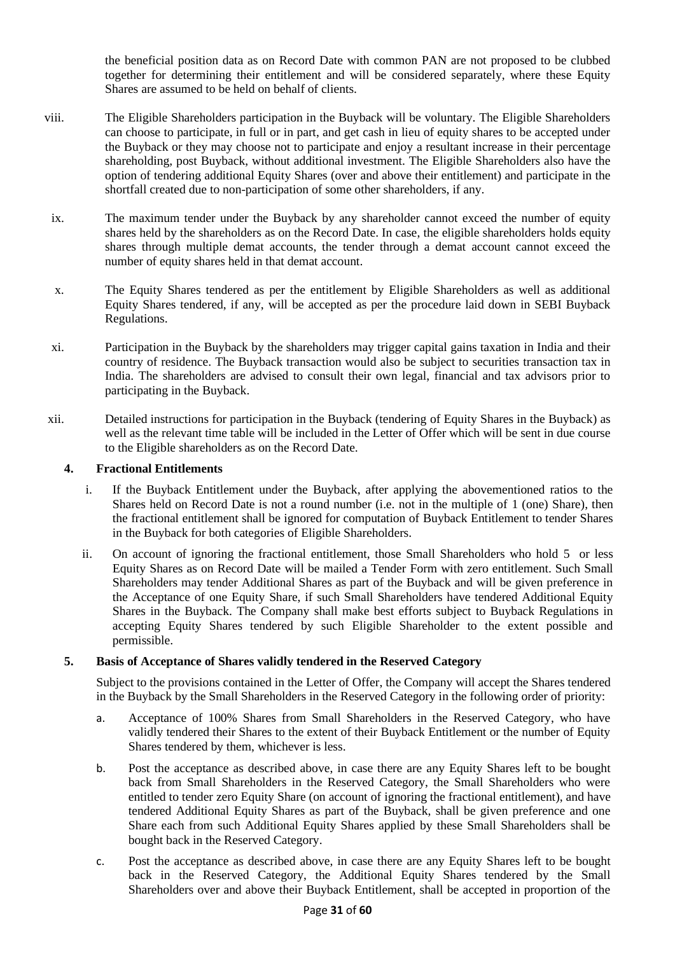the beneficial position data as on Record Date with common PAN are not proposed to be clubbed together for determining their entitlement and will be considered separately, where these Equity Shares are assumed to be held on behalf of clients.

- viii. The Eligible Shareholders participation in the Buyback will be voluntary. The Eligible Shareholders can choose to participate, in full or in part, and get cash in lieu of equity shares to be accepted under the Buyback or they may choose not to participate and enjoy a resultant increase in their percentage shareholding, post Buyback, without additional investment. The Eligible Shareholders also have the option of tendering additional Equity Shares (over and above their entitlement) and participate in the shortfall created due to non-participation of some other shareholders, if any.
- ix. The maximum tender under the Buyback by any shareholder cannot exceed the number of equity shares held by the shareholders as on the Record Date. In case, the eligible shareholders holds equity shares through multiple demat accounts, the tender through a demat account cannot exceed the number of equity shares held in that demat account.
- x. The Equity Shares tendered as per the entitlement by Eligible Shareholders as well as additional Equity Shares tendered, if any, will be accepted as per the procedure laid down in SEBI Buyback Regulations.
- xi. Participation in the Buyback by the shareholders may trigger capital gains taxation in India and their country of residence. The Buyback transaction would also be subject to securities transaction tax in India. The shareholders are advised to consult their own legal, financial and tax advisors prior to participating in the Buyback.
- xii. Detailed instructions for participation in the Buyback (tendering of Equity Shares in the Buyback) as well as the relevant time table will be included in the Letter of Offer which will be sent in due course to the Eligible shareholders as on the Record Date.

### **4. Fractional Entitlements**

- i. If the Buyback Entitlement under the Buyback, after applying the abovementioned ratios to the Shares held on Record Date is not a round number (i.e. not in the multiple of 1 (one) Share), then the fractional entitlement shall be ignored for computation of Buyback Entitlement to tender Shares in the Buyback for both categories of Eligible Shareholders.
- ii. On account of ignoring the fractional entitlement, those Small Shareholders who hold 5 or less Equity Shares as on Record Date will be mailed a Tender Form with zero entitlement. Such Small Shareholders may tender Additional Shares as part of the Buyback and will be given preference in the Acceptance of one Equity Share, if such Small Shareholders have tendered Additional Equity Shares in the Buyback. The Company shall make best efforts subject to Buyback Regulations in accepting Equity Shares tendered by such Eligible Shareholder to the extent possible and permissible.

#### **5. Basis of Acceptance of Shares validly tendered in the Reserved Category**

Subject to the provisions contained in the Letter of Offer, the Company will accept the Shares tendered in the Buyback by the Small Shareholders in the Reserved Category in the following order of priority:

- a. Acceptance of 100% Shares from Small Shareholders in the Reserved Category, who have validly tendered their Shares to the extent of their Buyback Entitlement or the number of Equity Shares tendered by them, whichever is less.
- b. Post the acceptance as described above, in case there are any Equity Shares left to be bought back from Small Shareholders in the Reserved Category, the Small Shareholders who were entitled to tender zero Equity Share (on account of ignoring the fractional entitlement), and have tendered Additional Equity Shares as part of the Buyback, shall be given preference and one Share each from such Additional Equity Shares applied by these Small Shareholders shall be bought back in the Reserved Category.
- c. Post the acceptance as described above, in case there are any Equity Shares left to be bought back in the Reserved Category, the Additional Equity Shares tendered by the Small Shareholders over and above their Buyback Entitlement, shall be accepted in proportion of the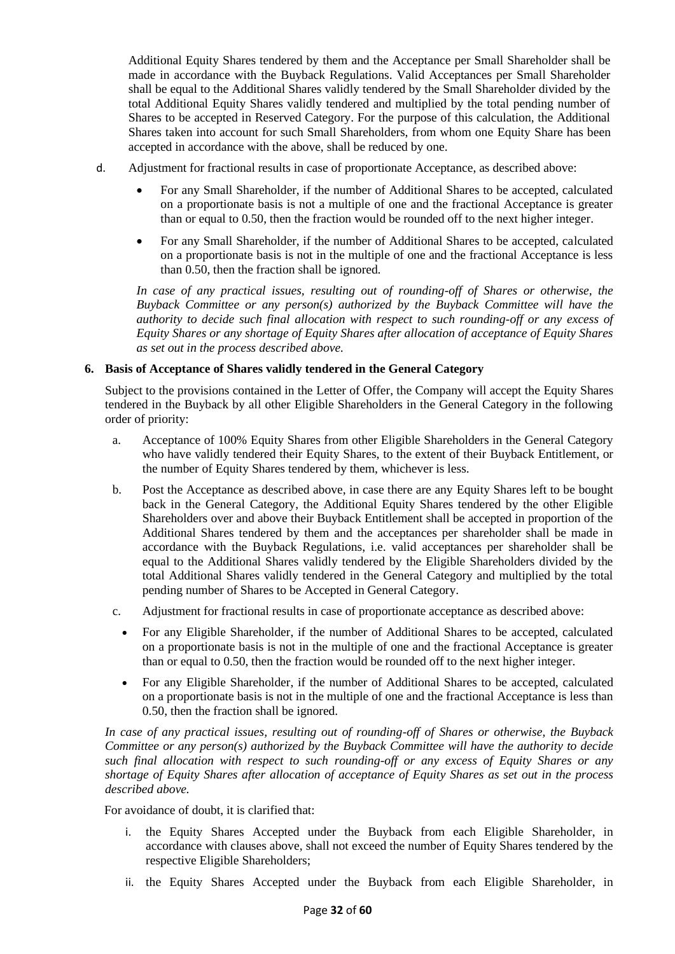Additional Equity Shares tendered by them and the Acceptance per Small Shareholder shall be made in accordance with the Buyback Regulations. Valid Acceptances per Small Shareholder shall be equal to the Additional Shares validly tendered by the Small Shareholder divided by the total Additional Equity Shares validly tendered and multiplied by the total pending number of Shares to be accepted in Reserved Category. For the purpose of this calculation, the Additional Shares taken into account for such Small Shareholders, from whom one Equity Share has been accepted in accordance with the above, shall be reduced by one.

- d. Adjustment for fractional results in case of proportionate Acceptance, as described above:
	- For any Small Shareholder, if the number of Additional Shares to be accepted, calculated on a proportionate basis is not a multiple of one and the fractional Acceptance is greater than or equal to 0.50, then the fraction would be rounded off to the next higher integer.
	- For any Small Shareholder, if the number of Additional Shares to be accepted, calculated on a proportionate basis is not in the multiple of one and the fractional Acceptance is less than 0.50, then the fraction shall be ignored.

*In case of any practical issues, resulting out of rounding-off of Shares or otherwise, the Buyback Committee or any person(s) authorized by the Buyback Committee will have the authority to decide such final allocation with respect to such rounding-off or any excess of Equity Shares or any shortage of Equity Shares after allocation of acceptance of Equity Shares as set out in the process described above.*

### **6. Basis of Acceptance of Shares validly tendered in the General Category**

Subject to the provisions contained in the Letter of Offer, the Company will accept the Equity Shares tendered in the Buyback by all other Eligible Shareholders in the General Category in the following order of priority:

- a. Acceptance of 100% Equity Shares from other Eligible Shareholders in the General Category who have validly tendered their Equity Shares, to the extent of their Buyback Entitlement, or the number of Equity Shares tendered by them, whichever is less.
- b. Post the Acceptance as described above, in case there are any Equity Shares left to be bought back in the General Category, the Additional Equity Shares tendered by the other Eligible Shareholders over and above their Buyback Entitlement shall be accepted in proportion of the Additional Shares tendered by them and the acceptances per shareholder shall be made in accordance with the Buyback Regulations, i.e. valid acceptances per shareholder shall be equal to the Additional Shares validly tendered by the Eligible Shareholders divided by the total Additional Shares validly tendered in the General Category and multiplied by the total pending number of Shares to be Accepted in General Category.
- c. Adjustment for fractional results in case of proportionate acceptance as described above:
- For any Eligible Shareholder, if the number of Additional Shares to be accepted, calculated on a proportionate basis is not in the multiple of one and the fractional Acceptance is greater than or equal to 0.50, then the fraction would be rounded off to the next higher integer.
- For any Eligible Shareholder, if the number of Additional Shares to be accepted, calculated on a proportionate basis is not in the multiple of one and the fractional Acceptance is less than 0.50, then the fraction shall be ignored.

*In case of any practical issues, resulting out of rounding-off of Shares or otherwise, the Buyback Committee or any person(s) authorized by the Buyback Committee will have the authority to decide such final allocation with respect to such rounding-off or any excess of Equity Shares or any shortage of Equity Shares after allocation of acceptance of Equity Shares as set out in the process described above.*

For avoidance of doubt, it is clarified that:

- i. the Equity Shares Accepted under the Buyback from each Eligible Shareholder, in accordance with clauses above, shall not exceed the number of Equity Shares tendered by the respective Eligible Shareholders;
- ii. the Equity Shares Accepted under the Buyback from each Eligible Shareholder, in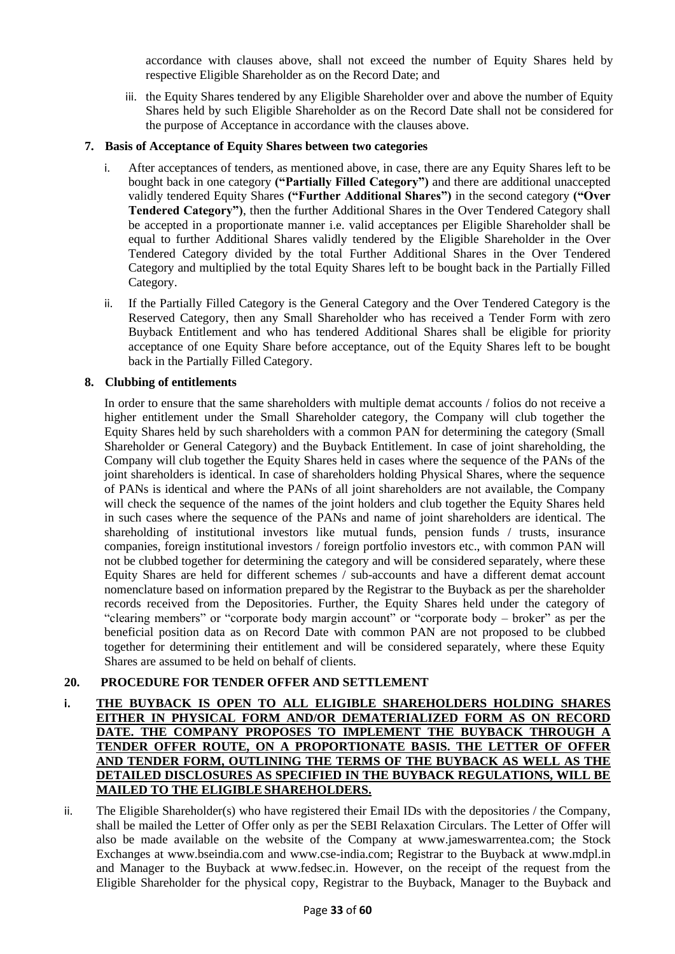accordance with clauses above, shall not exceed the number of Equity Shares held by respective Eligible Shareholder as on the Record Date; and

iii. the Equity Shares tendered by any Eligible Shareholder over and above the number of Equity Shares held by such Eligible Shareholder as on the Record Date shall not be considered for the purpose of Acceptance in accordance with the clauses above.

#### **7. Basis of Acceptance of Equity Shares between two categories**

- i. After acceptances of tenders, as mentioned above, in case, there are any Equity Shares left to be bought back in one category **("Partially Filled Category")** and there are additional unaccepted validly tendered Equity Shares **("Further Additional Shares")** in the second category **("Over Tendered Category")**, then the further Additional Shares in the Over Tendered Category shall be accepted in a proportionate manner i.e. valid acceptances per Eligible Shareholder shall be equal to further Additional Shares validly tendered by the Eligible Shareholder in the Over Tendered Category divided by the total Further Additional Shares in the Over Tendered Category and multiplied by the total Equity Shares left to be bought back in the Partially Filled Category.
- ii. If the Partially Filled Category is the General Category and the Over Tendered Category is the Reserved Category, then any Small Shareholder who has received a Tender Form with zero Buyback Entitlement and who has tendered Additional Shares shall be eligible for priority acceptance of one Equity Share before acceptance, out of the Equity Shares left to be bought back in the Partially Filled Category.

### **8. Clubbing of entitlements**

In order to ensure that the same shareholders with multiple demat accounts / folios do not receive a higher entitlement under the Small Shareholder category, the Company will club together the Equity Shares held by such shareholders with a common PAN for determining the category (Small Shareholder or General Category) and the Buyback Entitlement. In case of joint shareholding, the Company will club together the Equity Shares held in cases where the sequence of the PANs of the joint shareholders is identical. In case of shareholders holding Physical Shares, where the sequence of PANs is identical and where the PANs of all joint shareholders are not available, the Company will check the sequence of the names of the joint holders and club together the Equity Shares held in such cases where the sequence of the PANs and name of joint shareholders are identical. The shareholding of institutional investors like mutual funds, pension funds / trusts, insurance companies, foreign institutional investors / foreign portfolio investors etc., with common PAN will not be clubbed together for determining the category and will be considered separately, where these Equity Shares are held for different schemes / sub-accounts and have a different demat account nomenclature based on information prepared by the Registrar to the Buyback as per the shareholder records received from the Depositories. Further, the Equity Shares held under the category of "clearing members" or "corporate body margin account" or "corporate body – broker" as per the beneficial position data as on Record Date with common PAN are not proposed to be clubbed together for determining their entitlement and will be considered separately, where these Equity Shares are assumed to be held on behalf of clients.

# <span id="page-32-0"></span>**20. PROCEDURE FOR TENDER OFFER AND SETTLEMENT**

**i. THE BUYBACK IS OPEN TO ALL ELIGIBLE SHAREHOLDERS HOLDING SHARES EITHER IN PHYSICAL FORM AND/OR DEMATERIALIZED FORM AS ON RECORD DATE. THE COMPANY PROPOSES TO IMPLEMENT THE BUYBACK THROUGH A TENDER OFFER ROUTE, ON A PROPORTIONATE BASIS. THE LETTER OF OFFER AND TENDER FORM, OUTLINING THE TERMS OF THE BUYBACK AS WELL AS THE DETAILED DISCLOSURES AS SPECIFIED IN THE BUYBACK REGULATIONS, WILL BE MAILED TO THE ELIGIBLESHAREHOLDERS.**

ii. The Eligible Shareholder(s) who have registered their Email IDs with the depositories / the Company, shall be mailed the Letter of Offer only as per the SEBI Relaxation Circulars. The Letter of Offer will also be made available on the website of the Company at [www.jameswarrentea.com;](http://www.jameswarrentea.com/) the Stock Exchanges at [www.bseindia.com](http://www.bseindia.com/) and [www.cse-india.com;](http://www.cse-india.com/) Registrar to the Buyback at [www.mdpl.in](http://www.mdpl.in/) and Manager to the Buyback at [www.fedsec.in.](http://www.fedsec.in/) However, on the receipt of the request from the Eligible Shareholder for the physical copy, Registrar to the Buyback, Manager to the Buyback and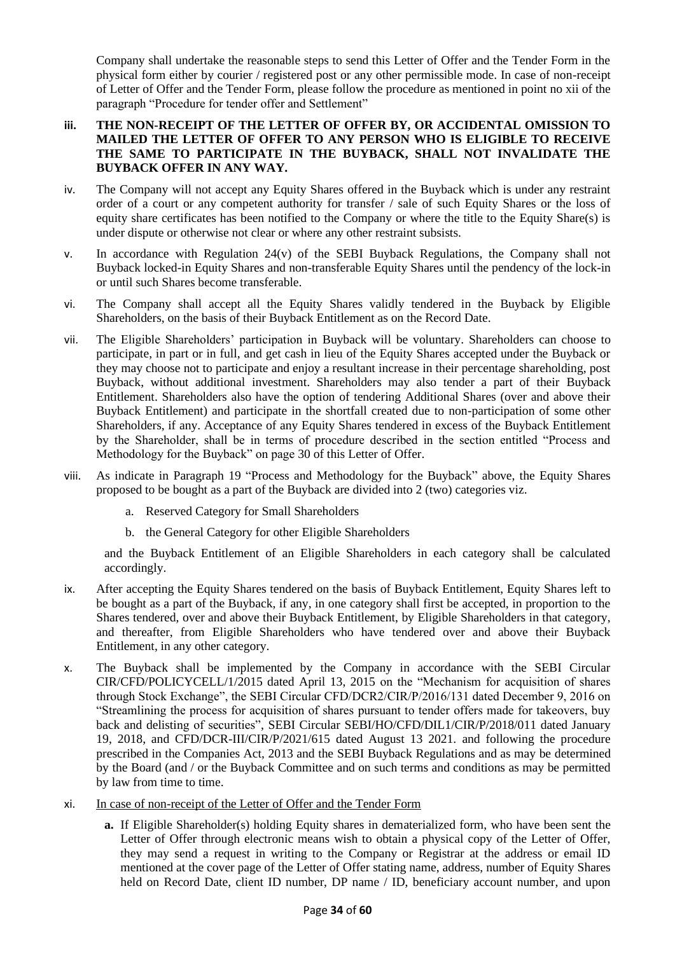Company shall undertake the reasonable steps to send this Letter of Offer and the Tender Form in the physical form either by courier / registered post or any other permissible mode. In case of non-receipt of Letter of Offer and the Tender Form, please follow the procedure as mentioned in point no xii of the paragraph "Procedure for tender offer and Settlement"

### **iii. THE NON-RECEIPT OF THE LETTER OF OFFER BY, OR ACCIDENTAL OMISSION TO MAILED THE LETTER OF OFFER TO ANY PERSON WHO IS ELIGIBLE TO RECEIVE THE SAME TO PARTICIPATE IN THE BUYBACK, SHALL NOT INVALIDATE THE BUYBACK OFFER IN ANY WAY.**

- iv. The Company will not accept any Equity Shares offered in the Buyback which is under any restraint order of a court or any competent authority for transfer / sale of such Equity Shares or the loss of equity share certificates has been notified to the Company or where the title to the Equity Share(s) is under dispute or otherwise not clear or where any other restraint subsists.
- v. In accordance with Regulation 24(v) of the SEBI Buyback Regulations, the Company shall not Buyback locked-in Equity Shares and non-transferable Equity Shares until the pendency of the lock-in or until such Shares become transferable.
- vi. The Company shall accept all the Equity Shares validly tendered in the Buyback by Eligible Shareholders, on the basis of their Buyback Entitlement as on the Record Date.
- vii. The Eligible Shareholders' participation in Buyback will be voluntary. Shareholders can choose to participate, in part or in full, and get cash in lieu of the Equity Shares accepted under the Buyback or they may choose not to participate and enjoy a resultant increase in their percentage shareholding, post Buyback, without additional investment. Shareholders may also tender a part of their Buyback Entitlement. Shareholders also have the option of tendering Additional Shares (over and above their Buyback Entitlement) and participate in the shortfall created due to non-participation of some other Shareholders, if any. Acceptance of any Equity Shares tendered in excess of the Buyback Entitlement by the Shareholder, shall be in terms of procedure described in the section entitled "Process and Methodology for the Buyback" on page 30 of this Letter of Offer.
- viii. As indicate in Paragraph 19 "Process and Methodology for the Buyback" above, the Equity Shares proposed to be bought as a part of the Buyback are divided into 2 (two) categories viz.
	- a. Reserved Category for Small Shareholders
	- b. the General Category for other Eligible Shareholders

and the Buyback Entitlement of an Eligible Shareholders in each category shall be calculated accordingly.

- ix. After accepting the Equity Shares tendered on the basis of Buyback Entitlement, Equity Shares left to be bought as a part of the Buyback, if any, in one category shall first be accepted, in proportion to the Shares tendered, over and above their Buyback Entitlement, by Eligible Shareholders in that category, and thereafter, from Eligible Shareholders who have tendered over and above their Buyback Entitlement, in any other category.
- x. The Buyback shall be implemented by the Company in accordance with the SEBI Circular CIR/CFD/POLICYCELL/1/2015 dated April 13, 2015 on the "Mechanism for acquisition of shares through Stock Exchange", the SEBI Circular CFD/DCR2/CIR/P/2016/131 dated December 9, 2016 on "Streamlining the process for acquisition of shares pursuant to tender offers made for takeovers, buy back and delisting of securities", SEBI Circular SEBI/HO/CFD/DIL1/CIR/P/2018/011 dated January 19, 2018, and CFD/DCR-III/CIR/P/2021/615 dated August 13 2021. and following the procedure prescribed in the Companies Act, 2013 and the SEBI Buyback Regulations and as may be determined by the Board (and / or the Buyback Committee and on such terms and conditions as may be permitted by law from time to time.
- xi. In case of non-receipt of the Letter of Offer and the Tender Form
	- **a.** If Eligible Shareholder(s) holding Equity shares in dematerialized form, who have been sent the Letter of Offer through electronic means wish to obtain a physical copy of the Letter of Offer, they may send a request in writing to the Company or Registrar at the address or email ID mentioned at the cover page of the Letter of Offer stating name, address, number of Equity Shares held on Record Date, client ID number, DP name / ID, beneficiary account number, and upon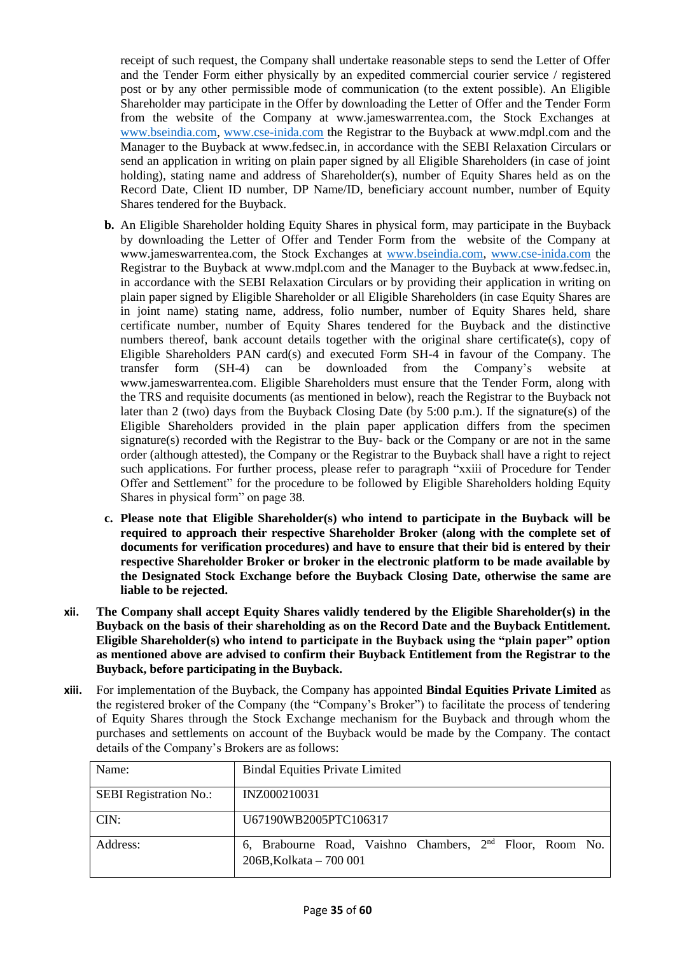receipt of such request, the Company shall undertake reasonable steps to send the Letter of Offer and the Tender Form either physically by an expedited commercial courier service / registered post or by any other permissible mode of communication (to the extent possible). An Eligible Shareholder may participate in the Offer by downloading the Letter of Offer and the Tender Form from the website of the Company at www.jameswarrentea.com, the Stock Exchanges at [www.bseindia.com,](http://www.bseindia.com/) [www.cse-inida.com](http://www.cse-inida.com/) the Registrar to the Buyback at www.mdpl.com and the Manager to the Buyback at www.fedsec.in, in accordance with the SEBI Relaxation Circulars or send an application in writing on plain paper signed by all Eligible Shareholders (in case of joint holding), stating name and address of Shareholder(s), number of Equity Shares held as on the Record Date, Client ID number, DP Name/ID, beneficiary account number, number of Equity Shares tendered for the Buyback.

- **b.** An Eligible Shareholder holding Equity Shares in physical form, may participate in the Buyback by downloading the Letter of Offer and Tender Form from the website of the Company at www.jameswarrentea.com, the Stock Exchanges at [www.bseindia.com,](http://www.bseindia.com/) [www.cse-inida.com](http://www.cse-inida.com/) the Registrar to the Buyback at www.mdpl.com and the Manager to the Buyback at www.fedsec.in, in accordance with the SEBI Relaxation Circulars or by providing their application in writing on plain paper signed by Eligible Shareholder or all Eligible Shareholders (in case Equity Shares are in joint name) stating name, address, folio number, number of Equity Shares held, share certificate number, number of Equity Shares tendered for the Buyback and the distinctive numbers thereof, bank account details together with the original share certificate(s), copy of Eligible Shareholders PAN card(s) and executed Form SH-4 in favour of the Company. The transfer form (SH-4) can be downloaded from the Company's website at www.jameswarrentea.com. Eligible Shareholders must ensure that the Tender Form, along with the TRS and requisite documents (as mentioned in below), reach the Registrar to the Buyback not later than 2 (two) days from the Buyback Closing Date (by 5:00 p.m.). If the signature(s) of the Eligible Shareholders provided in the plain paper application differs from the specimen signature(s) recorded with the Registrar to the Buy- back or the Company or are not in the same order (although attested), the Company or the Registrar to the Buyback shall have a right to reject such applications. For further process, please refer to paragraph "xxiii of Procedure for Tender Offer and Settlement" for the procedure to be followed by Eligible Shareholders holding Equity Shares in physical form" on page 38.
- **c. Please note that Eligible Shareholder(s) who intend to participate in the Buyback will be required to approach their respective Shareholder Broker (along with the complete set of documents for verification procedures) and have to ensure that their bid is entered by their respective Shareholder Broker or broker in the electronic platform to be made available by the Designated Stock Exchange before the Buyback Closing Date, otherwise the same are liable to be rejected.**
- **xii. The Company shall accept Equity Shares validly tendered by the Eligible Shareholder(s) in the Buyback on the basis of their shareholding as on the Record Date and the Buyback Entitlement. Eligible Shareholder(s) who intend to participate in the Buyback using the "plain paper" option as mentioned above are advised to confirm their Buyback Entitlement from the Registrar to the Buyback, before participating in the Buyback.**
- **xiii.** For implementation of the Buyback, the Company has appointed **Bindal Equities Private Limited** as the registered broker of the Company (the "Company's Broker") to facilitate the process of tendering of Equity Shares through the Stock Exchange mechanism for the Buyback and through whom the purchases and settlements on account of the Buyback would be made by the Company. The contact details of the Company's Brokers are as follows:

| Name:                         | <b>Bindal Equities Private Limited</b>                                                          |
|-------------------------------|-------------------------------------------------------------------------------------------------|
| <b>SEBI</b> Registration No.: | INZ000210031                                                                                    |
| CIN:                          | U67190WB2005PTC106317                                                                           |
| Address:                      | 6, Brabourne Road, Vaishno Chambers, 2 <sup>nd</sup> Floor, Room No.<br>206B, Kolkata - 700 001 |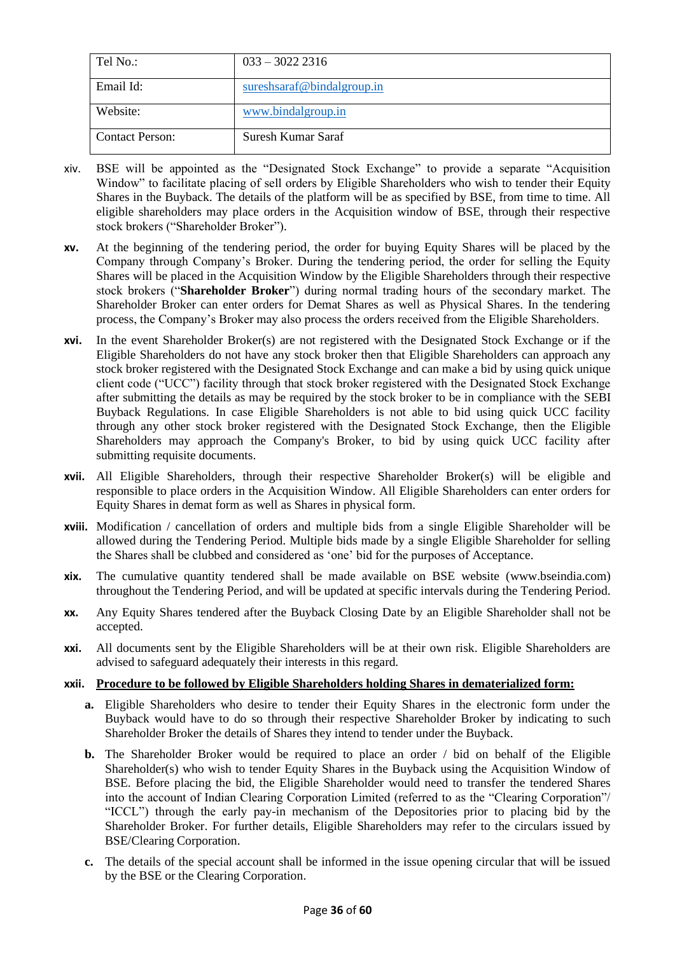| Tel No.:               | $033 - 30222316$           |
|------------------------|----------------------------|
| Email Id:              | sureshsaraf@bindalgroup.in |
| Website:               | www.bindalgroup.in         |
| <b>Contact Person:</b> | Suresh Kumar Saraf         |

- xiv. BSE will be appointed as the "Designated Stock Exchange" to provide a separate "Acquisition Window" to facilitate placing of sell orders by Eligible Shareholders who wish to tender their Equity Shares in the Buyback. The details of the platform will be as specified by BSE, from time to time. All eligible shareholders may place orders in the Acquisition window of BSE, through their respective stock brokers ("Shareholder Broker").
- **xv.** At the beginning of the tendering period, the order for buying Equity Shares will be placed by the Company through Company's Broker. During the tendering period, the order for selling the Equity Shares will be placed in the Acquisition Window by the Eligible Shareholders through their respective stock brokers ("**Shareholder Broker**") during normal trading hours of the secondary market. The Shareholder Broker can enter orders for Demat Shares as well as Physical Shares. In the tendering process, the Company's Broker may also process the orders received from the Eligible Shareholders.
- **xvi.** In the event Shareholder Broker(s) are not registered with the Designated Stock Exchange or if the Eligible Shareholders do not have any stock broker then that Eligible Shareholders can approach any stock broker registered with the Designated Stock Exchange and can make a bid by using quick unique client code ("UCC") facility through that stock broker registered with the Designated Stock Exchange after submitting the details as may be required by the stock broker to be in compliance with the SEBI Buyback Regulations. In case Eligible Shareholders is not able to bid using quick UCC facility through any other stock broker registered with the Designated Stock Exchange, then the Eligible Shareholders may approach the Company's Broker, to bid by using quick UCC facility after submitting requisite documents.
- **xvii.** All Eligible Shareholders, through their respective Shareholder Broker(s) will be eligible and responsible to place orders in the Acquisition Window. All Eligible Shareholders can enter orders for Equity Shares in demat form as well as Shares in physical form.
- **xviii.** Modification / cancellation of orders and multiple bids from a single Eligible Shareholder will be allowed during the Tendering Period. Multiple bids made by a single Eligible Shareholder for selling the Shares shall be clubbed and considered as 'one' bid for the purposes of Acceptance.
- **xix.** The cumulative quantity tendered shall be made available on BSE website (www.bseindia.com) throughout the Tendering Period, and will be updated at specific intervals during the Tendering Period.
- **xx.** Any Equity Shares tendered after the Buyback Closing Date by an Eligible Shareholder shall not be accepted.
- **xxi.** All documents sent by the Eligible Shareholders will be at their own risk. Eligible Shareholders are advised to safeguard adequately their interests in this regard.

# **xxii. Procedure to be followed by Eligible Shareholders holding Shares in dematerialized form:**

- **a.** Eligible Shareholders who desire to tender their Equity Shares in the electronic form under the Buyback would have to do so through their respective Shareholder Broker by indicating to such Shareholder Broker the details of Shares they intend to tender under the Buyback.
- **b.** The Shareholder Broker would be required to place an order / bid on behalf of the Eligible Shareholder(s) who wish to tender Equity Shares in the Buyback using the Acquisition Window of BSE. Before placing the bid, the Eligible Shareholder would need to transfer the tendered Shares into the account of Indian Clearing Corporation Limited (referred to as the "Clearing Corporation"/ "ICCL") through the early pay-in mechanism of the Depositories prior to placing bid by the Shareholder Broker. For further details, Eligible Shareholders may refer to the circulars issued by BSE/Clearing Corporation.
- **c.** The details of the special account shall be informed in the issue opening circular that will be issued by the BSE or the Clearing Corporation.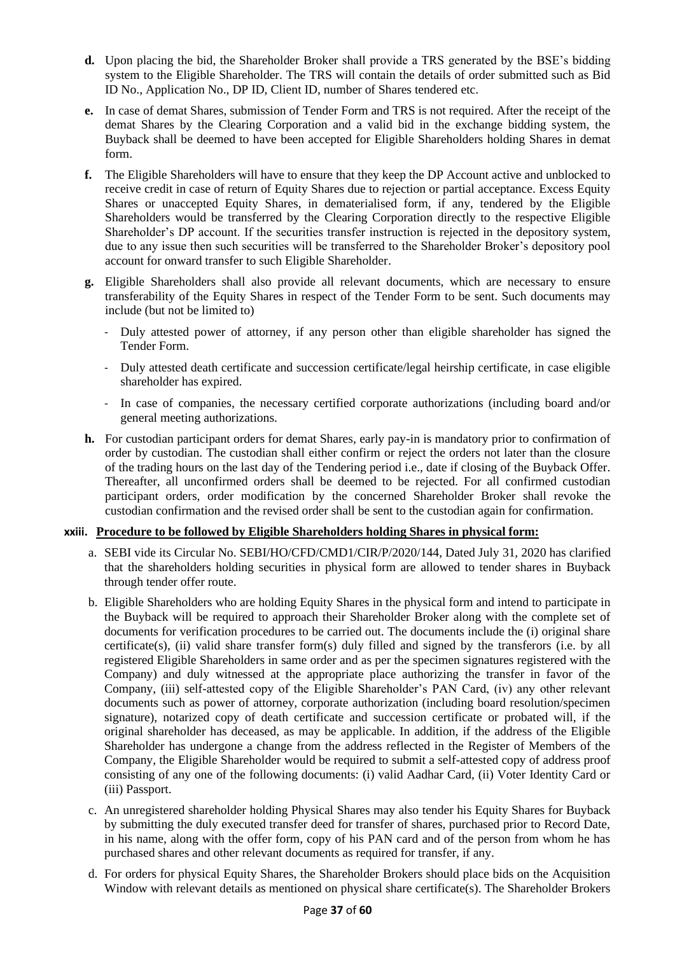- **d.** Upon placing the bid, the Shareholder Broker shall provide a TRS generated by the BSE's bidding system to the Eligible Shareholder. The TRS will contain the details of order submitted such as Bid ID No., Application No., DP ID, Client ID, number of Shares tendered etc.
- **e.** In case of demat Shares, submission of Tender Form and TRS is not required. After the receipt of the demat Shares by the Clearing Corporation and a valid bid in the exchange bidding system, the Buyback shall be deemed to have been accepted for Eligible Shareholders holding Shares in demat form.
- **f.** The Eligible Shareholders will have to ensure that they keep the DP Account active and unblocked to receive credit in case of return of Equity Shares due to rejection or partial acceptance. Excess Equity Shares or unaccepted Equity Shares, in dematerialised form, if any, tendered by the Eligible Shareholders would be transferred by the Clearing Corporation directly to the respective Eligible Shareholder's DP account. If the securities transfer instruction is rejected in the depository system, due to any issue then such securities will be transferred to the Shareholder Broker's depository pool account for onward transfer to such Eligible Shareholder.
- **g.** Eligible Shareholders shall also provide all relevant documents, which are necessary to ensure transferability of the Equity Shares in respect of the Tender Form to be sent. Such documents may include (but not be limited to)
	- Duly attested power of attorney, if any person other than eligible shareholder has signed the Tender Form.
	- Duly attested death certificate and succession certificate/legal heirship certificate, in case eligible shareholder has expired.
	- In case of companies, the necessary certified corporate authorizations (including board and/or general meeting authorizations.
- **h.** For custodian participant orders for demat Shares, early pay-in is mandatory prior to confirmation of order by custodian. The custodian shall either confirm or reject the orders not later than the closure of the trading hours on the last day of the Tendering period i.e., date if closing of the Buyback Offer. Thereafter, all unconfirmed orders shall be deemed to be rejected. For all confirmed custodian participant orders, order modification by the concerned Shareholder Broker shall revoke the custodian confirmation and the revised order shall be sent to the custodian again for confirmation.

#### **xxiii. Procedure to be followed by Eligible Shareholders holding Shares in physical form:**

- a. SEBI vide its Circular No. SEBI/HO/CFD/CMD1/CIR/P/2020/144, Dated July 31, 2020 has clarified that the shareholders holding securities in physical form are allowed to tender shares in Buyback through tender offer route.
- b. Eligible Shareholders who are holding Equity Shares in the physical form and intend to participate in the Buyback will be required to approach their Shareholder Broker along with the complete set of documents for verification procedures to be carried out. The documents include the (i) original share certificate(s), (ii) valid share transfer form(s) duly filled and signed by the transferors (i.e. by all registered Eligible Shareholders in same order and as per the specimen signatures registered with the Company) and duly witnessed at the appropriate place authorizing the transfer in favor of the Company, (iii) self-attested copy of the Eligible Shareholder's PAN Card, (iv) any other relevant documents such as power of attorney, corporate authorization (including board resolution/specimen signature), notarized copy of death certificate and succession certificate or probated will, if the original shareholder has deceased, as may be applicable. In addition, if the address of the Eligible Shareholder has undergone a change from the address reflected in the Register of Members of the Company, the Eligible Shareholder would be required to submit a self-attested copy of address proof consisting of any one of the following documents: (i) valid Aadhar Card, (ii) Voter Identity Card or (iii) Passport.
- c. An unregistered shareholder holding Physical Shares may also tender his Equity Shares for Buyback by submitting the duly executed transfer deed for transfer of shares, purchased prior to Record Date, in his name, along with the offer form, copy of his PAN card and of the person from whom he has purchased shares and other relevant documents as required for transfer, if any.
- d. For orders for physical Equity Shares, the Shareholder Brokers should place bids on the Acquisition Window with relevant details as mentioned on physical share certificate(s). The Shareholder Brokers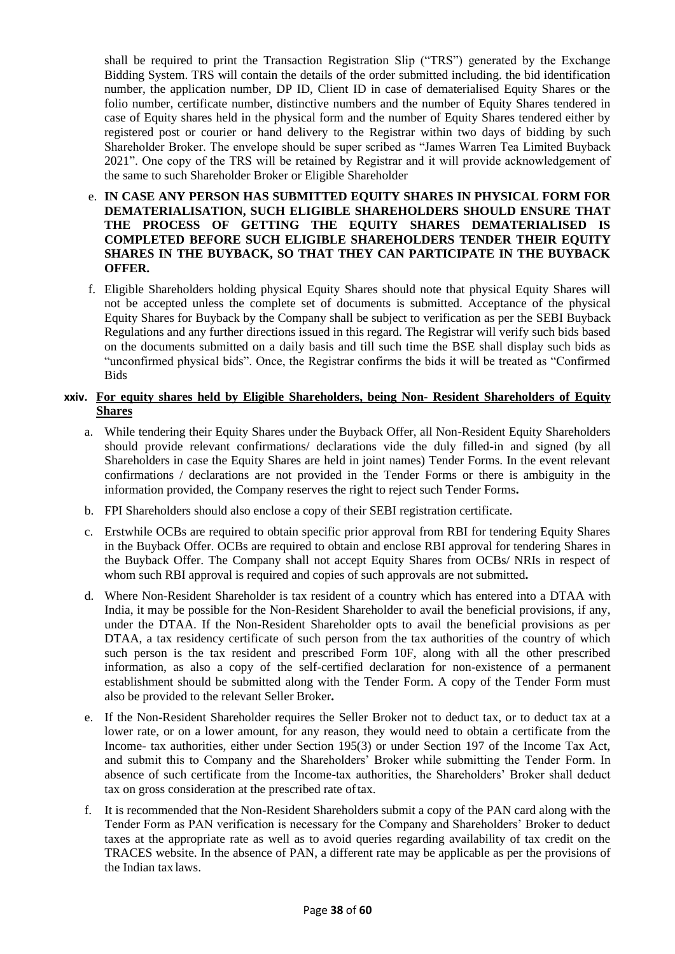shall be required to print the Transaction Registration Slip ("TRS") generated by the Exchange Bidding System. TRS will contain the details of the order submitted including. the bid identification number, the application number, DP ID, Client ID in case of dematerialised Equity Shares or the folio number, certificate number, distinctive numbers and the number of Equity Shares tendered in case of Equity shares held in the physical form and the number of Equity Shares tendered either by registered post or courier or hand delivery to the Registrar within two days of bidding by such Shareholder Broker. The envelope should be super scribed as "James Warren Tea Limited Buyback 2021". One copy of the TRS will be retained by Registrar and it will provide acknowledgement of the same to such Shareholder Broker or Eligible Shareholder

- e. **IN CASE ANY PERSON HAS SUBMITTED EQUITY SHARES IN PHYSICAL FORM FOR DEMATERIALISATION, SUCH ELIGIBLE SHAREHOLDERS SHOULD ENSURE THAT THE PROCESS OF GETTING THE EQUITY SHARES DEMATERIALISED IS COMPLETED BEFORE SUCH ELIGIBLE SHAREHOLDERS TENDER THEIR EQUITY SHARES IN THE BUYBACK, SO THAT THEY CAN PARTICIPATE IN THE BUYBACK OFFER.**
- f. Eligible Shareholders holding physical Equity Shares should note that physical Equity Shares will not be accepted unless the complete set of documents is submitted. Acceptance of the physical Equity Shares for Buyback by the Company shall be subject to verification as per the SEBI Buyback Regulations and any further directions issued in this regard. The Registrar will verify such bids based on the documents submitted on a daily basis and till such time the BSE shall display such bids as "unconfirmed physical bids". Once, the Registrar confirms the bids it will be treated as "Confirmed Bids

#### **xxiv. For equity shares held by Eligible Shareholders, being Non- Resident Shareholders of Equity Shares**

- a. While tendering their Equity Shares under the Buyback Offer, all Non-Resident Equity Shareholders should provide relevant confirmations/ declarations vide the duly filled-in and signed (by all Shareholders in case the Equity Shares are held in joint names) Tender Forms. In the event relevant confirmations / declarations are not provided in the Tender Forms or there is ambiguity in the information provided, the Company reserves the right to reject such Tender Forms**.**
- b. FPI Shareholders should also enclose a copy of their SEBI registration certificate.
- c. Erstwhile OCBs are required to obtain specific prior approval from RBI for tendering Equity Shares in the Buyback Offer. OCBs are required to obtain and enclose RBI approval for tendering Shares in the Buyback Offer. The Company shall not accept Equity Shares from OCBs/ NRIs in respect of whom such RBI approval is required and copies of such approvals are not submitted**.**
- d. Where Non-Resident Shareholder is tax resident of a country which has entered into a DTAA with India, it may be possible for the Non-Resident Shareholder to avail the beneficial provisions, if any, under the DTAA. If the Non-Resident Shareholder opts to avail the beneficial provisions as per DTAA, a tax residency certificate of such person from the tax authorities of the country of which such person is the tax resident and prescribed Form 10F, along with all the other prescribed information, as also a copy of the self-certified declaration for non-existence of a permanent establishment should be submitted along with the Tender Form. A copy of the Tender Form must also be provided to the relevant Seller Broker**.**
- e. If the Non-Resident Shareholder requires the Seller Broker not to deduct tax, or to deduct tax at a lower rate, or on a lower amount, for any reason, they would need to obtain a certificate from the Income- tax authorities, either under Section 195(3) or under Section 197 of the Income Tax Act, and submit this to Company and the Shareholders' Broker while submitting the Tender Form. In absence of such certificate from the Income-tax authorities, the Shareholders' Broker shall deduct tax on gross consideration at the prescribed rate oftax.
- f. It is recommended that the Non-Resident Shareholders submit a copy of the PAN card along with the Tender Form as PAN verification is necessary for the Company and Shareholders' Broker to deduct taxes at the appropriate rate as well as to avoid queries regarding availability of tax credit on the TRACES website. In the absence of PAN, a different rate may be applicable as per the provisions of the Indian tax laws.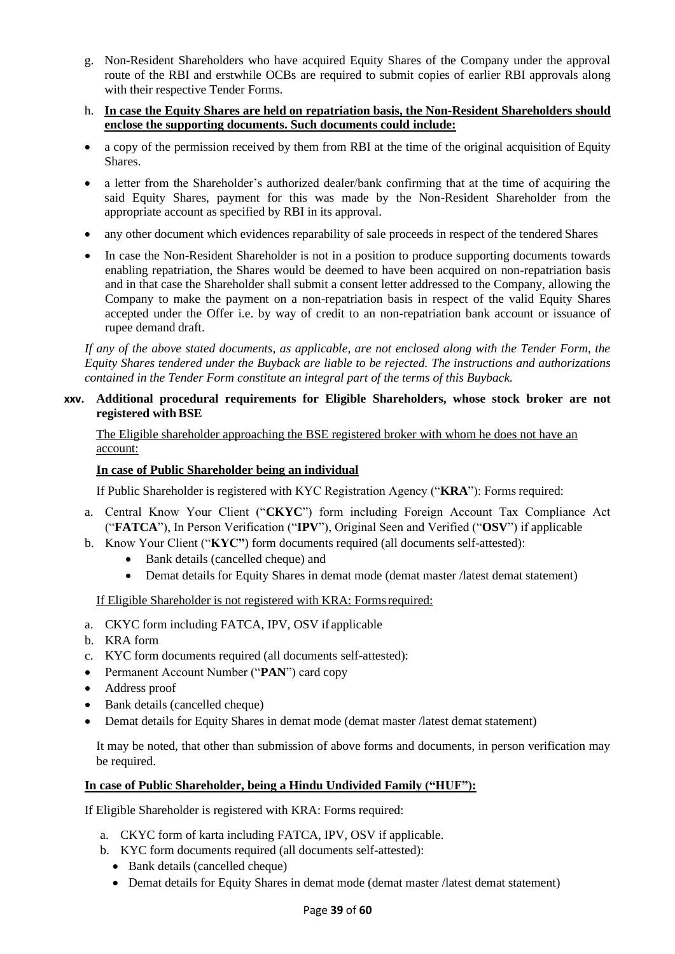- g. Non-Resident Shareholders who have acquired Equity Shares of the Company under the approval route of the RBI and erstwhile OCBs are required to submit copies of earlier RBI approvals along with their respective Tender Forms.
- h. **In case the Equity Shares are held on repatriation basis, the Non-Resident Shareholders should enclose the supporting documents. Such documents could include:**
- a copy of the permission received by them from RBI at the time of the original acquisition of Equity Shares.
- a letter from the Shareholder's authorized dealer/bank confirming that at the time of acquiring the said Equity Shares, payment for this was made by the Non-Resident Shareholder from the appropriate account as specified by RBI in its approval.
- any other document which evidences reparability of sale proceeds in respect of the tendered Shares
- In case the Non-Resident Shareholder is not in a position to produce supporting documents towards enabling repatriation, the Shares would be deemed to have been acquired on non-repatriation basis and in that case the Shareholder shall submit a consent letter addressed to the Company, allowing the Company to make the payment on a non-repatriation basis in respect of the valid Equity Shares accepted under the Offer i.e. by way of credit to an non-repatriation bank account or issuance of rupee demand draft.

*If any of the above stated documents, as applicable, are not enclosed along with the Tender Form, the Equity Shares tendered under the Buyback are liable to be rejected. The instructions and authorizations contained in the Tender Form constitute an integral part of the terms of this Buyback.*

**xxv. Additional procedural requirements for Eligible Shareholders, whose stock broker are not registered with BSE**

The Eligible shareholder approaching the BSE registered broker with whom he does not have an account:

### **In case of Public Shareholder being an individual**

If Public Shareholder is registered with KYC Registration Agency ("**KRA**"): Forms required:

- a. Central Know Your Client ("**CKYC**") form including Foreign Account Tax Compliance Act ("**FATCA**"), In Person Verification ("**IPV**"), Original Seen and Verified ("**OSV**") if applicable
- b. Know Your Client ("**KYC"**) form documents required (all documents self-attested):
	- Bank details (cancelled cheque) and
	- Demat details for Equity Shares in demat mode (demat master /latest demat statement)

If Eligible Shareholder is not registered with KRA: Formsrequired:

- a. CKYC form including FATCA, IPV, OSV if applicable
- b. KRA form
- c. KYC form documents required (all documents self-attested):
- Permanent Account Number ("**PAN**") card copy
- Address proof
- Bank details (cancelled cheque)
- Demat details for Equity Shares in demat mode (demat master /latest demat statement)

It may be noted, that other than submission of above forms and documents, in person verification may be required.

#### **In case of Public Shareholder, being a Hindu Undivided Family ("HUF"):**

If Eligible Shareholder is registered with KRA: Forms required:

- a. CKYC form of karta including FATCA, IPV, OSV if applicable.
- b. KYC form documents required (all documents self-attested):
	- Bank details (cancelled cheque)
	- Demat details for Equity Shares in demat mode (demat master /latest demat statement)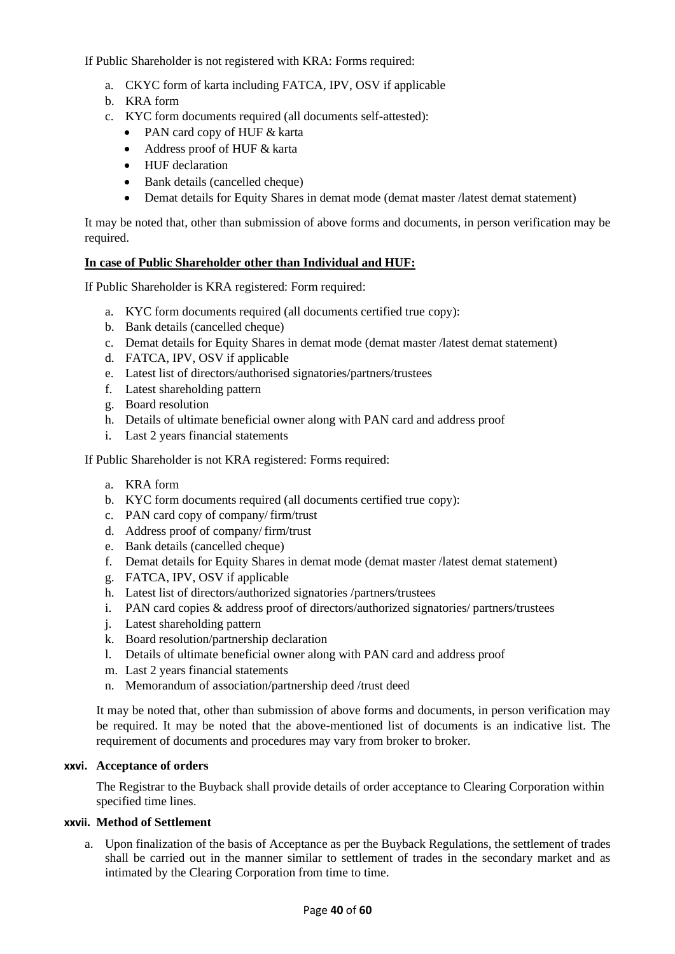If Public Shareholder is not registered with KRA: Forms required:

- a. CKYC form of karta including FATCA, IPV, OSV if applicable
- b. KRA form
- c. KYC form documents required (all documents self-attested):
	- PAN card copy of HUF & karta
	- Address proof of HUF & karta
	- HUF declaration
	- Bank details (cancelled cheque)
	- Demat details for Equity Shares in demat mode (demat master /latest demat statement)

It may be noted that, other than submission of above forms and documents, in person verification may be required.

# **In case of Public Shareholder other than Individual and HUF:**

If Public Shareholder is KRA registered: Form required:

- a. KYC form documents required (all documents certified true copy):
- b. Bank details (cancelled cheque)
- c. Demat details for Equity Shares in demat mode (demat master /latest demat statement)
- d. FATCA, IPV, OSV if applicable
- e. Latest list of directors/authorised signatories/partners/trustees
- f. Latest shareholding pattern
- g. Board resolution
- h. Details of ultimate beneficial owner along with PAN card and address proof
- i. Last 2 years financial statements

If Public Shareholder is not KRA registered: Forms required:

- a. KRA form
- b. KYC form documents required (all documents certified true copy):
- c. PAN card copy of company/ firm/trust
- d. Address proof of company/ firm/trust
- e. Bank details (cancelled cheque)
- f. Demat details for Equity Shares in demat mode (demat master /latest demat statement)
- g. FATCA, IPV, OSV if applicable
- h. Latest list of directors/authorized signatories /partners/trustees
- i. PAN card copies & address proof of directors/authorized signatories/ partners/trustees
- j. Latest shareholding pattern
- k. Board resolution/partnership declaration
- l. Details of ultimate beneficial owner along with PAN card and address proof
- m. Last 2 years financial statements
- n. Memorandum of association/partnership deed /trust deed

It may be noted that, other than submission of above forms and documents, in person verification may be required. It may be noted that the above-mentioned list of documents is an indicative list. The requirement of documents and procedures may vary from broker to broker.

#### **xxvi. Acceptance of orders**

The Registrar to the Buyback shall provide details of order acceptance to Clearing Corporation within specified time lines.

#### **xxvii. Method of Settlement**

a. Upon finalization of the basis of Acceptance as per the Buyback Regulations, the settlement of trades shall be carried out in the manner similar to settlement of trades in the secondary market and as intimated by the Clearing Corporation from time to time.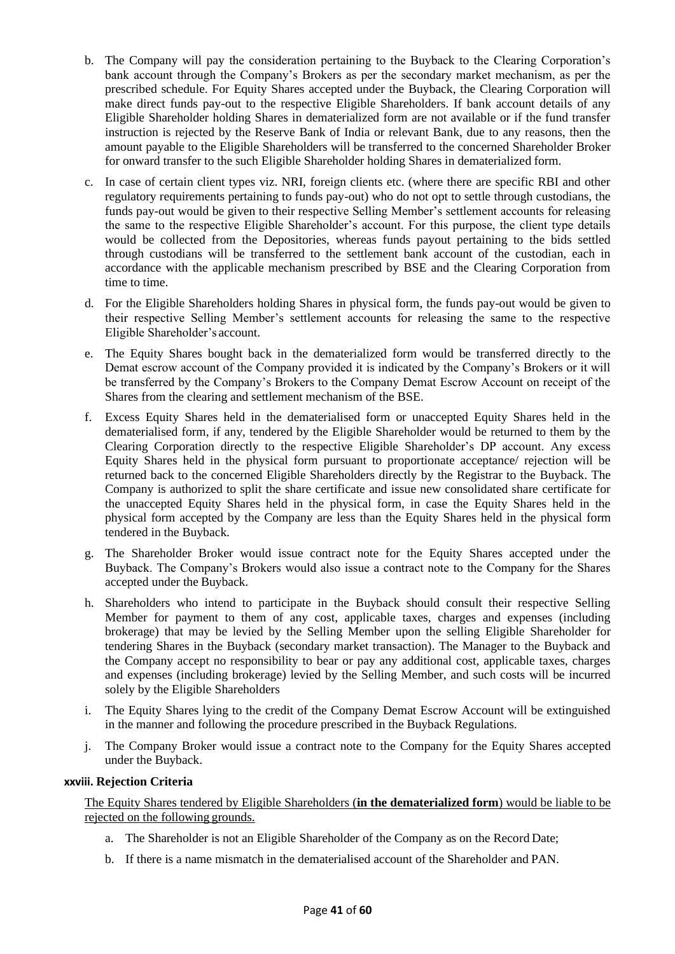- b. The Company will pay the consideration pertaining to the Buyback to the Clearing Corporation's bank account through the Company's Brokers as per the secondary market mechanism, as per the prescribed schedule. For Equity Shares accepted under the Buyback, the Clearing Corporation will make direct funds pay-out to the respective Eligible Shareholders. If bank account details of any Eligible Shareholder holding Shares in dematerialized form are not available or if the fund transfer instruction is rejected by the Reserve Bank of India or relevant Bank, due to any reasons, then the amount payable to the Eligible Shareholders will be transferred to the concerned Shareholder Broker for onward transfer to the such Eligible Shareholder holding Shares in dematerialized form.
- c. In case of certain client types viz. NRI, foreign clients etc. (where there are specific RBI and other regulatory requirements pertaining to funds pay-out) who do not opt to settle through custodians, the funds pay-out would be given to their respective Selling Member's settlement accounts for releasing the same to the respective Eligible Shareholder's account. For this purpose, the client type details would be collected from the Depositories, whereas funds payout pertaining to the bids settled through custodians will be transferred to the settlement bank account of the custodian, each in accordance with the applicable mechanism prescribed by BSE and the Clearing Corporation from time to time.
- d. For the Eligible Shareholders holding Shares in physical form, the funds pay-out would be given to their respective Selling Member's settlement accounts for releasing the same to the respective Eligible Shareholder's account.
- e. The Equity Shares bought back in the dematerialized form would be transferred directly to the Demat escrow account of the Company provided it is indicated by the Company's Brokers or it will be transferred by the Company's Brokers to the Company Demat Escrow Account on receipt of the Shares from the clearing and settlement mechanism of the BSE.
- f. Excess Equity Shares held in the dematerialised form or unaccepted Equity Shares held in the dematerialised form, if any, tendered by the Eligible Shareholder would be returned to them by the Clearing Corporation directly to the respective Eligible Shareholder's DP account. Any excess Equity Shares held in the physical form pursuant to proportionate acceptance/ rejection will be returned back to the concerned Eligible Shareholders directly by the Registrar to the Buyback. The Company is authorized to split the share certificate and issue new consolidated share certificate for the unaccepted Equity Shares held in the physical form, in case the Equity Shares held in the physical form accepted by the Company are less than the Equity Shares held in the physical form tendered in the Buyback.
- g. The Shareholder Broker would issue contract note for the Equity Shares accepted under the Buyback. The Company's Brokers would also issue a contract note to the Company for the Shares accepted under the Buyback.
- h. Shareholders who intend to participate in the Buyback should consult their respective Selling Member for payment to them of any cost, applicable taxes, charges and expenses (including brokerage) that may be levied by the Selling Member upon the selling Eligible Shareholder for tendering Shares in the Buyback (secondary market transaction). The Manager to the Buyback and the Company accept no responsibility to bear or pay any additional cost, applicable taxes, charges and expenses (including brokerage) levied by the Selling Member, and such costs will be incurred solely by the Eligible Shareholders
- i. The Equity Shares lying to the credit of the Company Demat Escrow Account will be extinguished in the manner and following the procedure prescribed in the Buyback Regulations.
- j. The Company Broker would issue a contract note to the Company for the Equity Shares accepted under the Buyback.

#### **xxviii. Rejection Criteria**

The Equity Shares tendered by Eligible Shareholders (**in the dematerialized form**) would be liable to be rejected on the following grounds.

- a. The Shareholder is not an Eligible Shareholder of the Company as on the Record Date;
- b. If there is a name mismatch in the dematerialised account of the Shareholder and PAN.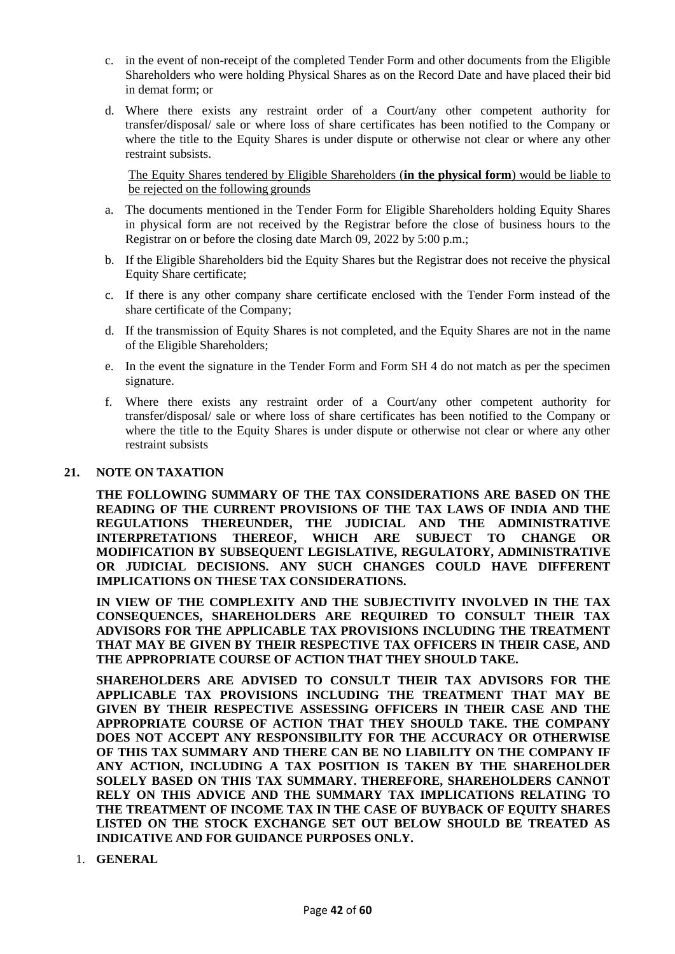- c. in the event of non-receipt of the completed Tender Form and other documents from the Eligible Shareholders who were holding Physical Shares as on the Record Date and have placed their bid in demat form; or
- d. Where there exists any restraint order of a Court/any other competent authority for transfer/disposal/ sale or where loss of share certificates has been notified to the Company or where the title to the Equity Shares is under dispute or otherwise not clear or where any other restraint subsists.

The Equity Shares tendered by Eligible Shareholders (**in the physical form**) would be liable to be rejected on the following grounds

- a. The documents mentioned in the Tender Form for Eligible Shareholders holding Equity Shares in physical form are not received by the Registrar before the close of business hours to the Registrar on or before the closing date March 09, 2022 by 5:00 p.m.;
- b. If the Eligible Shareholders bid the Equity Shares but the Registrar does not receive the physical Equity Share certificate;
- c. If there is any other company share certificate enclosed with the Tender Form instead of the share certificate of the Company;
- d. If the transmission of Equity Shares is not completed, and the Equity Shares are not in the name of the Eligible Shareholders;
- e. In the event the signature in the Tender Form and Form SH 4 do not match as per the specimen signature.
- f. Where there exists any restraint order of a Court/any other competent authority for transfer/disposal/ sale or where loss of share certificates has been notified to the Company or where the title to the Equity Shares is under dispute or otherwise not clear or where any other restraint subsists

#### <span id="page-41-0"></span>**21. NOTE ON TAXATION**

**THE FOLLOWING SUMMARY OF THE TAX CONSIDERATIONS ARE BASED ON THE READING OF THE CURRENT PROVISIONS OF THE TAX LAWS OF INDIA AND THE REGULATIONS THEREUNDER, THE JUDICIAL AND THE ADMINISTRATIVE INTERPRETATIONS THEREOF, WHICH ARE SUBJECT TO CHANGE OR MODIFICATION BY SUBSEQUENT LEGISLATIVE, REGULATORY, ADMINISTRATIVE OR JUDICIAL DECISIONS. ANY SUCH CHANGES COULD HAVE DIFFERENT IMPLICATIONS ON THESE TAX CONSIDERATIONS.** 

**IN VIEW OF THE COMPLEXITY AND THE SUBJECTIVITY INVOLVED IN THE TAX CONSEQUENCES, SHAREHOLDERS ARE REQUIRED TO CONSULT THEIR TAX ADVISORS FOR THE APPLICABLE TAX PROVISIONS INCLUDING THE TREATMENT THAT MAY BE GIVEN BY THEIR RESPECTIVE TAX OFFICERS IN THEIR CASE, AND THE APPROPRIATE COURSE OF ACTION THAT THEY SHOULD TAKE.**

**SHAREHOLDERS ARE ADVISED TO CONSULT THEIR TAX ADVISORS FOR THE APPLICABLE TAX PROVISIONS INCLUDING THE TREATMENT THAT MAY BE GIVEN BY THEIR RESPECTIVE ASSESSING OFFICERS IN THEIR CASE AND THE APPROPRIATE COURSE OF ACTION THAT THEY SHOULD TAKE. THE COMPANY DOES NOT ACCEPT ANY RESPONSIBILITY FOR THE ACCURACY OR OTHERWISE OF THIS TAX SUMMARY AND THERE CAN BE NO LIABILITY ON THE COMPANY IF ANY ACTION, INCLUDING A TAX POSITION IS TAKEN BY THE SHAREHOLDER SOLELY BASED ON THIS TAX SUMMARY. THEREFORE, SHAREHOLDERS CANNOT RELY ON THIS ADVICE AND THE SUMMARY TAX IMPLICATIONS RELATING TO THE TREATMENT OF INCOME TAX IN THE CASE OF BUYBACK OF EQUITY SHARES LISTED ON THE STOCK EXCHANGE SET OUT BELOW SHOULD BE TREATED AS INDICATIVE AND FOR GUIDANCE PURPOSES ONLY.**

1. **GENERAL**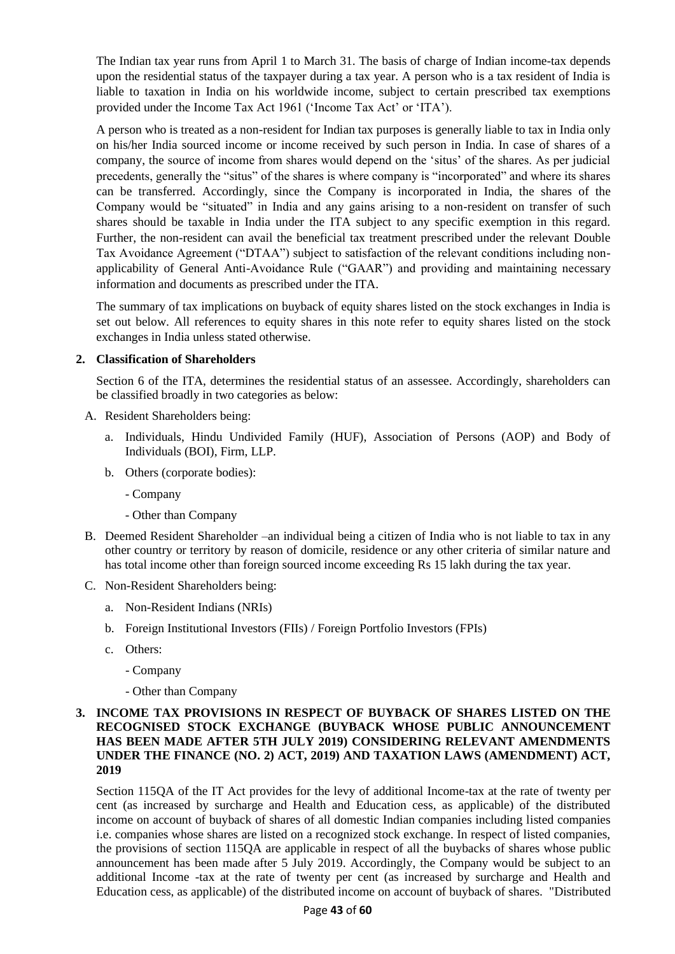The Indian tax year runs from April 1 to March 31. The basis of charge of Indian income-tax depends upon the residential status of the taxpayer during a tax year. A person who is a tax resident of India is liable to taxation in India on his worldwide income, subject to certain prescribed tax exemptions provided under the Income Tax Act 1961 ('Income Tax Act' or 'ITA').

A person who is treated as a non-resident for Indian tax purposes is generally liable to tax in India only on his/her India sourced income or income received by such person in India. In case of shares of a company, the source of income from shares would depend on the 'situs' of the shares. As per judicial precedents, generally the "situs" of the shares is where company is "incorporated" and where its shares can be transferred. Accordingly, since the Company is incorporated in India, the shares of the Company would be "situated" in India and any gains arising to a non-resident on transfer of such shares should be taxable in India under the ITA subject to any specific exemption in this regard. Further, the non-resident can avail the beneficial tax treatment prescribed under the relevant Double Tax Avoidance Agreement ("DTAA") subject to satisfaction of the relevant conditions including nonapplicability of General Anti-Avoidance Rule ("GAAR") and providing and maintaining necessary information and documents as prescribed under the ITA.

The summary of tax implications on buyback of equity shares listed on the stock exchanges in India is set out below. All references to equity shares in this note refer to equity shares listed on the stock exchanges in India unless stated otherwise.

#### **2. Classification of Shareholders**

Section 6 of the ITA, determines the residential status of an assessee. Accordingly, shareholders can be classified broadly in two categories as below:

- A. Resident Shareholders being:
	- a. Individuals, Hindu Undivided Family (HUF), Association of Persons (AOP) and Body of Individuals (BOI), Firm, LLP.
	- b. Others (corporate bodies):
		- Company
		- Other than Company
- B. Deemed Resident Shareholder –an individual being a citizen of India who is not liable to tax in any other country or territory by reason of domicile, residence or any other criteria of similar nature and has total income other than foreign sourced income exceeding Rs 15 lakh during the tax year.
- C. Non-Resident Shareholders being:
	- a. Non-Resident Indians (NRIs)
	- b. Foreign Institutional Investors (FIIs) / Foreign Portfolio Investors (FPIs)
	- c. Others:
		- Company
		- Other than Company

#### **3. INCOME TAX PROVISIONS IN RESPECT OF BUYBACK OF SHARES LISTED ON THE RECOGNISED STOCK EXCHANGE (BUYBACK WHOSE PUBLIC ANNOUNCEMENT HAS BEEN MADE AFTER 5TH JULY 2019) CONSIDERING RELEVANT AMENDMENTS UNDER THE FINANCE (NO. 2) ACT, 2019) AND TAXATION LAWS (AMENDMENT) ACT, 2019**

Section 115QA of the IT Act provides for the levy of additional Income-tax at the rate of twenty per cent (as increased by surcharge and Health and Education cess, as applicable) of the distributed income on account of buyback of shares of all domestic Indian companies including listed companies i.e. companies whose shares are listed on a recognized stock exchange. In respect of listed companies, the provisions of section 115QA are applicable in respect of all the buybacks of shares whose public announcement has been made after 5 July 2019. Accordingly, the Company would be subject to an additional Income -tax at the rate of twenty per cent (as increased by surcharge and Health and Education cess, as applicable) of the distributed income on account of buyback of shares. "Distributed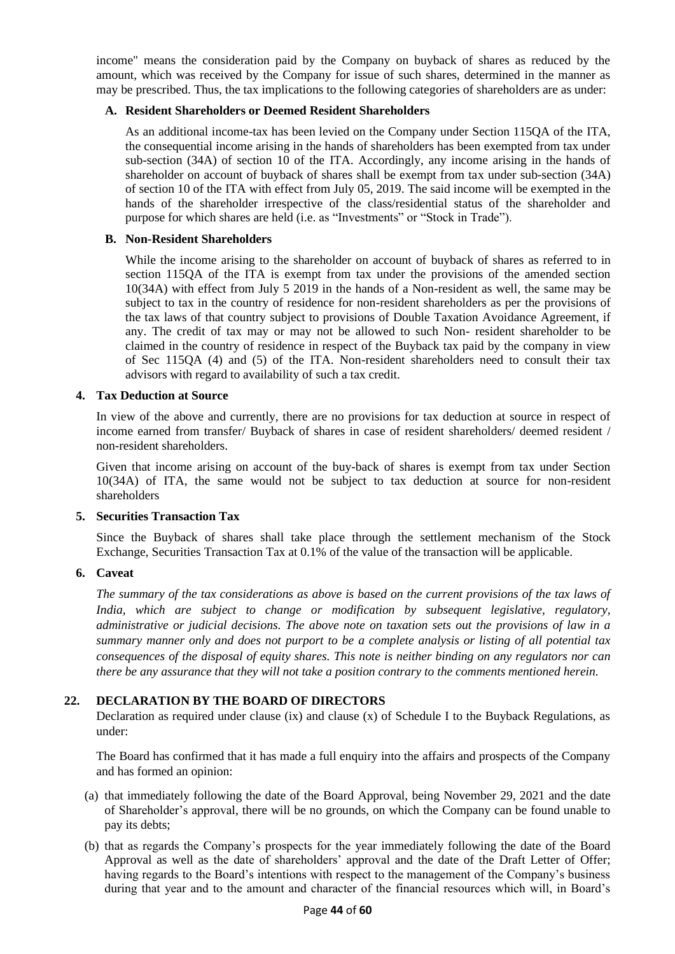income" means the consideration paid by the Company on buyback of shares as reduced by the amount, which was received by the Company for issue of such shares, determined in the manner as may be prescribed. Thus, the tax implications to the following categories of shareholders are as under:

### **A. Resident Shareholders or Deemed Resident Shareholders**

As an additional income-tax has been levied on the Company under Section 115QA of the ITA, the consequential income arising in the hands of shareholders has been exempted from tax under sub-section (34A) of section 10 of the ITA. Accordingly, any income arising in the hands of shareholder on account of buyback of shares shall be exempt from tax under sub-section (34A) of section 10 of the ITA with effect from July 05, 2019. The said income will be exempted in the hands of the shareholder irrespective of the class/residential status of the shareholder and purpose for which shares are held (i.e. as "Investments" or "Stock in Trade").

## **B. Non-Resident Shareholders**

While the income arising to the shareholder on account of buyback of shares as referred to in section 115QA of the ITA is exempt from tax under the provisions of the amended section 10(34A) with effect from July 5 2019 in the hands of a Non-resident as well, the same may be subject to tax in the country of residence for non-resident shareholders as per the provisions of the tax laws of that country subject to provisions of Double Taxation Avoidance Agreement, if any. The credit of tax may or may not be allowed to such Non- resident shareholder to be claimed in the country of residence in respect of the Buyback tax paid by the company in view of Sec 115QA (4) and (5) of the ITA. Non-resident shareholders need to consult their tax advisors with regard to availability of such a tax credit.

### **4. Tax Deduction at Source**

In view of the above and currently, there are no provisions for tax deduction at source in respect of income earned from transfer/ Buyback of shares in case of resident shareholders/ deemed resident / non-resident shareholders.

Given that income arising on account of the buy-back of shares is exempt from tax under Section 10(34A) of ITA, the same would not be subject to tax deduction at source for non-resident shareholders

#### **5. Securities Transaction Tax**

Since the Buyback of shares shall take place through the settlement mechanism of the Stock Exchange, Securities Transaction Tax at 0.1% of the value of the transaction will be applicable.

# **6. Caveat**

*The summary of the tax considerations as above is based on the current provisions of the tax laws of India, which are subject to change or modification by subsequent legislative, regulatory, administrative or judicial decisions. The above note on taxation sets out the provisions of law in a summary manner only and does not purport to be a complete analysis or listing of all potential tax consequences of the disposal of equity shares. This note is neither binding on any regulators nor can there be any assurance that they will not take a position contrary to the comments mentioned herein.*

# <span id="page-43-0"></span>**22. DECLARATION BY THE BOARD OF DIRECTORS**

Declaration as required under clause (ix) and clause (x) of Schedule I to the Buyback Regulations, as under:

The Board has confirmed that it has made a full enquiry into the affairs and prospects of the Company and has formed an opinion:

- (a) that immediately following the date of the Board Approval, being November 29, 2021 and the date of Shareholder's approval, there will be no grounds, on which the Company can be found unable to pay its debts;
- (b) that as regards the Company's prospects for the year immediately following the date of the Board Approval as well as the date of shareholders' approval and the date of the Draft Letter of Offer; having regards to the Board's intentions with respect to the management of the Company's business during that year and to the amount and character of the financial resources which will, in Board's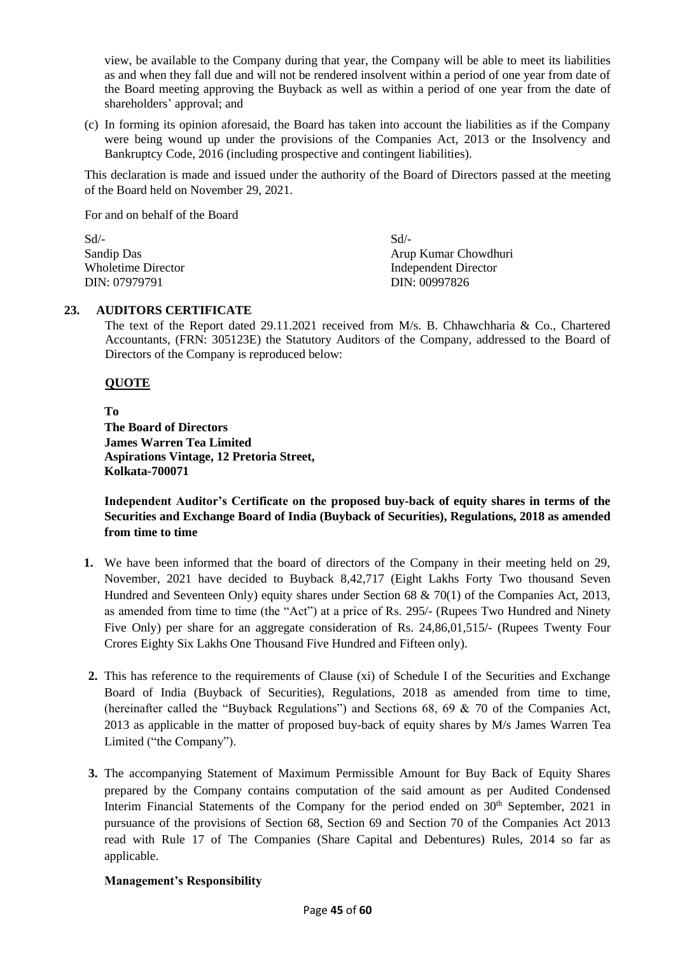view, be available to the Company during that year, the Company will be able to meet its liabilities as and when they fall due and will not be rendered insolvent within a period of one year from date of the Board meeting approving the Buyback as well as within a period of one year from the date of shareholders' approval; and

(c) In forming its opinion aforesaid, the Board has taken into account the liabilities as if the Company were being wound up under the provisions of the Companies Act, 2013 or the Insolvency and Bankruptcy Code, 2016 (including prospective and contingent liabilities).

This declaration is made and issued under the authority of the Board of Directors passed at the meeting of the Board held on November 29, 2021.

For and on behalf of the Board

| $Sd$ /-            | $Sd/-$               |
|--------------------|----------------------|
| Sandip Das         | Arup Kumar Chowdhuri |
| Wholetime Director | Independent Director |
| DIN: 07979791      | DIN: 00997826        |

### <span id="page-44-0"></span>**23. AUDITORS CERTIFICATE**

The text of the Report dated 29.11.2021 received from M/s. B. Chhawchharia & Co., Chartered Accountants, (FRN: 305123E) the Statutory Auditors of the Company, addressed to the Board of Directors of the Company is reproduced below:

# **QUOTE**

**To The Board of Directors James Warren Tea Limited Aspirations Vintage, 12 Pretoria Street, Kolkata-700071** 

**Independent Auditor's Certificate on the proposed buy-back of equity shares in terms of the Securities and Exchange Board of India (Buyback of Securities), Regulations, 2018 as amended from time to time**

- **1.** We have been informed that the board of directors of the Company in their meeting held on 29, November, 2021 have decided to Buyback 8,42,717 (Eight Lakhs Forty Two thousand Seven Hundred and Seventeen Only) equity shares under Section 68 & 70(1) of the Companies Act, 2013, as amended from time to time (the "Act") at a price of Rs. 295/- (Rupees Two Hundred and Ninety Five Only) per share for an aggregate consideration of Rs. 24,86,01,515/- (Rupees Twenty Four Crores Eighty Six Lakhs One Thousand Five Hundred and Fifteen only).
- **2.** This has reference to the requirements of Clause (xi) of Schedule I of the Securities and Exchange Board of India (Buyback of Securities), Regulations, 2018 as amended from time to time, (hereinafter called the "Buyback Regulations") and Sections 68, 69 & 70 of the Companies Act, 2013 as applicable in the matter of proposed buy-back of equity shares by M/s James Warren Tea Limited ("the Company").
- **3.** The accompanying Statement of Maximum Permissible Amount for Buy Back of Equity Shares prepared by the Company contains computation of the said amount as per Audited Condensed Interim Financial Statements of the Company for the period ended on 30<sup>th</sup> September, 2021 in pursuance of the provisions of Section 68, Section 69 and Section 70 of the Companies Act 2013 read with Rule 17 of The Companies (Share Capital and Debentures) Rules, 2014 so far as applicable.

#### **Management's Responsibility**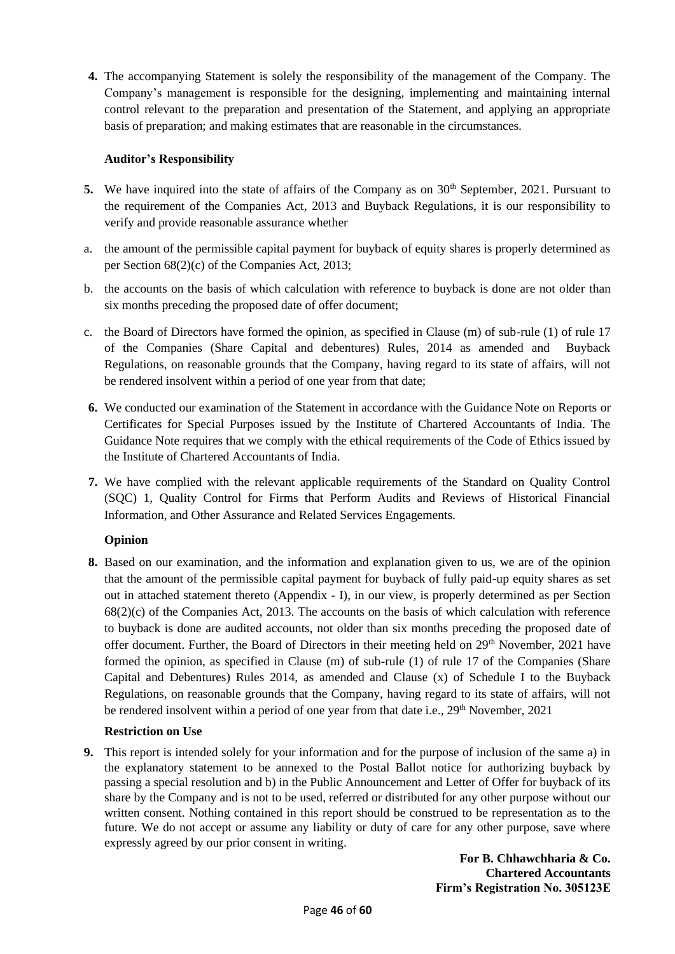**4.** The accompanying Statement is solely the responsibility of the management of the Company. The Company's management is responsible for the designing, implementing and maintaining internal control relevant to the preparation and presentation of the Statement, and applying an appropriate basis of preparation; and making estimates that are reasonable in the circumstances.

# **Auditor's Responsibility**

- **5.** We have inquired into the state of affairs of the Company as on 30<sup>th</sup> September, 2021. Pursuant to the requirement of the Companies Act, 2013 and Buyback Regulations, it is our responsibility to verify and provide reasonable assurance whether
- a. the amount of the permissible capital payment for buyback of equity shares is properly determined as per Section 68(2)(c) of the Companies Act, 2013;
- b. the accounts on the basis of which calculation with reference to buyback is done are not older than six months preceding the proposed date of offer document;
- c. the Board of Directors have formed the opinion, as specified in Clause (m) of sub-rule (1) of rule 17 of the Companies (Share Capital and debentures) Rules, 2014 as amended and Buyback Regulations, on reasonable grounds that the Company, having regard to its state of affairs, will not be rendered insolvent within a period of one year from that date;
- **6.** We conducted our examination of the Statement in accordance with the Guidance Note on Reports or Certificates for Special Purposes issued by the Institute of Chartered Accountants of India. The Guidance Note requires that we comply with the ethical requirements of the Code of Ethics issued by the Institute of Chartered Accountants of India.
- **7.** We have complied with the relevant applicable requirements of the Standard on Quality Control (SQC) 1, Quality Control for Firms that Perform Audits and Reviews of Historical Financial Information, and Other Assurance and Related Services Engagements.

# **Opinion**

**8.** Based on our examination, and the information and explanation given to us, we are of the opinion that the amount of the permissible capital payment for buyback of fully paid-up equity shares as set out in attached statement thereto (Appendix - I), in our view, is properly determined as per Section 68(2)(c) of the Companies Act, 2013. The accounts on the basis of which calculation with reference to buyback is done are audited accounts, not older than six months preceding the proposed date of offer document. Further, the Board of Directors in their meeting held on 29<sup>th</sup> November, 2021 have formed the opinion, as specified in Clause (m) of sub-rule (1) of rule 17 of the Companies (Share Capital and Debentures) Rules 2014, as amended and Clause (x) of Schedule I to the Buyback Regulations, on reasonable grounds that the Company, having regard to its state of affairs, will not be rendered insolvent within a period of one year from that date i.e.,  $29<sup>th</sup>$  November, 2021

# **Restriction on Use**

**9.** This report is intended solely for your information and for the purpose of inclusion of the same a) in the explanatory statement to be annexed to the Postal Ballot notice for authorizing buyback by passing a special resolution and b) in the Public Announcement and Letter of Offer for buyback of its share by the Company and is not to be used, referred or distributed for any other purpose without our written consent. Nothing contained in this report should be construed to be representation as to the future. We do not accept or assume any liability or duty of care for any other purpose, save where expressly agreed by our prior consent in writing.

> **For B. Chhawchharia & Co. Chartered Accountants Firm's Registration No. 305123E**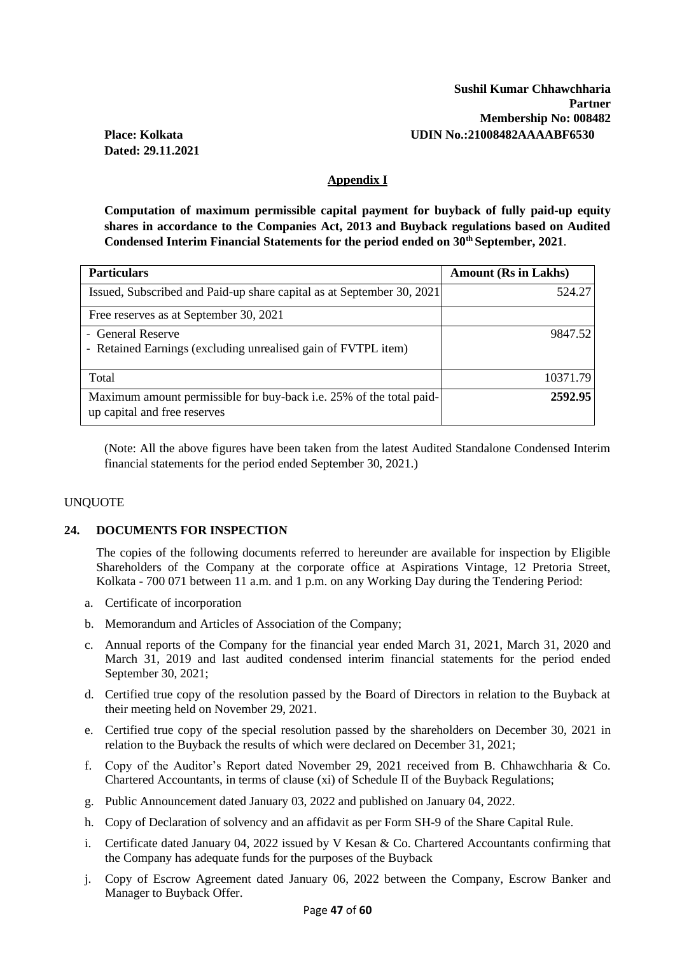# **Dated: 29.11.2021**

# **Appendix I**

**Computation of maximum permissible capital payment for buyback of fully paid-up equity shares in accordance to the Companies Act, 2013 and Buyback regulations based on Audited Condensed Interim Financial Statements for the period ended on 30th September, 2021**.

| <b>Particulars</b>                                                                                  | <b>Amount (Rs in Lakhs)</b> |
|-----------------------------------------------------------------------------------------------------|-----------------------------|
| Issued, Subscribed and Paid-up share capital as at September 30, 2021                               | 524.27                      |
| Free reserves as at September 30, 2021                                                              |                             |
| - General Reserve<br>- Retained Earnings (excluding unrealised gain of FVTPL item)                  | 9847.52                     |
| Total                                                                                               | 10371.79                    |
| Maximum amount permissible for buy-back i.e. 25% of the total paid-<br>up capital and free reserves | 2592.95                     |

(Note: All the above figures have been taken from the latest Audited Standalone Condensed Interim financial statements for the period ended September 30, 2021.)

# UNQUOTE

# <span id="page-46-0"></span>**24. DOCUMENTS FOR INSPECTION**

The copies of the following documents referred to hereunder are available for inspection by Eligible Shareholders of the Company at the corporate office at Aspirations Vintage, 12 Pretoria Street, Kolkata - 700 071 between 11 a.m. and 1 p.m. on any Working Day during the Tendering Period:

- a. Certificate of incorporation
- b. Memorandum and Articles of Association of the Company;
- c. Annual reports of the Company for the financial year ended March 31, 2021, March 31, 2020 and March 31, 2019 and last audited condensed interim financial statements for the period ended September 30, 2021;
- d. Certified true copy of the resolution passed by the Board of Directors in relation to the Buyback at their meeting held on November 29, 2021.
- e. Certified true copy of the special resolution passed by the shareholders on December 30, 2021 in relation to the Buyback the results of which were declared on December 31, 2021;
- f. Copy of the Auditor's Report dated November 29, 2021 received from B. Chhawchharia & Co. Chartered Accountants, in terms of clause (xi) of Schedule II of the Buyback Regulations;
- g. Public Announcement dated January 03, 2022 and published on January 04, 2022.
- h. Copy of Declaration of solvency and an affidavit as per Form SH-9 of the Share Capital Rule.
- i. Certificate dated January 04, 2022 issued by V Kesan & Co. Chartered Accountants confirming that the Company has adequate funds for the purposes of the Buyback
- j. Copy of Escrow Agreement dated January 06, 2022 between the Company, Escrow Banker and Manager to Buyback Offer.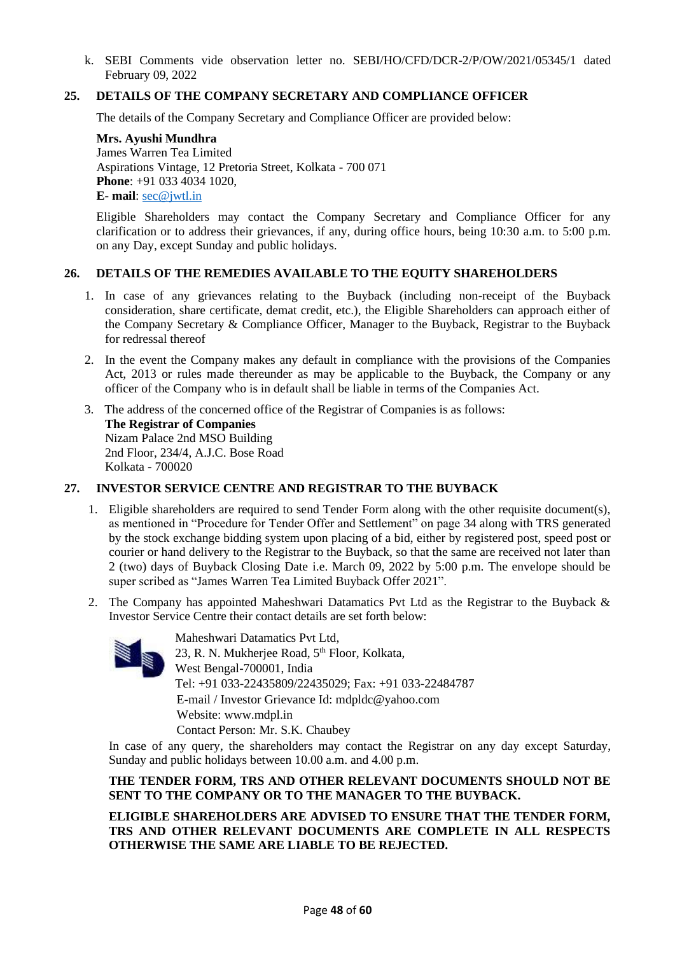k. SEBI Comments vide observation letter no. SEBI/HO/CFD/DCR-2/P/OW/2021/05345/1 dated February 09, 2022

#### <span id="page-47-0"></span>**25. DETAILS OF THE COMPANY SECRETARY AND COMPLIANCE OFFICER**

The details of the Company Secretary and Compliance Officer are provided below:

**Mrs. Ayushi Mundhra**

James Warren Tea Limited Aspirations Vintage, 12 Pretoria Street, Kolkata - 700 071 **Phone**: +91 033 4034 1020, **E- mail**: [sec@jwtl.in](mailto:sec@jwtl.in)

Eligible Shareholders may contact the Company Secretary and Compliance Officer for any clarification or to address their grievances, if any, during office hours, being 10:30 a.m. to 5:00 p.m. on any Day, except Sunday and public holidays.

### <span id="page-47-1"></span>**26. DETAILS OF THE REMEDIES AVAILABLE TO THE EQUITY SHAREHOLDERS**

- 1. In case of any grievances relating to the Buyback (including non-receipt of the Buyback consideration, share certificate, demat credit, etc.), the Eligible Shareholders can approach either of the Company Secretary & Compliance Officer, Manager to the Buyback, Registrar to the Buyback for redressal thereof
- 2. In the event the Company makes any default in compliance with the provisions of the Companies Act, 2013 or rules made thereunder as may be applicable to the Buyback, the Company or any officer of the Company who is in default shall be liable in terms of the Companies Act.
- 3. The address of the concerned office of the Registrar of Companies is as follows: **The Registrar of Companies**  Nizam Palace 2nd MSO Building 2nd Floor, 234/4, A.J.C. Bose Road Kolkata - 700020

# <span id="page-47-2"></span>**27. INVESTOR SERVICE CENTRE AND REGISTRAR TO THE BUYBACK**

- 1. Eligible shareholders are required to send Tender Form along with the other requisite document(s), as mentioned in "Procedure for Tender Offer and Settlement" on page 34 along with TRS generated by the stock exchange bidding system upon placing of a bid, either by registered post, speed post or courier or hand delivery to the Registrar to the Buyback, so that the same are received not later than 2 (two) days of Buyback Closing Date i.e. March 09, 2022 by 5:00 p.m. The envelope should be super scribed as "James Warren Tea Limited Buyback Offer 2021".
- 2. The Company has appointed Maheshwari Datamatics Pvt Ltd as the Registrar to the Buyback & Investor Service Centre their contact details are set forth below:



Maheshwari Datamatics Pvt Ltd, 23, R. N. Mukherjee Road, 5<sup>th</sup> Floor, Kolkata, West Bengal-700001, India Tel: +91 033-22435809/22435029; Fax: +91 033-22484787 E-mail / Investor Grievance Id: mdpldc@yahoo.com Website: [www.mdpl.in](http://www.mdpl.in/) Contact Person: Mr. S.K. Chaubey

In case of any query, the shareholders may contact the Registrar on any day except Saturday, Sunday and public holidays between 10.00 a.m. and 4.00 p.m.

#### **THE TENDER FORM, TRS AND OTHER RELEVANT DOCUMENTS SHOULD NOT BE SENT TO THE COMPANY OR TO THE MANAGER TO THE BUYBACK.**

**ELIGIBLE SHAREHOLDERS ARE ADVISED TO ENSURE THAT THE TENDER FORM, TRS AND OTHER RELEVANT DOCUMENTS ARE COMPLETE IN ALL RESPECTS OTHERWISE THE SAME ARE LIABLE TO BE REJECTED.**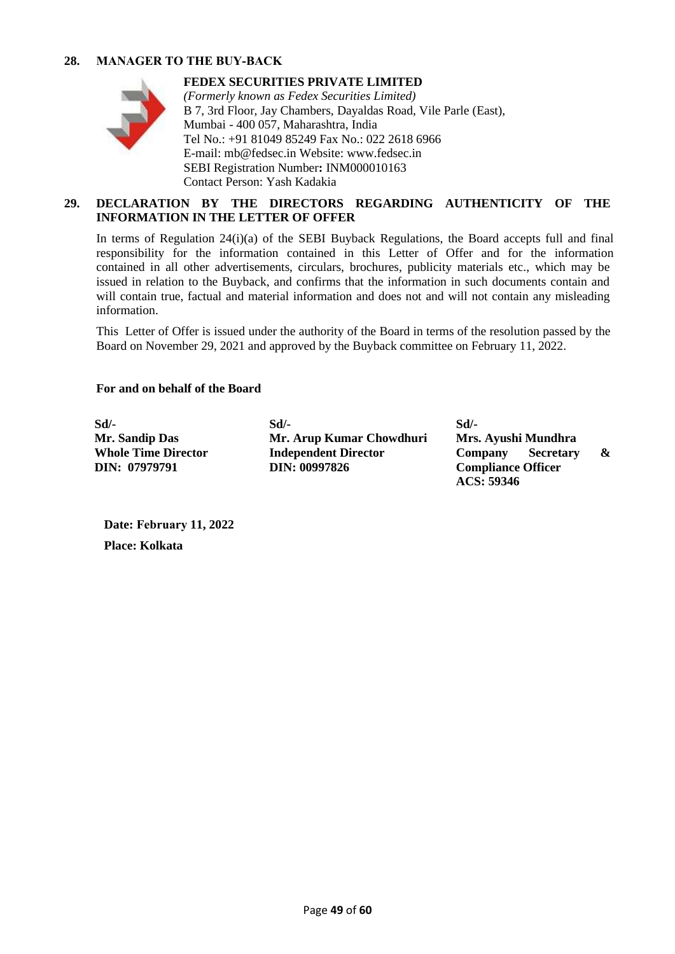### <span id="page-48-0"></span>**28. MANAGER TO THE BUY‐BACK**



# **FEDEX SECURITIES PRIVATE LIMITED**

*(Formerly known as Fedex Securities Limited)* B 7, 3rd Floor, Jay Chambers, Dayaldas Road, Vile Parle (East), Mumbai - 400 057, Maharashtra, India Tel No.: +91 81049 85249 Fax No.: 022 2618 6966 E-mail[: mb@fedsec.in](mailto:mb@fedsec.in) Website: [www.fedsec.in](http://www.fedsec.in/) SEBI Registration Number**:** INM000010163 Contact Person: Yash Kadakia

#### <span id="page-48-1"></span>**29. DECLARATION BY THE DIRECTORS REGARDING AUTHENTICITY OF THE INFORMATION IN THE LETTER OF OFFER**

In terms of Regulation 24(i)(a) of the SEBI Buyback Regulations, the Board accepts full and final responsibility for the information contained in this Letter of Offer and for the information contained in all other advertisements, circulars, brochures, publicity materials etc., which may be issued in relation to the Buyback, and confirms that the information in such documents contain and will contain true, factual and material information and does not and will not contain any misleading information.

This Letter of Offer is issued under the authority of the Board in terms of the resolution passed by the Board on November 29, 2021 and approved by the Buyback committee on February 11, 2022.

#### **For and on behalf of the Board**

**Sd/- Mr. Sandip Das Whole Time Director DIN: 07979791**

**Sd/- Mr. Arup Kumar Chowdhuri Independent Director DIN: 00997826**

**Sd/- Mrs. Ayushi Mundhra Company Secretary & Compliance Officer ACS: 59346**

<span id="page-48-2"></span>**Date: February 11, 2022 Place: Kolkata**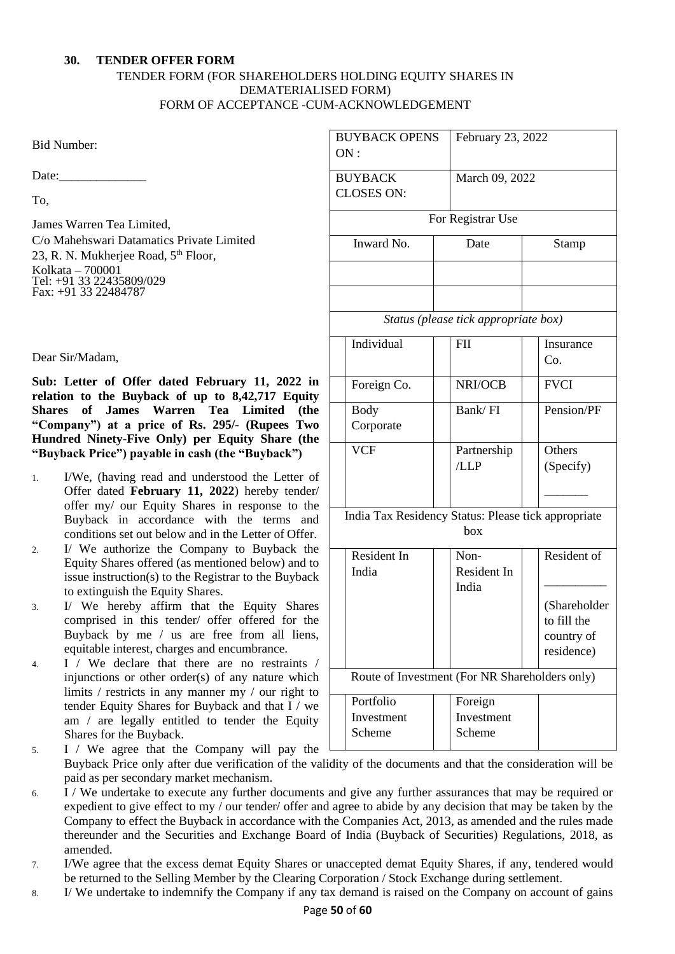### **30. TENDER OFFER FORM**

### TENDER FORM (FOR SHAREHOLDERS HOLDING EQUITY SHARES IN DEMATERIALISED FORM) FORM OF ACCEPTANCE -CUM-ACKNOWLEDGEMENT

Bid Number:

Date:

To,

James Warren Tea Limited,

C/o Mahehswari Datamatics Private Limited 23, R. N. Mukherjee Road, 5<sup>th</sup> Floor, Kolkata – 700001 Tel: +91 33 22435809/029 Fax: +91 33 22484787

Dear Sir/Madam,

**Sub: Letter of Offer dated February 11, 2022 in relation to the Buyback of up to 8,42,717 Equity Shares of James Warren Tea Limited (the "Company") at a price of Rs. 295/- (Rupees Two Hundred Ninety-Five Only) per Equity Share (the "Buyback Price") payable in cash (the "Buyback")**

- 1. I/We, (having read and understood the Letter of Offer dated **February 11, 2022**) hereby tender/ offer my/ our Equity Shares in response to the Buyback in accordance with the terms and conditions set out below and in the Letter of Offer.
- 2. I/ We authorize the Company to Buyback the Equity Shares offered (as mentioned below) and to issue instruction(s) to the Registrar to the Buyback to extinguish the Equity Shares.
- 3. I/ We hereby affirm that the Equity Shares comprised in this tender/ offer offered for the Buyback by me / us are free from all liens, equitable interest, charges and encumbrance.
- 4. I / We declare that there are no restraints / injunctions or other order(s) of any nature which limits / restricts in any manner my / our right to tender Equity Shares for Buyback and that I / we am / are legally entitled to tender the Equity Shares for the Buyback. 5. I / We agree that the Company will pay the

| <b>BUYBACK OPENS</b><br>ON:                         | February 23, 2022                              |                                         |  |  |
|-----------------------------------------------------|------------------------------------------------|-----------------------------------------|--|--|
| <b>BUYBACK</b><br><b>CLOSES ON:</b>                 |                                                | March 09, 2022                          |  |  |
|                                                     | For Registrar Use                              |                                         |  |  |
| Inward No.                                          | Date                                           | Stamp                                   |  |  |
|                                                     |                                                |                                         |  |  |
|                                                     |                                                |                                         |  |  |
|                                                     | Status (please tick appropriate box)           |                                         |  |  |
| Individual                                          | <b>FII</b>                                     | Insurance<br>Co.                        |  |  |
| Foreign Co.                                         | NRI/OCB                                        | <b>FVCI</b>                             |  |  |
| <b>Body</b><br>Corporate                            | Bank/FI                                        | Pension/PF                              |  |  |
| <b>VCF</b>                                          | Partnership<br>/LLP                            | Others<br>(Specify)                     |  |  |
| India Tax Residency Status: Please tick appropriate | box                                            |                                         |  |  |
| Resident In                                         |                                                | Resident of                             |  |  |
| India                                               | Non-<br>Resident In<br>India                   | (Shareholder                            |  |  |
|                                                     |                                                | to fill the<br>country of<br>residence) |  |  |
|                                                     | Route of Investment (For NR Shareholders only) |                                         |  |  |
| Portfolio<br>Investment<br>Scheme                   | Foreign<br>Investment<br>Scheme                |                                         |  |  |

- Buyback Price only after due verification of the validity of the documents and that the consideration will be paid as per secondary market mechanism.
- 6. I / We undertake to execute any further documents and give any further assurances that may be required or expedient to give effect to my / our tender/ offer and agree to abide by any decision that may be taken by the Company to effect the Buyback in accordance with the Companies Act, 2013, as amended and the rules made thereunder and the Securities and Exchange Board of India (Buyback of Securities) Regulations, 2018, as amended.
- 7. I/We agree that the excess demat Equity Shares or unaccepted demat Equity Shares, if any, tendered would be returned to the Selling Member by the Clearing Corporation / Stock Exchange during settlement.
- 8. I/ We undertake to indemnify the Company if any tax demand is raised on the Company on account of gains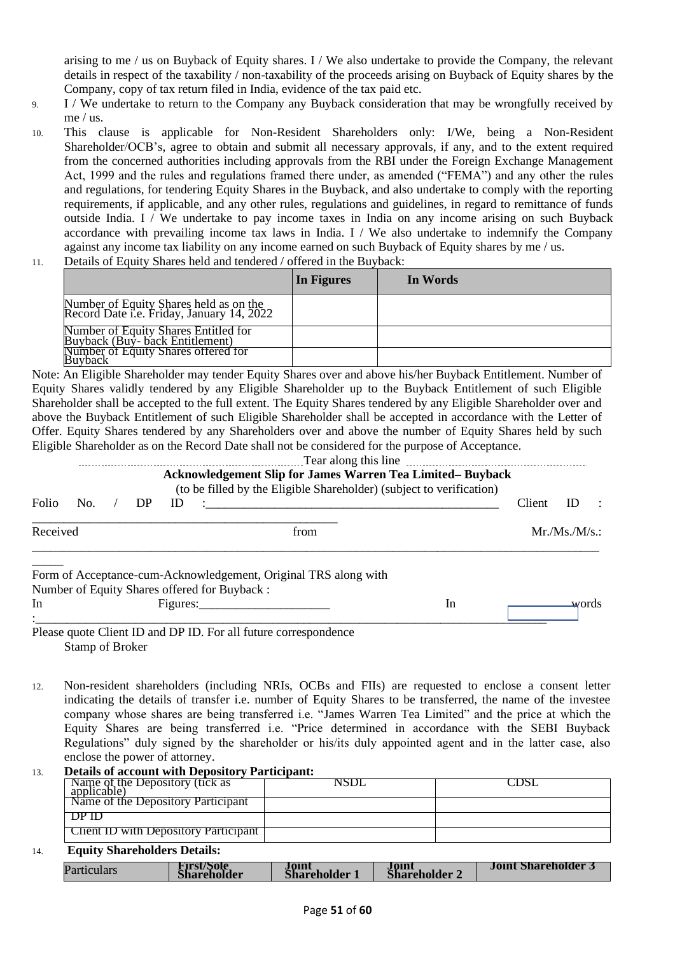arising to me / us on Buyback of Equity shares. I / We also undertake to provide the Company, the relevant details in respect of the taxability / non-taxability of the proceeds arising on Buyback of Equity shares by the Company, copy of tax return filed in India, evidence of the tax paid etc.

- 9. I / We undertake to return to the Company any Buyback consideration that may be wrongfully received by me / us.
- 10. This clause is applicable for Non-Resident Shareholders only: I/We, being a Non-Resident Shareholder/OCB's, agree to obtain and submit all necessary approvals, if any, and to the extent required from the concerned authorities including approvals from the RBI under the Foreign Exchange Management Act, 1999 and the rules and regulations framed there under, as amended ("FEMA") and any other the rules and regulations, for tendering Equity Shares in the Buyback, and also undertake to comply with the reporting requirements, if applicable, and any other rules, regulations and guidelines, in regard to remittance of funds outside India. I / We undertake to pay income taxes in India on any income arising on such Buyback accordance with prevailing income tax laws in India. I / We also undertake to indemnify the Company against any income tax liability on any income earned on such Buyback of Equity shares by me / us.
- 11. Details of Equity Shares held and tendered / offered in the Buyback:

|                                                                                     | In Figures | In Words |
|-------------------------------------------------------------------------------------|------------|----------|
| Number of Equity Shares held as on the<br>Record Date i.e. Friday, January 14, 2022 |            |          |
| Number of Equity Shares Entitled for<br>Buyback (Buy- back Entitlement)             |            |          |
| Number of Equity Shares offered for<br><b>Buyback</b>                               |            |          |

Note: An Eligible Shareholder may tender Equity Shares over and above his/her Buyback Entitlement. Number of Equity Shares validly tendered by any Eligible Shareholder up to the Buyback Entitlement of such Eligible Shareholder shall be accepted to the full extent. The Equity Shares tendered by any Eligible Shareholder over and above the Buyback Entitlement of such Eligible Shareholder shall be accepted in accordance with the Letter of Offer. Equity Shares tendered by any Shareholders over and above the number of Equity Shares held by such Eligible Shareholder as on the Record Date shall not be considered for the purpose of Acceptance.

| Folio    | No. | DP | ID | <b>Acknowledgement Slip for James Warren Tea Limited– Buyback</b><br>(to be filled by the Eligible Shareholder) (subject to verification)<br><u> 1980 - Johann Johann Stone, amerikan besteht besteht in der staat besteht in der staat besteht in der staat</u> |    | Client | ID         | $\mathbb{R}^2$ |
|----------|-----|----|----|------------------------------------------------------------------------------------------------------------------------------------------------------------------------------------------------------------------------------------------------------------------|----|--------|------------|----------------|
| Received |     |    |    | from                                                                                                                                                                                                                                                             |    |        | Mr.Ms.M/s. |                |
|          |     |    |    | Form of Acceptance-cum-Acknowledgement, Original TRS along with<br>Number of Equity Shares offered for Buyback:                                                                                                                                                  |    |        |            |                |
| In       |     |    |    | Figures: Figures:                                                                                                                                                                                                                                                | In |        | words      |                |
|          |     |    |    | Please quote Client ID and DP ID. For all future correspondence                                                                                                                                                                                                  |    |        |            |                |

Stamp of Broker

12. Non-resident shareholders (including NRIs, OCBs and FIIs) are requested to enclose a consent letter indicating the details of transfer i.e. number of Equity Shares to be transferred, the name of the investee company whose shares are being transferred i.e. "James Warren Tea Limited" and the price at which the Equity Shares are being transferred i.e. "Price determined in accordance with the SEBI Buyback Regulations" duly signed by the shareholder or his/its duly appointed agent and in the latter case, also enclose the power of attorney.

| <b>Details of account with Depository Participant:</b> |      |  |
|--------------------------------------------------------|------|--|
| Name of the Depository (tick as<br>applicable)         | NSDL |  |
| Name of the Depository Participant                     |      |  |
| -DP 1D                                                 |      |  |
| Client ID with Depository Participant                  |      |  |

14. **Equity Shareholders Details:**

|  | Particulars | First/Sole<br><b>Shareholder</b> | Shareholder | ,,,,,,,,<br><b>Shareholder</b> | Joint Shareholder 5 |
|--|-------------|----------------------------------|-------------|--------------------------------|---------------------|
|--|-------------|----------------------------------|-------------|--------------------------------|---------------------|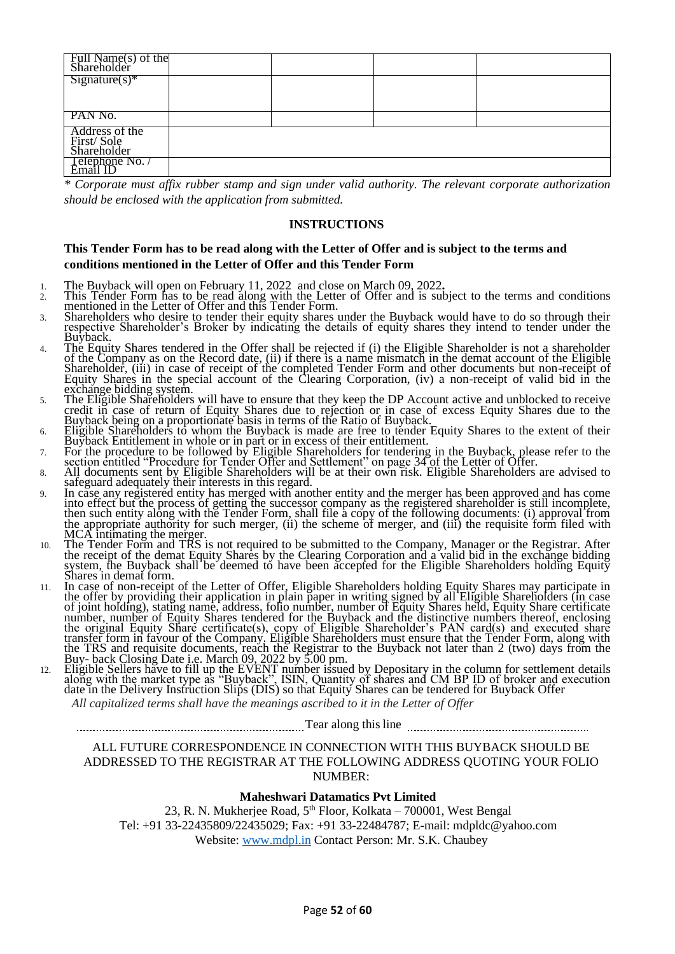| Full Name(s) of the<br>Shareholder |  |  |
|------------------------------------|--|--|
| $Sigma(x)*$                        |  |  |
|                                    |  |  |
|                                    |  |  |
| PAN No.                            |  |  |
| Address of the                     |  |  |
| First/Sole<br>Shareholder          |  |  |
|                                    |  |  |
| Telephone No. /<br>Email ID        |  |  |

*\* Corporate must affix rubber stamp and sign under valid authority. The relevant corporate authorization should be enclosed with the application from submitted.* 

#### **INSTRUCTIONS**

#### **This Tender Form has to be read along with the Letter of Offer and is subject to the terms and conditions mentioned in the Letter of Offer and this Tender Form**

- 1. The Buyback will open on February 11, 2022 and close on March 09, 2022**.**
- 2. This Tender Form has to be read along with the Letter of Offer and is subject to the terms and conditions mentioned in the Letter of Offer and this Tender Form.
- 3. Shareholders who desire to tender their equity shares under the Buyback would have to do so through their respective Shareholder's Broker by indicating the details of equity shares they intend to tender under the Buyback.
- 4. The Equity Shares tendered in the Offer shall be rejected if (i) the Eligible Shareholder is not a shareholder of the Company as on the Record date, (ii) if there is a name mismatch in the demat account of the Eligible Shareholder, (iii) in case of receipt of the completed Tender Form and other documents but non-receipt of Equity Shares in the special account of the Clearing Corporation, (iv) a non-receipt of valid bid in the exchange bidding system.
- 5. The Eligible Shareholders will have to ensure that they keep the DP Account active and unblocked to receive credit in case of return of Equity Shares due to rejection or in case of excess Equity Shares due to the Buyback being on a proportionate basis in terms of the Ratio of Buyback.
- 6. Eligible Shareholders to whom the Buyback is made are free to tender Equity Shares to the extent of their Buyback Entitlement in whole or in part or in excess of their entitlement.
- 7. For the procedure to be followed by Eligible Shareholders for tendering in the Buyback, please refer to the section entitled "Procedure for Tender Offer and Settlement" on page 34 of the Letter of Offer.
- 8. All documents sent by Eligible Shareholders will be at their own risk. Eligible Shareholders are advised to safeguard adequately their interests in this regard.
- 9. In case any registered entity has merged with another entity and the merger has been approved and has come into effect but the process of getting the successor company as the registered shareholder is still incomplete, then such entity along with the Tender Form, shall file a copy of the following documents: (i) approval from the appropriate authority for such merger, (ii) the scheme of merger, and (iii) the requisite form filed with MCA intimating the merger.
- 10. The Tender Form and TRS is not required to be submitted to the Company, Manager or the Registrar. After the receipt of the demat Equity Shares by the Clearing Corporation and a valid bid in the exchange bidding system, the Buyback shall be deemed to have been accepted for the Eligible Shareholders holding Equity Shares in demat form.
- 11. In case of non-receipt of the Letter of Offer, Eligible Shareholders holding Equity Shares may participate in the offer by providing their application in plain paper in writing signed by all Eligible Shareholders (in case of joint holding), stating name, address, folio number, number of Equity Shares held, Equity Share certificate number, number of Equity Shares tendered for the Buyback and the distinctive numbers thereof, enclosing the original Equity Share certificate(s), copy of Eligible Shareholder's PAN card(s) and executed share transfer form in favour of the Company. Eligible Shareholders must ensure that the Tender Form, along with the TRS and requisite documents, reach the Registrar to the Buyback not later than 2 (two) days from the Buy- back Closing Date i.e. March 09, 2022 by 5.00 pm.
- 12. Eligible Sellers have to fill up the EVENT number issued by Depositary in the column for settlement details along with the market type as "Buyback", ISIN, Quantity of shares and CM BP ID of broker and execution date in the Delivery Instruction Slips (DIS) so that Equity Shares can be tendered for Buyback Offer *All capitalized terms shall have the meanings ascribed to it in the Letter of Offer*

Tear along this line

#### ALL FUTURE CORRESPONDENCE IN CONNECTION WITH THIS BUYBACK SHOULD BE ADDRESSED TO THE REGISTRAR AT THE FOLLOWING ADDRESS QUOTING YOUR FOLIO NUMBER:

#### **Maheshwari Datamatics Pvt Limited**

23, R. N. Mukherjee Road,  $5<sup>th</sup>$  Floor, Kolkata – 700001, West Bengal Tel: +91 33-22435809/22435029; Fax: +91 33-22484787; E-mail: mdpldc@yahoo.com Website: [www.mdpl.in](http://www.mdpl.in/) Contact Person: Mr. S.K. Chaubey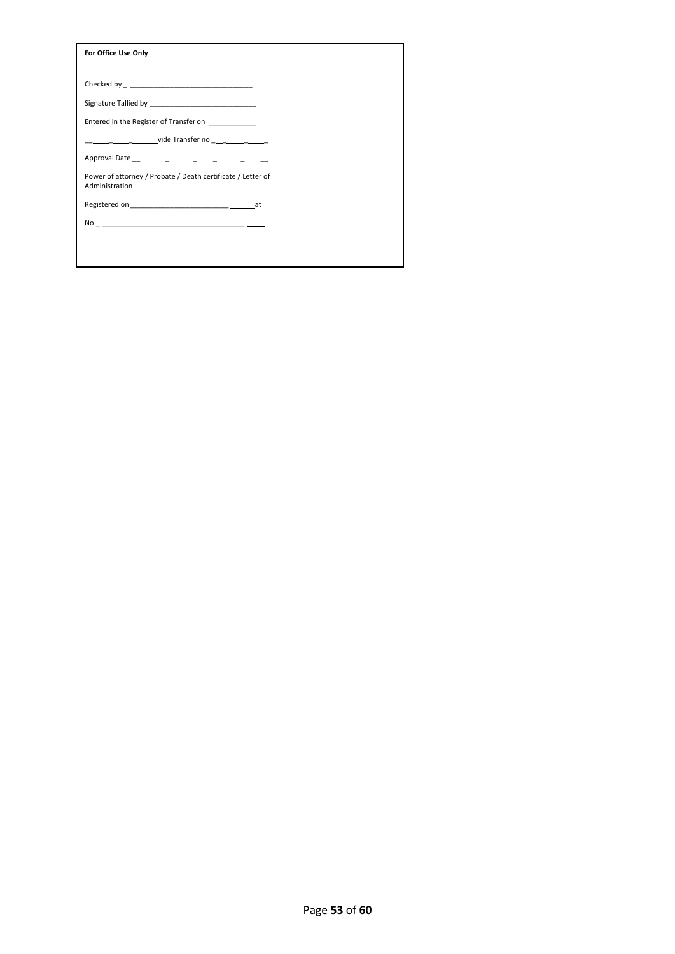| For Office Use Only                                                           |  |
|-------------------------------------------------------------------------------|--|
|                                                                               |  |
|                                                                               |  |
|                                                                               |  |
| Entered in the Register of Transfer on                                        |  |
|                                                                               |  |
|                                                                               |  |
| Power of attorney / Probate / Death certificate / Letter of<br>Administration |  |
|                                                                               |  |
|                                                                               |  |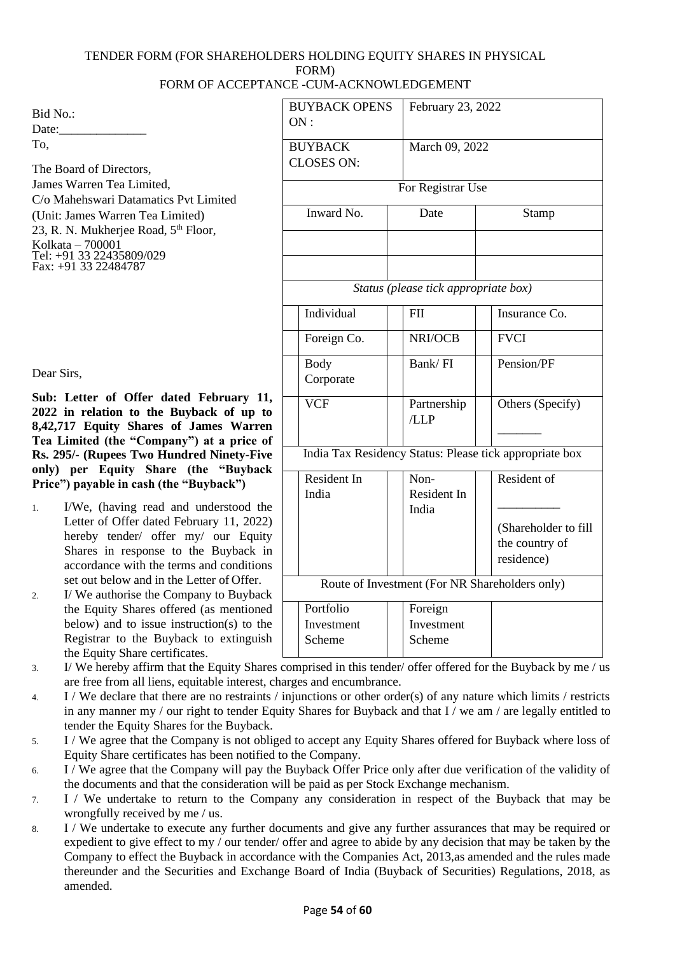#### TENDER FORM (FOR SHAREHOLDERS HOLDING EQUITY SHARES IN PHYSICAL FORM) FORM OF ACCEPTANCE -CUM-ACKNOWLEDGEMENT

Bid No.: Date: To,

The Board of Directors, James Warren Tea Limited, C/o Mahehswari Datamatics Pvt Limited (Unit: James Warren Tea Limited) 23, R. N. Mukherjee Road, 5<sup>th</sup> Floor, Kolkata – 700001 Tel: +91 33 22435809/029 Fax: +91 33 22484787

| ICE -CUM-ACKNOWLEDGEMENT    |                                                |                                                         |
|-----------------------------|------------------------------------------------|---------------------------------------------------------|
| <b>BUYBACK OPENS</b><br>ON: | February 23, 2022                              |                                                         |
|                             |                                                |                                                         |
| <b>BUYBACK</b>              | March 09, 2022                                 |                                                         |
| <b>CLOSES ON:</b>           |                                                |                                                         |
|                             | For Registrar Use                              |                                                         |
| Inward No.                  | Date                                           | <b>Stamp</b>                                            |
|                             |                                                |                                                         |
|                             |                                                |                                                         |
|                             | Status (please tick appropriate box)           |                                                         |
| Individual                  | <b>FII</b>                                     | Insurance Co.                                           |
| Foreign Co.                 | NRI/OCB                                        | <b>FVCI</b>                                             |
| <b>Body</b>                 | Bank/FI                                        | Pension/PF                                              |
| Corporate                   |                                                |                                                         |
| <b>VCF</b>                  | Partnership                                    | Others (Specify)                                        |
|                             | /LLP                                           |                                                         |
|                             |                                                | India Tax Residency Status: Please tick appropriate box |
|                             |                                                |                                                         |
| Resident In                 | Non-                                           | Resident of                                             |
| India                       | Resident In<br>India                           |                                                         |
|                             |                                                |                                                         |
|                             |                                                | (Shareholder to fill                                    |
|                             |                                                | the country of                                          |
|                             |                                                | residence)                                              |
|                             | Route of Investment (For NR Shareholders only) |                                                         |
| Portfolio                   | Foreign                                        |                                                         |
| Investment                  | Investment                                     |                                                         |
| Scheme                      | Scheme                                         |                                                         |

Dear Sirs,

**Sub: Letter of Offer dated February 11, 2022 in relation to the Buyback of up to 8,42,717 Equity Shares of James Warren Tea Limited (the "Company") at a price of Rs. 295/- (Rupees Two Hundred Ninety-Five only) per Equity Share (the "Buyback Price") payable in cash (the "Buyback")**

- 1. I/We, (having read and understood the Letter of Offer dated February 11, 2022) hereby tender/ offer my/ our Equity Shares in response to the Buyback in accordance with the terms and conditions set out below and in the Letter of Offer.
- 2. I/ We authorise the Company to Buyback the Equity Shares offered (as mentioned below) and to issue instruction(s) to the Registrar to the Buyback to extinguish the Equity Share certificates.
- 3. I/ We hereby affirm that the Equity Shares comprised in this tender/ offer offered for the Buyback by me / us are free from all liens, equitable interest, charges and encumbrance.
- 4. I / We declare that there are no restraints / injunctions or other order(s) of any nature which limits / restricts in any manner my / our right to tender Equity Shares for Buyback and that I / we am / are legally entitled to tender the Equity Shares for the Buyback.
- 5. I / We agree that the Company is not obliged to accept any Equity Shares offered for Buyback where loss of Equity Share certificates has been notified to the Company.
- 6. I / We agree that the Company will pay the Buyback Offer Price only after due verification of the validity of the documents and that the consideration will be paid as per Stock Exchange mechanism.
- 7. I / We undertake to return to the Company any consideration in respect of the Buyback that may be wrongfully received by me / us.
- 8. I / We undertake to execute any further documents and give any further assurances that may be required or expedient to give effect to my / our tender/ offer and agree to abide by any decision that may be taken by the Company to effect the Buyback in accordance with the Companies Act, 2013,as amended and the rules made thereunder and the Securities and Exchange Board of India (Buyback of Securities) Regulations, 2018, as amended.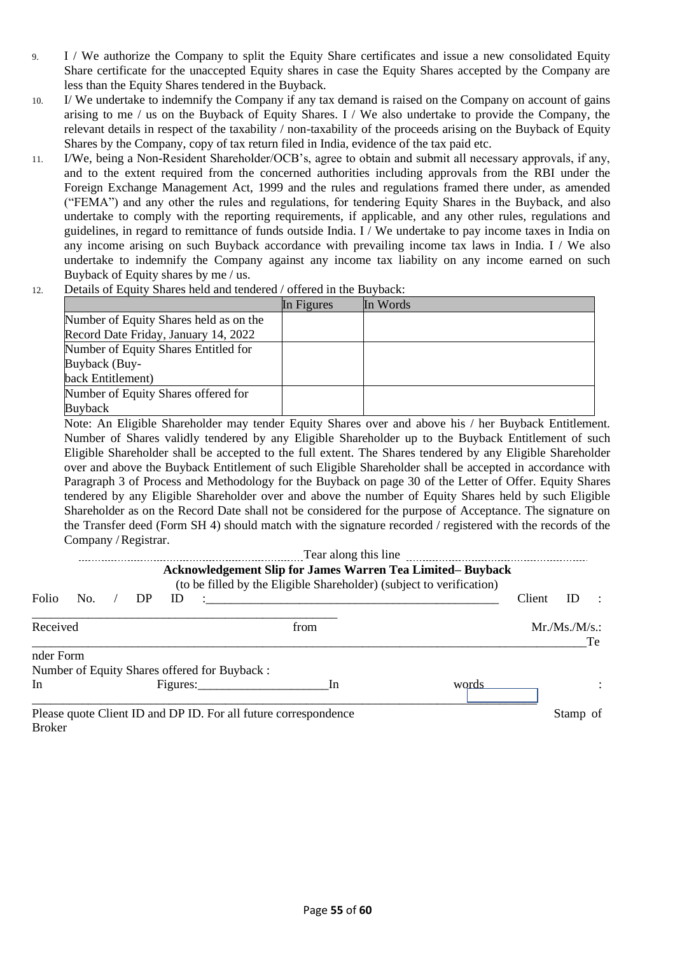- 9. I / We authorize the Company to split the Equity Share certificates and issue a new consolidated Equity Share certificate for the unaccepted Equity shares in case the Equity Shares accepted by the Company are less than the Equity Shares tendered in the Buyback.
- 10. I/ We undertake to indemnify the Company if any tax demand is raised on the Company on account of gains arising to me / us on the Buyback of Equity Shares. I / We also undertake to provide the Company, the relevant details in respect of the taxability / non-taxability of the proceeds arising on the Buyback of Equity Shares by the Company, copy of tax return filed in India, evidence of the tax paid etc.
- 11. I/We, being a Non-Resident Shareholder/OCB's, agree to obtain and submit all necessary approvals, if any, and to the extent required from the concerned authorities including approvals from the RBI under the Foreign Exchange Management Act, 1999 and the rules and regulations framed there under, as amended ("FEMA") and any other the rules and regulations, for tendering Equity Shares in the Buyback, and also undertake to comply with the reporting requirements, if applicable, and any other rules, regulations and guidelines, in regard to remittance of funds outside India. I / We undertake to pay income taxes in India on any income arising on such Buyback accordance with prevailing income tax laws in India. I / We also undertake to indemnify the Company against any income tax liability on any income earned on such Buyback of Equity shares by me / us.
- 12. Details of Equity Shares held and tendered / offered in the Buyback:

|                                        | In Figures | In Words |
|----------------------------------------|------------|----------|
| Number of Equity Shares held as on the |            |          |
| Record Date Friday, January 14, 2022   |            |          |
| Number of Equity Shares Entitled for   |            |          |
| Buyback (Buy-                          |            |          |
| back Entitlement)                      |            |          |
| Number of Equity Shares offered for    |            |          |
| Buyback                                |            |          |

Note: An Eligible Shareholder may tender Equity Shares over and above his / her Buyback Entitlement. Number of Shares validly tendered by any Eligible Shareholder up to the Buyback Entitlement of such Eligible Shareholder shall be accepted to the full extent. The Shares tendered by any Eligible Shareholder over and above the Buyback Entitlement of such Eligible Shareholder shall be accepted in accordance with Paragraph 3 of Process and Methodology for the Buyback on page 30 of the Letter of Offer. Equity Shares tendered by any Eligible Shareholder over and above the number of Equity Shares held by such Eligible Shareholder as on the Record Date shall not be considered for the purpose of Acceptance. The signature on the Transfer deed (Form SH 4) should match with the signature recorded / registered with the records of the Company /Registrar.  $\epsilon$ kia 1:

|               |                                                                 | <b>Acknowledgement Slip for James Warren Tea Limited– Buyback</b><br>(to be filled by the Eligible Shareholder) (subject to verification) |       |        |            |    |
|---------------|-----------------------------------------------------------------|-------------------------------------------------------------------------------------------------------------------------------------------|-------|--------|------------|----|
| Folio<br>No.  | DP<br>ID                                                        |                                                                                                                                           |       | Client | ID         |    |
| Received      |                                                                 | from                                                                                                                                      |       |        | Mr.Ms.M/s. | Te |
| nder Form     |                                                                 |                                                                                                                                           |       |        |            |    |
|               | Number of Equity Shares offered for Buyback:                    |                                                                                                                                           |       |        |            |    |
| In.           | Figures:                                                        | -In                                                                                                                                       | words |        |            |    |
| <b>Broker</b> | Please quote Client ID and DP ID. For all future correspondence |                                                                                                                                           |       |        | Stamp of   |    |
|               |                                                                 |                                                                                                                                           |       |        |            |    |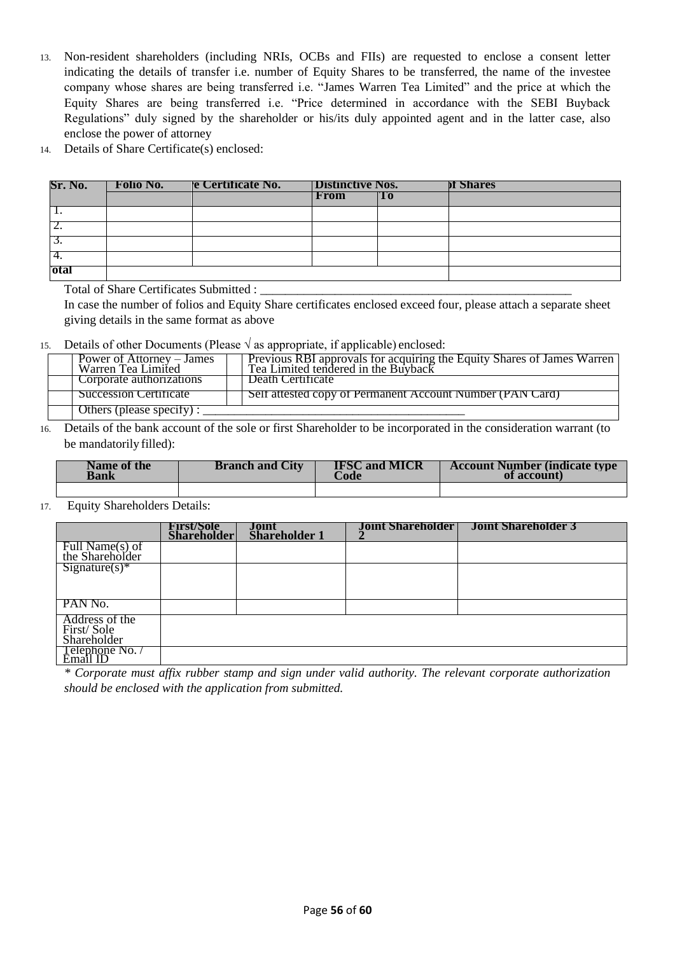- 13. Non-resident shareholders (including NRIs, OCBs and FIIs) are requested to enclose a consent letter indicating the details of transfer i.e. number of Equity Shares to be transferred, the name of the investee company whose shares are being transferred i.e. "James Warren Tea Limited" and the price at which the Equity Shares are being transferred i.e. "Price determined in accordance with the SEBI Buyback Regulations" duly signed by the shareholder or his/its duly appointed agent and in the latter case, also enclose the power of attorney
- 14. Details of Share Certificate(s) enclosed:

| Sr. No.  | <b>Folio No.</b> | e Certificate No. | <b>Distinctive Nos.</b> |     | <b>DI Shares</b> |
|----------|------------------|-------------------|-------------------------|-----|------------------|
|          |                  |                   | From                    | To. |                  |
| . .      |                  |                   |                         |     |                  |
| <u>.</u> |                  |                   |                         |     |                  |
| ິ.       |                  |                   |                         |     |                  |
| 4.       |                  |                   |                         |     |                  |
| 'otal    |                  |                   |                         |     |                  |

Total of Share Certificates Submitted : \_\_\_\_\_\_\_\_\_\_\_\_\_\_\_\_\_\_\_\_\_\_\_\_\_\_\_\_\_\_\_\_\_\_\_\_\_\_\_\_\_\_\_\_\_\_\_\_\_\_

In case the number of folios and Equity Share certificates enclosed exceed four, please attach a separate sheet giving details in the same format as above

15. Details of other Documents (Please  $\sqrt{ }$  as appropriate, if applicable) enclosed:

| Power of Attorney – James<br>Warren Tea Limited | Previous RBI approvals for acquiring the Equity Shares of James Warren<br>Tea Limited tendered in the Buyback |
|-------------------------------------------------|---------------------------------------------------------------------------------------------------------------|
| Corporate authorizations                        | Death Certificate                                                                                             |
| Succession Certificate                          | Self attested copy of Permanent Account Number (PAN Card)                                                     |
| Others (please specify):                        |                                                                                                               |

16. Details of the bank account of the sole or first Shareholder to be incorporated in the consideration warrant (to be mandatorily filled):

| Name of the | <b>Branch and City</b> | <b>IFSC and MICR</b> | <b>Account Number (indicate type)</b> |
|-------------|------------------------|----------------------|---------------------------------------|
| Bank        |                        | $C$ ode              | of account)                           |
|             |                        |                      |                                       |

17. Equity Shareholders Details:

|                                             | First/Sole<br>Shareholder | Joint<br>Shareholder 1 | <b>Joint Shareholder</b> | <b>Joint Shareholder 3</b> |
|---------------------------------------------|---------------------------|------------------------|--------------------------|----------------------------|
| Full Name(s) of<br>the Shareholder          |                           |                        |                          |                            |
| $Sigma(x)*$                                 |                           |                        |                          |                            |
|                                             |                           |                        |                          |                            |
| PAN No.                                     |                           |                        |                          |                            |
| Address of the<br>First/Sole<br>Shareholder |                           |                        |                          |                            |
| Telephone No. /<br>Email ID                 |                           |                        |                          |                            |

*\* Corporate must affix rubber stamp and sign under valid authority. The relevant corporate authorization should be enclosed with the application from submitted.*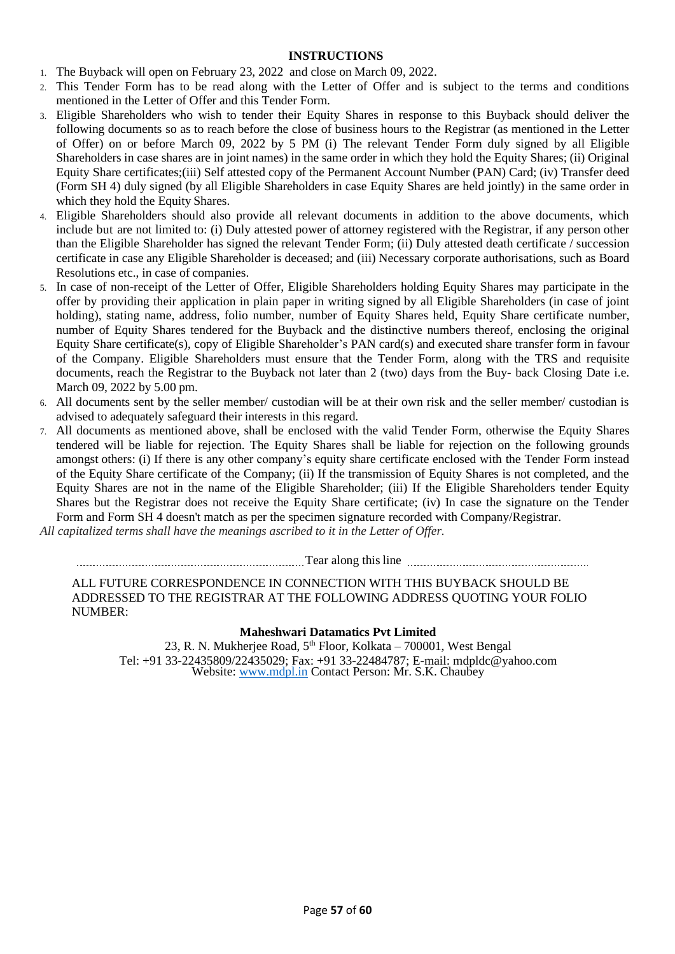#### **INSTRUCTIONS**

- 1. The Buyback will open on February 23, 2022 and close on March 09, 2022.
- 2. This Tender Form has to be read along with the Letter of Offer and is subject to the terms and conditions mentioned in the Letter of Offer and this Tender Form.
- 3. Eligible Shareholders who wish to tender their Equity Shares in response to this Buyback should deliver the following documents so as to reach before the close of business hours to the Registrar (as mentioned in the Letter of Offer) on or before March 09, 2022 by 5 PM (i) The relevant Tender Form duly signed by all Eligible Shareholders in case shares are in joint names) in the same order in which they hold the Equity Shares; (ii) Original Equity Share certificates;(iii) Self attested copy of the Permanent Account Number (PAN) Card; (iv) Transfer deed (Form SH 4) duly signed (by all Eligible Shareholders in case Equity Shares are held jointly) in the same order in which they hold the Equity Shares.
- 4. Eligible Shareholders should also provide all relevant documents in addition to the above documents, which include but are not limited to: (i) Duly attested power of attorney registered with the Registrar, if any person other than the Eligible Shareholder has signed the relevant Tender Form; (ii) Duly attested death certificate / succession certificate in case any Eligible Shareholder is deceased; and (iii) Necessary corporate authorisations, such as Board Resolutions etc., in case of companies.
- 5. In case of non-receipt of the Letter of Offer, Eligible Shareholders holding Equity Shares may participate in the offer by providing their application in plain paper in writing signed by all Eligible Shareholders (in case of joint holding), stating name, address, folio number, number of Equity Shares held, Equity Share certificate number, number of Equity Shares tendered for the Buyback and the distinctive numbers thereof, enclosing the original Equity Share certificate(s), copy of Eligible Shareholder's PAN card(s) and executed share transfer form in favour of the Company. Eligible Shareholders must ensure that the Tender Form, along with the TRS and requisite documents, reach the Registrar to the Buyback not later than 2 (two) days from the Buy- back Closing Date i.e. March 09, 2022 by 5.00 pm.
- 6. All documents sent by the seller member/ custodian will be at their own risk and the seller member/ custodian is advised to adequately safeguard their interests in this regard.
- 7. All documents as mentioned above, shall be enclosed with the valid Tender Form, otherwise the Equity Shares tendered will be liable for rejection. The Equity Shares shall be liable for rejection on the following grounds amongst others: (i) If there is any other company's equity share certificate enclosed with the Tender Form instead of the Equity Share certificate of the Company; (ii) If the transmission of Equity Shares is not completed, and the Equity Shares are not in the name of the Eligible Shareholder; (iii) If the Eligible Shareholders tender Equity Shares but the Registrar does not receive the Equity Share certificate; (iv) In case the signature on the Tender Form and Form SH 4 doesn't match as per the specimen signature recorded with Company/Registrar.

*All capitalized terms shall have the meanings ascribed to it in the Letter of Offer.*

Tear along this line

ALL FUTURE CORRESPONDENCE IN CONNECTION WITH THIS BUYBACK SHOULD BE ADDRESSED TO THE REGISTRAR AT THE FOLLOWING ADDRESS QUOTING YOUR FOLIO NUMBER:

#### **Maheshwari Datamatics Pvt Limited**

23, R. N. Mukherjee Road, 5<sup>th</sup> Floor, Kolkata – 700001, West Bengal Tel: +91 33-22435809/22435029; Fax: +91 33-22484787; E-mail: mdpldc@yahoo.com Website: [www.mdpl.in](http://www.mdpl.in/) Contact Person: Mr. S.K. Chaubey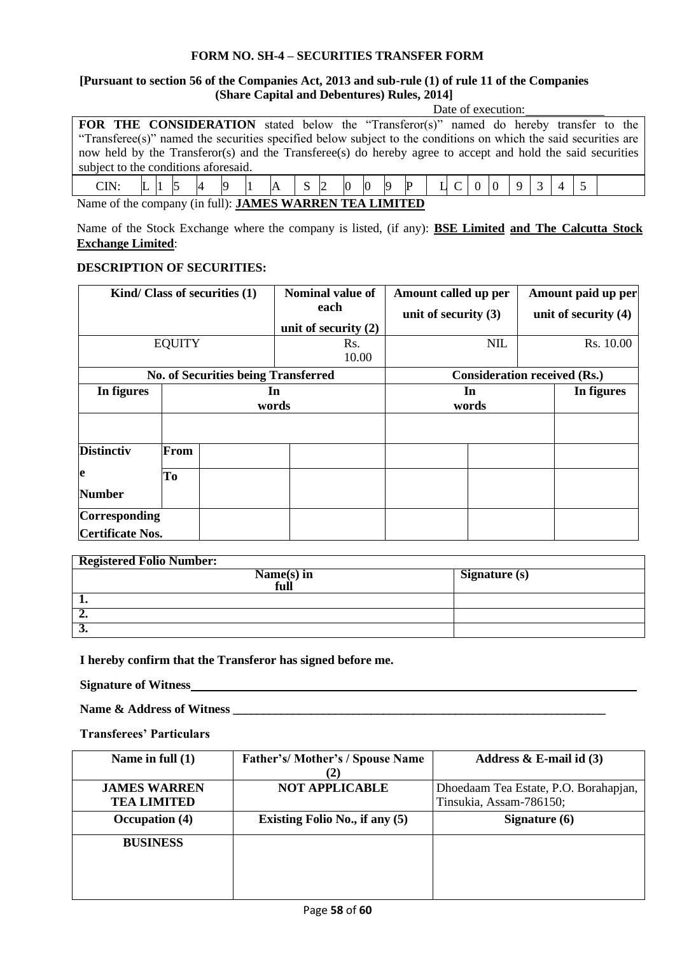# **FORM NO. SH-4 – SECURITIES TRANSFER FORM**

#### **[Pursuant to section 56 of the Companies Act, 2013 and sub-rule (1) of rule 11 of the Companies (Share Capital and Debentures) Rules, 2014]** Date of execution:

|                                                                                                                 |  |  |  | Daie of execution. |  |  |  |  |  |  |  |  |  |  |  |  |  |  |
|-----------------------------------------------------------------------------------------------------------------|--|--|--|--------------------|--|--|--|--|--|--|--|--|--|--|--|--|--|--|
| FOR THE CONSIDERATION stated below the "Transferor(s)" named do hereby transfer to the                          |  |  |  |                    |  |  |  |  |  |  |  |  |  |  |  |  |  |  |
| "Transferee(s)" named the securities specified below subject to the conditions on which the said securities are |  |  |  |                    |  |  |  |  |  |  |  |  |  |  |  |  |  |  |
| now held by the Transferor(s) and the Transferee(s) do hereby agree to accept and hold the said securities      |  |  |  |                    |  |  |  |  |  |  |  |  |  |  |  |  |  |  |
| subject to the conditions aforesaid.                                                                            |  |  |  |                    |  |  |  |  |  |  |  |  |  |  |  |  |  |  |
|                                                                                                                 |  |  |  |                    |  |  |  |  |  |  |  |  |  |  |  |  |  |  |

|                                                                |  |  |  |  |  |  |  |  |  |  | 19 | P |  |  |  | $\alpha$ |  |  |  |  |
|----------------------------------------------------------------|--|--|--|--|--|--|--|--|--|--|----|---|--|--|--|----------|--|--|--|--|
| Name of the company (in full): <b>JAMES WARREN TEA LIMITED</b> |  |  |  |  |  |  |  |  |  |  |    |   |  |  |  |          |  |  |  |  |

Name of the Stock Exchange where the company is listed, (if any): **BSE Limited and The Calcutta Stock Exchange Limited**:

# **DESCRIPTION OF SECURITIES:**

| Kind/ Class of securities (1) |                                            |                                     | Nominal value of<br>each | Amount called up per   |            | Amount paid up per |                        |
|-------------------------------|--------------------------------------------|-------------------------------------|--------------------------|------------------------|------------|--------------------|------------------------|
|                               |                                            |                                     |                          | unit of security $(3)$ |            |                    | unit of security $(4)$ |
|                               |                                            |                                     | unit of security $(2)$   |                        |            |                    |                        |
| <b>EQUITY</b>                 |                                            |                                     | Rs.                      |                        | <b>NIL</b> |                    | Rs. 10.00              |
|                               |                                            |                                     | 10.00                    |                        |            |                    |                        |
|                               | <b>No. of Securities being Transferred</b> | <b>Consideration received (Rs.)</b> |                          |                        |            |                    |                        |
| In figures                    |                                            |                                     | <b>In</b>                | In                     |            |                    | In figures             |
|                               | words                                      |                                     |                          | words                  |            |                    |                        |
|                               |                                            |                                     |                          |                        |            |                    |                        |
| <b>Distinctiv</b>             | From                                       |                                     |                          |                        |            |                    |                        |
| le                            | To                                         |                                     |                          |                        |            |                    |                        |
| <b>Number</b>                 |                                            |                                     |                          |                        |            |                    |                        |
| <b>Corresponding</b>          |                                            |                                     |                          |                        |            |                    |                        |
| <b>Certificate Nos.</b>       |                                            |                                     |                          |                        |            |                    |                        |

| <b>Registered Folio Number:</b> |                      |  |  |  |
|---------------------------------|----------------------|--|--|--|
| Name $(s)$ in<br>full           | <b>Signature (s)</b> |  |  |  |
|                                 |                      |  |  |  |
| "                               |                      |  |  |  |
| J.                              |                      |  |  |  |

**I hereby confirm that the Transferor has signed before me.**

**Signature of Witness**

**Name & Address of Witness \_\_\_\_\_\_\_\_\_\_\_\_\_\_\_\_\_\_\_\_\_\_\_\_\_\_\_\_\_\_\_\_\_\_\_\_\_\_\_\_\_\_\_\_\_\_\_\_\_\_\_\_\_\_\_\_\_\_\_\_\_\_**

**Transferees' Particulars**

| Name in full $(1)$  | <b>Father's/Mother's/Spouse Name</b>  | Address $\&$ E-mail id (3)            |  |  |
|---------------------|---------------------------------------|---------------------------------------|--|--|
|                     | (2)                                   |                                       |  |  |
| <b>JAMES WARREN</b> | <b>NOT APPLICABLE</b>                 | Dhoedaam Tea Estate, P.O. Borahapjan, |  |  |
| <b>TEA LIMITED</b>  |                                       | Tinsukia, Assam-786150;               |  |  |
| Occupation (4)      | <b>Existing Folio No., if any (5)</b> | Signature $(6)$                       |  |  |
| <b>BUSINESS</b>     |                                       |                                       |  |  |
|                     |                                       |                                       |  |  |
|                     |                                       |                                       |  |  |
|                     |                                       |                                       |  |  |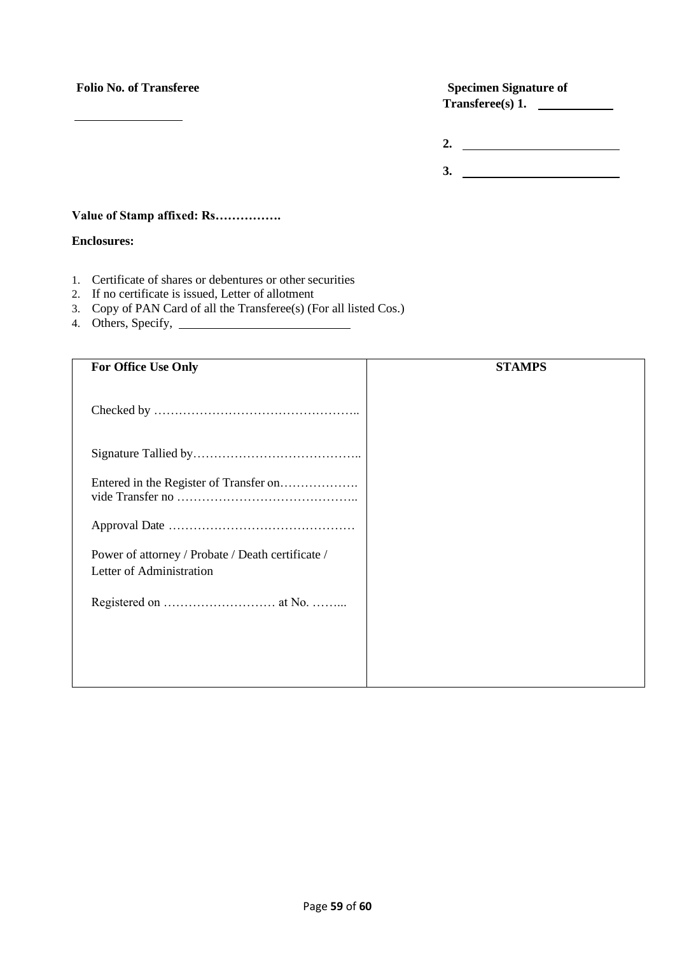<u> 1990 - Johann Barn, mars ann an t-</u>

# **Folio No. of Transferee Specimen Signature of Transferee(s) 1.**

**2. 3.** 

**Value of Stamp affixed: Rs…………….**

### **Enclosures:**

- 1. Certificate of shares or debentures or other securities
- 2. If no certificate is issued, Letter of allotment
- 3. Copy of PAN Card of all the Transferee(s) (For all listed Cos.)
- 4. Others, Specify,

| <b>For Office Use Only</b>                                                    | <b>STAMPS</b> |
|-------------------------------------------------------------------------------|---------------|
|                                                                               |               |
|                                                                               |               |
|                                                                               |               |
|                                                                               |               |
| Power of attorney / Probate / Death certificate /<br>Letter of Administration |               |
|                                                                               |               |
|                                                                               |               |
|                                                                               |               |